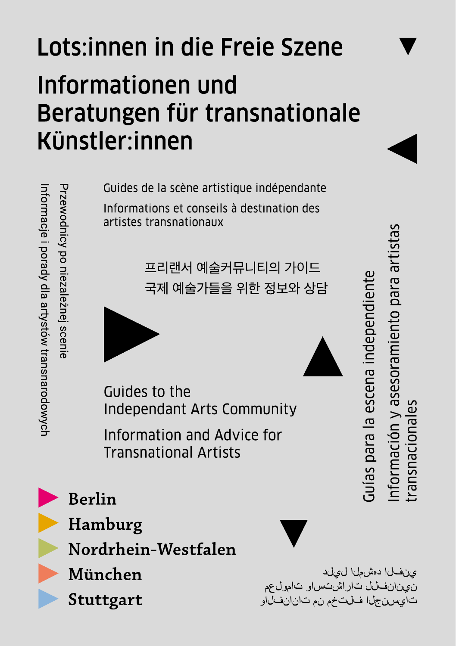# Lots: innen in die Freie Szene Informationen und Beratungen für transnationale Künstler:innen

Guides de la scène artistique indépendante Informations et conseils à destination des artistes transnationaux

> 프리랜서 예술커뮤니티의 가이드 국제 예술가들을 위한 정보와 상담





Guides to the **Independant Arts Community** 

Information and Advice for **Transnational Artists** 



**Berlin** 

Przewodnicy po niezaleznej scenie

Informacje i porady dla artystów transnarodowych



Nordrhein-Westfalen

München

Stuttgart

ىنفىلا دەشملا لىرلد ن ينانفلل تاراشتساو تامول عم تايسنجلا فلتخم نم تانانفلاو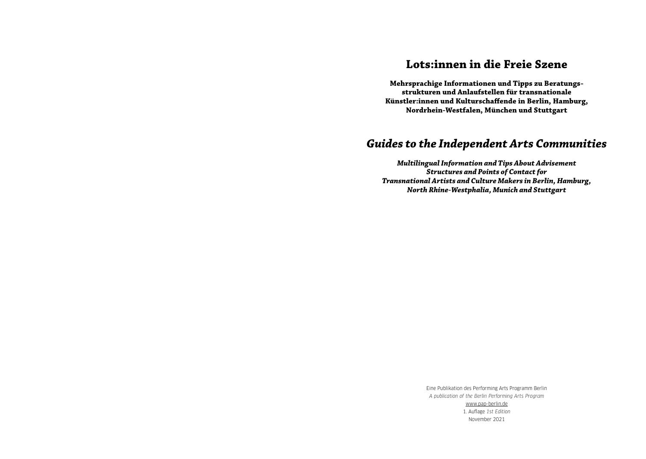## **Lots:innen in die Freie Szene**

**Mehrsprachige Informationen und Tipps zu Beratungsstrukturen und Anlaufstellen für transnationale Künstler:innen und Kulturschaffende in Berlin, Hamburg, Nordrhein-Westfalen, München und Stuttgart**

## *Guides to the Independent Arts Communities*

*Multilingual Information and Tips About Advisement Structures and Points of Contact for Transnational Artists and Culture Makers in Berlin, Hamburg, North Rhine-Westphalia, Munich and Stuttgart*

> Eine Publikation des Performing Arts Programm Berlin *A publication of the Berlin Performing Arts Program* [www.pap-berlin.de](https://www.pap-berlin.de/de) 1. Auflage *1st Edition* November 2021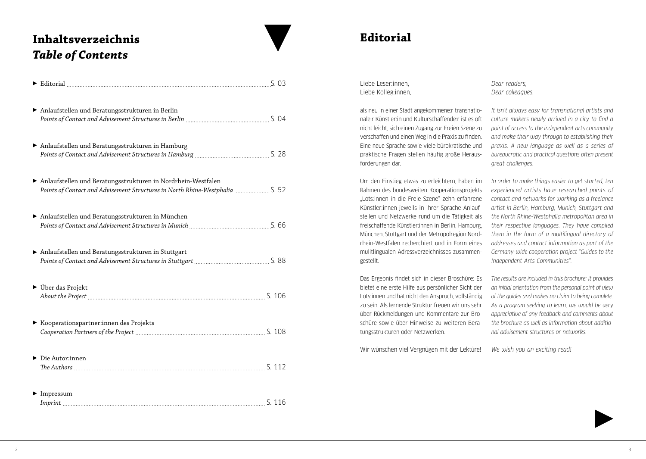## **Inhaltsverzeichnis** *Table of Contents*

| Anlaufstellen und Beratungsstrukturen in Berlin                                                                                              |  |
|----------------------------------------------------------------------------------------------------------------------------------------------|--|
| Anlaufstellen und Beratungsstrukturen in Hamburg                                                                                             |  |
| Anlaufstellen und Beratungsstrukturen in Nordrhein-Westfalen<br>Points of Contact and Advisement Structures in North Rhine-Westphalia  S. 52 |  |
| Anlaufstellen und Beratungsstrukturen in München                                                                                             |  |
| Anlaufstellen und Beratungsstrukturen in Stuttgart                                                                                           |  |
| ▶ Über das Projekt                                                                                                                           |  |
| Kooperationspartner:innen des Projekts                                                                                                       |  |
| $\triangleright$ Die Autor:innen                                                                                                             |  |
| $\blacktriangleright$ Impressum                                                                                                              |  |

## **Editorial**

Liebe Leser:innen, Liebe Kolleg:innen,

als neu in einer Stadt angekommene:r transnationale:r Künstler:in und Kulturschaffende:r ist es oft nicht leicht, sich einen Zugang zur Freien Szene zu verschaffen und einen Weg in die Praxis zu finden. Eine neue Sprache sowie viele bürokratische und praktische Fragen stellen häufig große Herausforderungen dar.

Um den Einstieg etwas zu erleichtern, haben im Rahmen des bundesweiten Kooperationsprojekts "Lots:innen in die Freie Szene" zehn erfahrene Künstler:innen jeweils in ihrer Sprache Anlaufstellen und Netzwerke rund um die Tätigkeit als freischaffende Künstler:innen in Berlin, Hamburg, München, Stuttgart und der Metropolregion Nordrhein-Westfalen recherchiert und in Form eines mulitlingualen Adressverzeichnisses zusammengestellt.

Das Ergebnis findet sich in dieser Broschüre: Es bietet eine erste Hilfe aus persönlicher Sicht der Lots:innen und hat nicht den Anspruch, vollständig zu sein. Als lernende Struktur freuen wir uns sehr über Rückmeldungen und Kommentare zur Broschüre sowie über Hinweise zu weiteren Beratungsstrukturen oder Netzwerken.

Wir wünschen viel Vergnügen mit der Lektüre!

*Dear readers, Dear colleagues,*

*It isn't always easy for transnational artists and culture makers newly arrived in a city to find a point of access to the independent arts community and make their way through to establishing their praxis. A new language as well as a series of bureaucratic and practical questions often present great challenges.* 

*In order to make things easier to get started, ten experienced artists have researched points of contact and networks for working as a freelance artist in Berlin, Hamburg, Munich, Stuttgart and the North Rhine-Westphalia metropolitan area in their respective languages. They have compiled them in the form of a multilingual directory of addresses and contact information as part of the Germany-wide cooperation project "Guides to the Independent Arts Communities".* 

*The results are included in this brochure: it provides an initial orientation from the personal point of view of the guides and makes no claim to being complete. As a program seeking to learn, we would be very appreciative of any feedback and comments about the brochure as well as information about additional advisement structures or networks.*

*We wish you an exciting read!*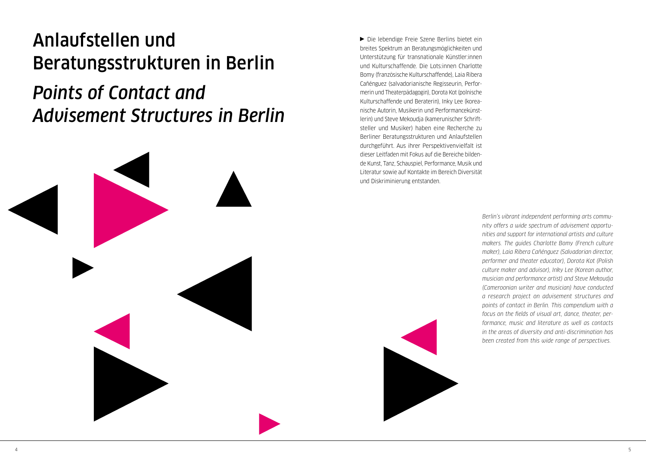## <span id="page-3-0"></span>Anlaufstellen und Beratungsstrukturen in Berlin

*Points of Contact and Advisement Structures in Berlin*



Die lebendige Freie Szene Berlins bietet ein breites Spektrum an Beratungsmöglichkeiten und Unterstützung für transnationale Künstler:innen und Kulturschaffende. Die Lots:innen Charlotte Bomy (französische Kulturschaffende), Laia Ribera Cañénguez (salvadorianische Regisseurin, Performerin und Theaterpädagogin), Dorota Kot (polnische Kulturschaffende und Beraterin), Inky Lee (koreanische Autorin, Musikerin und Performancekünstlerin) und Steve Mekoudja (kamerunischer Schriftsteller und Musiker) haben eine Recherche zu Berliner Beratungsstrukturen und Anlaufstellen durchgeführt. Aus ihrer Perspektivenvielfalt ist dieser Leitfaden mit Fokus auf die Bereiche bildende Kunst, Tanz, Schauspiel, Performance, Musik und Literatur sowie auf Kontakte im Bereich Diversität und Diskriminierung entstanden.

> *Berlin's vibrant independent performing arts community offers a wide spectrum of advisement opportunities and support for international artists and culture makers. The guides Charlotte Bomy (French culture maker), Laia Ribera Cañénguez (Salvadorian director, performer and theater educator), Dorota Kot (Polish culture maker and advisor), Inky Lee (Korean author, musician and performance artist) and Steve Mekoudja (Cameroonian writer and musician) have conducted a research project on advisement structures and points of contact in Berlin. This compendium with a focus on the fields of visual art, dance, theater, performance, music and literature as well as contacts in the areas of diversity and anti-discrimination has been created from this wide range of perspectives.*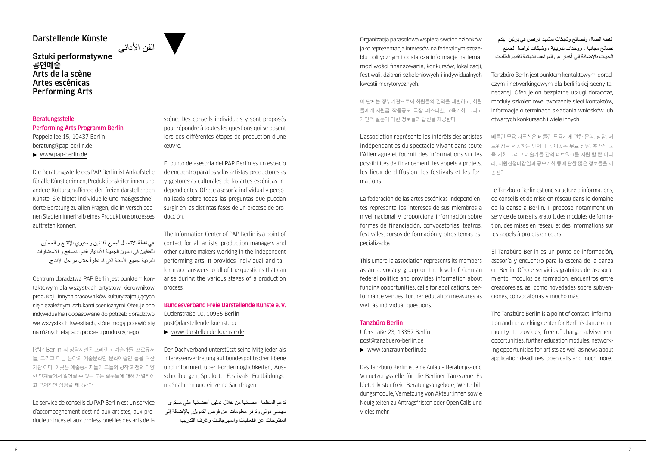## Darstellende Künste

## الفن الأدائي<br>Sztuki performatywne **공연예술** Arts de la scène Artes escénicas Performing Arts

## Beratungsstelle Performing Arts Programm Berlin

Pappelallee 15, 10437 Berlin [beratung@pap-berlin.de](mailto:beratung@pap-berlin.de)  [www.pap-berlin.de](https://www.pap-berlin.de/de)

Die Beratungsstelle des PAP Berlin ist Anlaufstelle für alle Künstler:innen, Produktionsleiter:innen und andere Kulturschaffende der freien darstellenden Künste. Sie bietet individuelle und maßgeschneiderte Beratung zu allen Fragen, die in verschiedenen Stadien innerhalb eines Produktionsprozesses auftreten können.

هي نقطة االتصال لجميع الفنانين و مديري اإلنتاج و العاملين الثقافيين في الفنون الجميلة األدائية. تقدم النصائح و االستشارات الفردية لجميع الأسئلة التي قد تطرأ خلال مراحل الإنتاج.

Centrum doradztwa PAP Berlin jest punktem kontaktowym dla wszystkich artystów, kierowników produkcji i innych pracowników kultury zajmujących się niezależnymi sztukami scenicznymi. Oferuje ono indywidualne i dopasowane do potrzeb doradztwo we wszystkich kwestiach, które mogą pojawić się na różnych etapach procesu produkcyjnego.

PAP Berlin 의 상담시설은 프리랜서 예술가들, 프로듀서 들, 그리고 다른 분야의 예술문화인 문화예술인 들을 위한 기관 이다. 이곳은 예술종사자들이 그들의 창작 과정의 다양 한 단계들에서 일어날 수 있는 모든 질문들에 대해 개별적이 고 구체적인 상담을 제공한다.

Le service de conseils du PAP Berlin est un service d'accompagnement destiné aux artistes, aux producteur·trices et aux professionel·les des arts de la scène. Des conseils individuels y sont proposés pour répondre à toutes les questions qui se posent lors des différentes étapes de production d'une œuvre.

El punto de asesoría del PAP Berlín es un espacio de encuentro para los y las artistas, productores:as y gestores:as culturales de las artes escénicas independientes. Ofrece asesoría individual y personalizada sobre todas las preguntas que puedan surgir en las distintas fases de un proceso de producción.

The Information Center of PAP Berlin is a point of contact for all artists, production managers and other culture makers working in the independent performing arts. It provides individual and tailor-made answers to all of the questions that can arise during the various stages of a production process.

## Bundesverband Freie Darstellende Künste e. V. Dudenstraße 10, 10965 Berlin

[post@darstellende-kuenste.de](mailto:post@darstellende-kuenste.de) [www.darstellende-kuenste.de](http://www.darstellende-kuenste.de)

Der Dachverband unterstützt seine Mitglieder als Interessenvertretung auf bundespolitischer Ebene und informiert über Fördermöglichkeiten, Ausschreibungen, Spielorte, Festivals, Fortbildungsmaßnahmen und einzelne Sachfragen.

تدعم المنظمة أعضائها من خالل تمثيل أعضائها على مستوى سياسي دولي وتوفر معلومات عن فرص التمويل, باإلضافة إلى المقترحات عن الفعاليات والمهرجانات وغرف التدريب.

Organizacja parasolowa wspiera swoich członków jako reprezentacja interesów na federalnym szczeblu politycznym i dostarcza informacje na temat możliwości finansowania, konkursów, lokalizacji, festiwali, działań szkoleniowych i indywidualnych kwestii merytorycznych.

이 단체는 정부기관으로써 회원들의 권익을 대변하고, 회원 들에게 지원금, 작품공모, 극장, 페스티발, 교육기회, 그리고 개인적 질문에 대한 정보들과 답변을 제공한다.

L'association représente les intérêts des artistes indépendant·es du spectacle vivant dans toute l'Allemagne et fournit des informations sur les possibilités de financement, les appels à projets, les lieux de diffusion, les festivals et les formations.

La federación de las artes escénicas independientes representa los intereses de sus miembros a nivel nacional y proporciona información sobre formas de financiación, convocatorias, teatros, festivales, cursos de formación y otros temas especializados.

This umbrella association represents its members as an advocacy group on the level of German federal politics and provides information about funding opportunities, calls for applications, performance venues, further education measures as well as individual questions.

## Tanzbüro Berlin

Uferstraße 23, 13357 Berlin [post@tanzbuero-berlin.de](mailto:post@tanzbuero-berlin.de) [www.tanzraumberlin.de](http://www.tanzraumberlin.de)

Das Tanzbüro Berlin ist eine Anlauf-, Beratungs- und Vernetzungsstelle für die Berliner Tanzszene. Es bietet kostenfreie Beratungsangebote, Weiterbildungsmodule, Vernetzung von Akteur:innen sowie Neuigkeiten zu Antragsfristen oder Open Calls und vieles mehr.

 نقطة اتصال ونصائح وشبكات لمشهد الرقص في برلين. يقدم نصائح مجانية ، ووحدات تدريبية ، وشبكات تواصل لجميع الجهات باإلضافة إلى أخبار عن المواعيد النهائية لتقديم الطلبات

Tanzbüro Berlin jest punktem kontaktowym, doradczym i networkingowym dla berlińskiej sceny tanecznej. Oferuje on bezpłatne usługi doradcze, moduły szkoleniowe, tworzenie sieci kontaktów, informacje o terminach składania wniosków lub otwartych konkursach i wiele innych.

베를린 무용 사무실은 베를린 무용계에 관한 문의, 상담, 네 트워킹을 제공하는 단체이다. 이곳은 무료 상담, 추가적 교 육 기회, 그리고 예술가들 간의 네트워크를 지원 할 뿐 아니 라, 지원신청마감일과 공모기회 등에 관한 많은 정보들을 제 공한다.

Le Tanzbüro Berlin est une structure d'informations, de conseils et de mise en réseau dans le domaine de la danse à Berlin. Il propose notamment un service de conseils gratuit, des modules de formation, des mises en réseau et des informations sur les appels à projets en cours.

El Tanzbüro Berlin es un punto de información, asesoría y encuentro para la escena de la danza en Berlín. Ofrece servicios gratuitos de asesoramiento, módulos de formación, encuentros entre creadores:as, así como novedades sobre subvenciones, convocatorias y mucho más.

The Tanzbüro Berlin is a point of contact, information and networking center for Berlin's dance community. It provides, free of charge, advisement opportunities, further education modules, networking opportunities for artists as well as news about application deadlines, open calls and much more.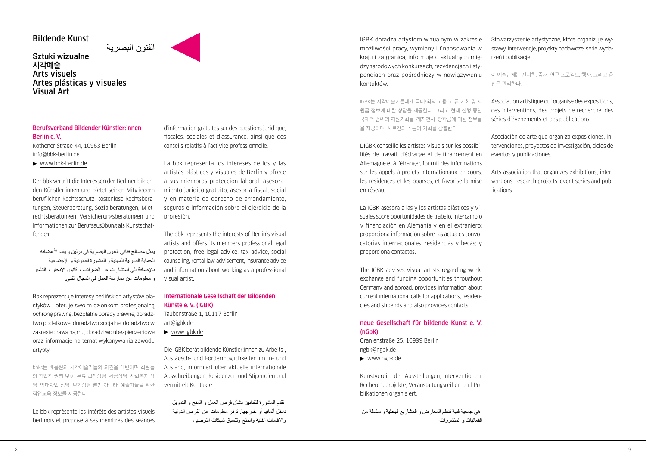## Bildende Kunst

## الفنون البصرية Sztuki wizualne **시각예술** Arts visuels Artes plásticas y visuales Visual Art

## Berufsverband Bildender Künstler:innen Berlin e. V.

Köthener Straße 44, 10963 Berlin [info@bbk-berlin.de](mailto:info@bbk-berlin.de)

[www.bbk-berlin.de](http://www.bbk-berlin.de)

Der bbk vertritt die Interessen der Berliner bildenden Künstler:innen und bietet seinen Mitgliedern beruflichen Rechtsschutz, kostenlose Rechtsberatungen, Steuerberatung, Sozialberatungen, Mietrechtsberatungen, Versicherungsberatungen und Informationen zur Berufsausübung als Kunstschaffende:r.

يمثل مصالح فناني الفنون البصرية في برلين و يقدم ألعضائه الحماية القانونية المهنية و المشورة القانونية و اإلجتماعية باإلضافة الي استشارات عن الضرائب و قانون اإليجار و التأمين و معلومات عن ممارسة العمل في المجال الفني.

Bbk reprezentuje interesy berlińskich artystów plastyków i oferuje swoim członkom profesjonalną ochronę prawną, bezpłatne porady prawne, doradztwo podatkowe, doradztwo socjalne, doradztwo w zakresie prawa najmu, doradztwo ubezpieczeniowe oraz informacje na temat wykonywania zawodu artysty.

bbks는 베를린의 시각에술가들의 의견을 대변하며 회원들 의 직업적 권리 보호, 무료 법적상담, 세금상담, 사회복지 상 담, 임대차법 상담, 보험상담 뿐만 아니라, 예술가들을 위한 직업교육 정보를 제공한다.

Le bbk représente les intérêts des artistes visuels berlinois et propose à ses membres des séances d'information gratuites sur des questions juridique, fiscales, sociales et d'assurance, ainsi que des conseils relatifs à l'activité professionnelle.

La bbk representa los intereses de los y las artistas plásticos y visuales de Berlín y ofrece a sus miembros protección laboral, asesoramiento jurídico gratuito, asesoría fiscal, social y en materia de derecho de arrendamiento, seguros e información sobre el ejercicio de la profesión.

The bbk represents the interests of Berlin's visual artists and offers its members professional legal protection, free legal advice, tax advice, social counseling, rental law advisement, insurance advice and information about working as a professional visual artist.

## Internationale Gesellschaft der Bildenden Künste e. V. (IGBK) Taubenstraße 1, 10117 Berlin

[art@igbk.de](mailto:art@igbk.de) 

[www.igbk.de](http://www.igbk.de)

Die IGBK berät bildende Künstler:innen zu Arbeits-, Austausch- und Fördermöglichkeiten im In- und Ausland, informiert über aktuelle internationale Ausschreibungen, Residenzen und Stipendien und vermittelt Kontakte.

 تقدم المشورة للفنانين بشأن فرص العمل و المنح و التمويل داخل ألمانيا أو خارجها. توفر معلومات عن الفرص الدولية واإلقامات الفنية والمنح وتنسيق شبكات التوصيل. IGBK doradza artystom wizualnym w zakresie możliwości pracy, wymiany i finansowania w kraju i za granicą, informuje o aktualnych międzynarodowych konkursach, rezydencjach i stypendiach oraz pośredniczy w nawiązywaniu kontaktów.

IGBK는 시각예술가들에게 국내/외의 고용, 교류 기회 및 지 원금 정보에 대한 상담을 제공한다. 그리고 현재 진행 중인 국제적 범위의 지원기회들, 레지던시, 장학금에 대한 정보들 을 제공하며, 서로간의 소통의 기회를 창출한다.

L'IGBK conseille les artistes visuels sur les possibilités de travail, d'échange et de financement en Allemagne et à l'étranger, fournit des informations sur les appels à projets internationaux en cours, les résidences et les bourses, et favorise la mise en réseau.

La IGBK asesora a las y los artistas plásticos y visuales sobre oportunidades de trabajo, intercambio y financiación en Alemania y en el extranjero; proporciona información sobre las actuales convocatorias internacionales, residencias y becas; y proporciona contactos.

The IGBK advises visual artists regarding work, exchange and funding opportunities throughout Germany and abroad, provides information about current international calls for applications, residencies and stipends and also provides contacts.

## neue Gesellschaft für bildende Kunst e. V. (nGbK)

Oranienstraße 25, 10999 Berlin [ngbk@ngbk.de](mailto:ngbk@ngbk.de)

[www.ngbk.de](http://www.ngbk.de)

Kunstverein, der Ausstellungen, Interventionen, Rechercheprojekte, Veranstaltungsreihen und Publikationen organisiert.

 هي جمعية فنية تنظم المعارض و المشاريع البحثية و سلسلة من الفعاليات و المنشورات Stowarzyszenie artystyczne, które organizuje wystawy, interwencje, projekty badawcze, serie wydarzeń i publikacje.

이 예술단체는 전시회, 중재, 연구 프로젝트, 행사, 그리고 출 판을 관리한다.

Association artistique qui organise des expositions, des interventions, des projets de recherche, des séries d'événements et des publications.

Asociación de arte que organiza exposiciones, intervenciones, proyectos de investigación, ciclos de eventos y publicaciones.

Arts association that organizes exhibitions, interventions, research projects, event series and publications.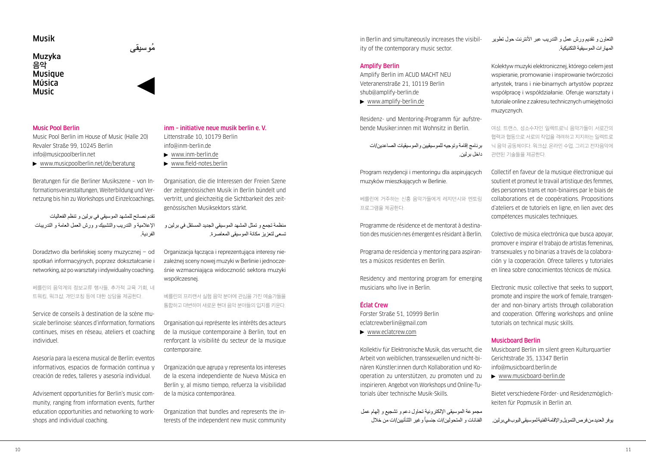## Musik

## Muzyka ُموسيقى **음악 Musique** Música Music

## Music Pool Berlin

Music Pool Berlin im House of Music (Halle 20) Revaler Straße 99, 10245 Berlin [info@musicpoolberlin.net](mailto:info@musicpoolberlin.net)

▶ [www.musicpoolberlin.net/de/beratung](http://www.musicpoolberlin.net/de/beratung)

Beratungen für die Berliner Musikszene – von Informationsveranstaltungen, Weiterbildung und Vernetzung bis hin zu Workshops und Einzelcoachings.

تقدم نصائح للمشهد الموسيقي في برلين و تنظم الفعاليات اإلعالمية و التدريب والتشبيك و ورش العمل العامة و التدريبات الفردية.

Doradztwo dla berlińskiej sceny muzycznej – od spotkań informacyjnych, poprzez dokształcanie i networking, aż po warsztaty i indywidualny coaching.

베를린의 음악계의 정보교류 행사들, 추가적 교육 기회, 네 트워킹, 워크샵, 개인코칭 등에 대한 상담을 제공한다.

Service de conseils à destination de la scène musicale berlinoise: séances d'information, formations continues, mises en réseau, ateliers et coaching individuel.

Asesoría para la escena musical de Berlín: eventos informativos, espacios de formación continua y creación de redes, talleres y asesoría individual.

Advisement opportunities for Berlin's music community, ranging from information events, further education opportunities and networking to workshops and individual coaching.

## inm – initiative neue musik berlin e. V.

Littenstraße 10, 10179 Berlin [info@inm-berlin.de](mailto:info@inm-berlin.de)  $\blacktriangleright$  [www.inm-berlin.de](http://www.inm-berlin.de)

[www.field-notes.berlin](http://www.field-notes.berlin)

Organisation, die die Interessen der Freien Szene der zeitgenössischen Musik in Berlin bündelt und vertritt, und gleichzeitig die Sichtbarkeit des zeitgenössischen Musiksektors stärkt.

منظمة تجمع و تمثل المشهد الموسيقي الجديد المستقل في برلين و تسعى لتعزيز مكانة الموسيقى المعاصرة.

Organizacja łącząca i reprezentująca interesy niezależnej sceny nowej muzyki w Berlinie i jednocześnie wzmacniająca widoczność sektora muzyki współczesnej.

베를린의 프리랜서 실험 음악 분야에 관심을 가진 예술가들을 통합하고 대변하며 새로운 현대 음악 분야들의 입지를 키운다.

Organisation qui représente les intérêts des acteurs de la musique contemporaine à Berlin, tout en renforçant la visibilité du secteur de la musique contemporaine.

Organización que agrupa y representa los intereses de la escena independiente de Nueva Música en Berlín y, al mismo tiempo, refuerza la visibilidad de la música contemporánea.

Organization that bundles and represents the interests of the independent new music community in Berlin and simultaneously increases the visibility of the contemporary music sector.

## Amplify Berlin

Amplify Berlin im ACUD MACHT NEU Veteranenstraße 21, 10119 Berlin [shub@amplify-berlin.de](mailto:shub@amplify-berlin.de)

[www.amplify-berlin.de](http://www.amplify-berlin.de)

Residenz- und Mentoring-Programm für aufstrebende Musiker:innen mit Wohnsitz in Berlin.

برنامج إقامة وتوجيه للموسيقيين والموسيقيات الصاعدين/ات داخل برلين.

Program rezydencji i mentoringu dla aspirujących muzyków mieszkających w Berlinie.

베를린에 거주하는 신흥 음악가들에게 레지던시와 멘토링 프로그램을 제공한다.

Programme de résidence et de mentorat à destination des musicien·nes émergent·es résidant à Berlin.

Programa de residencia y mentoring para aspirantes a músicos residentes en Berlín.

Residency and mentoring program for emerging musicians who live in Berlin.

## Éclat Crew

Forster Straße 51, 10999 Berlin [eclatcrewberlin@gmail.com](mailto:eclatcrewberlin@gmail.com)  [www.eclatcrew.com](http://www.eclatcrew.com)

Kollektiv für Elektronische Musik, das versucht, die Arbeit von weiblichen, transsexuellen und nicht-binären Künstler:innen durch Kollaboration und Kooperation zu unterstützen, zu promoten und zu inspirieren. Angebot von Workshops und Online-Tutorials über technische Musik-Skills.

مجموعة الموسيقى اإللكترونية تحاول دعم و تشجيع و إلهام عمل الفنانات و المتحولين/ات جنسياً و غير الثنائيين/ات من خلال التعاون و تقديم ورش عمل و التدريب عبر األنترنت حول تطوير المهارات الموسيقية التكنيكية.

Kolektyw muzyki elektronicznej, którego celem jest wspieranie, promowanie i inspirowanie twórczości artystek, trans i nie-binarnych artystów poprzez współpracę i współdziałanie. Oferuje warsztaty i tutoriale online z zakresu technicznych umiejętności muzycznych.

여성, 트랜스, 성소수자인 일렉트로닉 음악가들이 서로간의 협력과 협동으로 서로의 작업을 격려하고 지지하는 일렉트로 닉 음악 공동체이다. 워크샵, 온라인 수업, 그리고 전자음악에 관련된 기술들을 제공한다.

Collectif en faveur de la musique électronique qui soutient et promeut le travail artistique des femmes, des personnes trans et non-binaires par le biais de collaborations et de coopérations. Propositions d'ateliers et de tutoriels en ligne, en lien avec des compétences musicales techniques.

Colectivo de música electrónica que busca apoyar, promover e inspirar el trabajo de artistas femeninas, transexuales y no binarias a través de la colaboración y la cooperación. Ofrece talleres y tutoriales en línea sobre conocimientos técnicos de música.

Electronic music collective that seeks to support, promote and inspire the work of female, transgender and non-binary artists through collaboration and cooperation. Offering workshops and online tutorials on technical music skills.

## Musicboard Berlin

Musicboard Berlin im silent green Kulturquartier Gerichtstraße 35, 13347 Berlin [info@musicboard.berlin.de](mailto:info@musicboard.berlin.de)

[www.musicboard-berlin.de](http://www.musicboard-berlin.de)

Bietet verschiedene Förder- und Residenzmöglichkeiten für Popmusik in Berlin an.

يوفر العديد من فرص التمويل واإلقامة الفنية لموسيقى البوب في برلين.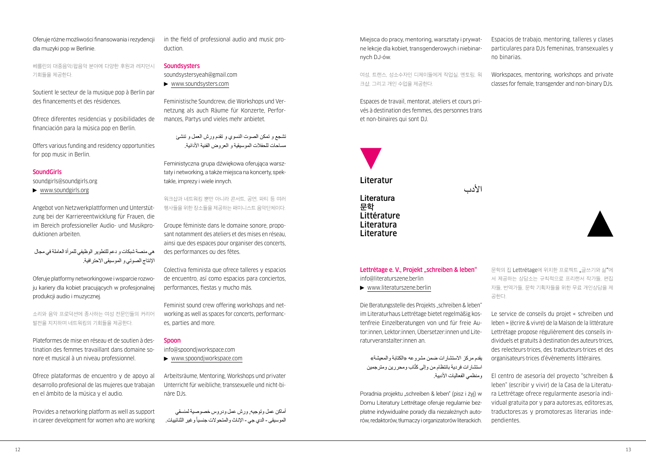## Oferuje różne możliwości finansowania i rezydencji dla muzyki pop w Berlinie.

베를린의 대중음악/팝음악 분야에 다양한 후원과 레지던시 기회들을 제공한다.

Soutient le secteur de la musique pop à Berlin par des financements et des résidences.

Ofrece diferentes residencias y posibilidades de financiación para la música pop en Berlín.

Offers various funding and residency opportunities for pop music in Berlin.

## **SoundGirls**

[soundgirls@soundgirls.org](mailto:soundgirls@soundgirls.org)

[www.soundgirls.org](http://www.soundgirls.org)

Angebot von Netzwerkplattformen und Unterstützung bei der Karriereentwicklung für Frauen, die im Bereich professioneller Audio- und Musikproduktionen arbeiten.

هي منصة شبكات و دعم للتطوير الوظيفي للمرأة العاملة في مجال اإلنتاج الصوتي و الموسيقى االحترافية.

Oferuje platformy networkingowe i wsparcie rozwoju kariery dla kobiet pracujących w profesjonalnej produkcji audio i muzycznej.

소리와 음악 프로덕션에 종사하는 여성 전문인들의 커리어 발전을 지지하며 네트워킹의 기회들을 제공한다.

Plateformes de mise en réseau et de soutien à destination des femmes travaillant dans domaine sonore et musical à un niveau professionnel.

Ofrece plataformas de encuentro y de apoyo al desarrollo profesional de las mujeres que trabajan en el ámbito de la música y el audio.

Provides a networking platform as well as support in career development for women who are working in the field of professional audio and music production.

## **Soundsysters**

[soundsystersyeah@gmail.com](mailto:soundsystersyeah@gmail.com)

[www.soundsysters.com](http://www.soundsysters.com)

Feministische Soundcrew, die Workshops und Vernetzung als auch Räume für Konzerte, Performances, Partys und vieles mehr anbietet.

> تشجع و تمكن الصوت النسوي و تقدم ورش العمل و تنشئ مساحات للحفلات الموسيقية و العروض الفنية الأدائية.

Feministyczna grupa dźwiękowa oferująca warsztaty i networking, a także miejsca na koncerty, spektakle, imprezy i wiele innych.

워크샵과 네트워킹 뿐만 아니라 콘서트, 공연, 파티 등 여러 행사들을 위한 장소들을 제공하는 패미니스트 음악단체이다.

Groupe féministe dans le domaine sonore, proposant notamment des ateliers et des mises en réseau, ainsi que des espaces pour organiser des concerts, des performances ou des fêtes.

Colectiva feminista que ofrece talleres y espacios de encuentro, así como espacios para conciertos, performances, fiestas y mucho más.

Feminist sound crew offering workshops and networking as well as spaces for concerts, performances, parties and more.

## Spoon

[info@spoondjworkspace.com](mailto:info@spoondjworkspace.com) [www.spoondjworkspace.com](http://www.spoondjworkspace.com)

Arbeitsräume, Mentoring, Workshops und privater Unterricht für weibliche, transsexuelle und nicht-binäre DJs.

أماكن عمل وتوجيه, ورش عمل ودروس خصوصية لمنسقي الموسيقي - الدي جي - الإناث والمتحولات جنسياً وغير الثنائييات.

Miejsca do pracy, mentoring, warsztaty i prywatne lekcje dla kobiet, transgenderowych i niebinarnych DJ-ów.

여성, 트랜스, 성소수자인 디제이들에게 작업실, 멘토링, 워 크샵, 그리고 개인 수업을 제공한다.

Espaces de travail, mentorat, ateliers et cours privés à destination des femmes, des personnes trans et non-binaires qui sont DJ.

األدب

Literatur Literatura **문학** Littérature Literatura Literature

Lettrétage e. V., Projekt "schreiben & leben" [info@literaturszene.berlin](mailto:info@literaturszene.berlin)

[www.literaturszene.berlin](http://www.literaturszene.berlin)

Die Beratungsstelle des Projekts "schreiben & leben" im Literaturhaus Lettrétage bietet regelmäßig kostenfreie Einzelberatungen von und für freie Autor:innen, Lektor:innen, Übersetzer:innen und Literaturveranstalter:innen an.

يقدم مركز الاستشارات ضمن مشروعه «الكتابة والمعشة» استشارات فردية بانتظام من وإلى كتّاب ومحررين ومترجمين ومنظمي الفعاليات األدبية.

Poradnia projektu "schreiben & leben" (pisz i żyj) w Domu Literatury Lettrétage oferuje regularnie bezpłatne indywidualne porady dla niezależnych autorów, redaktorów, tłumaczy i organizatorów literackich. Espacios de trabajo, mentoring, talleres y clases particulares para DJs femeninas, transexuales y no binarias.

Workspaces, mentoring, workshops and private classes for female, transgender and non-binary DJs.

문학의 집 Lettrétage에 위치한 프로젝트 "글쓰기와 삶"에 서 제공하는 상담소는 규칙적으로 프리랜서 작가들, 편집 자들, 번역가들, 문학 기획자들을 위한 무료 개인상담을 제 공한다.

Le service de conseils du projet « schreiben und leben » (écrire & vivre) de la Maison de la littérature Lettrétage propose régulièrement des conseils individuels et gratuits à destination des auteurs·trices, des relecteurs·trices, des traducteurs·trices et des organisateurs·trices d'évènements littéraires.

El centro de asesoría del proyecto "schreiben & leben" (escribir y vivir) de la Casa de la Literatura Lettrétage ofrece regularmente asesoría individual gratuita por y para autores:as, editores:as, traductores:as y promotores:as literarias independientes.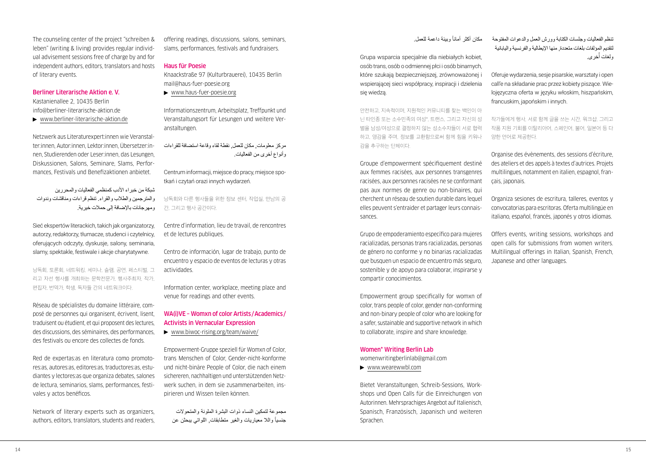The counseling center of the project "schreiben & leben" (writing & living) provides regular individual advisement sessions free of charge by and for independent authors, editors, translators and hosts of literary events.

Berliner Literarische Aktion e. V.

Kastanienallee 2, 10435 Berlin [info@berliner-literarische-aktion.de](mailto:info@berliner-literarische-aktion.de)

[www.berliner-literarische-aktion.de](http://www.berliner-literarische-aktion.de)

Netzwerk aus Literaturexpert:innen wie Veranstalter:innen, Autor:innen, Lektor:innen, Übersetzer:innen, Studierenden oder Leser:innen, das Lesungen, Diskussionen, Salons, Seminare, Slams, Performances, Festivals und Benefizaktionen anbietet.

شبكة من خبراء األدب كمنظمي الفعاليات والمحررين والمترجمين والطالب والقراء. تنظم قراءات ومناقشات وندوات ومهرجانات باإلضافة إلى حمالت خيرية.

Sieć ekspertów literackich, takich jak organizatorzy, autorzy, redaktorzy, tłumacze, studenci i czytelnicy, oferujących odczyty, dyskusje, salony, seminaria, slamy, spektakle, festiwale i akcje charytatywne.

낭독회, 토론회, 네트워킹, 세미나, 슬램, 공연, 페스티벌, 그 리고 자선 행사를 개최하는 문학전문가, 행사주최자, 작가, 편집자, 번역가, 학생, 독자들 간의 네트워크이다.

Réseau de spécialistes du domaine littéraire, composé de personnes qui organisent, écrivent, lisent, traduisent ou étudient, et qui proposent des lectures, des discussions, des séminaires, des performances, des festivals ou encore des collectes de fonds.

Red de expertas:as en literatura como promotores:as, autores:as, editores:as, traductores:as, estudiantes y lectores:as que organiza debates, salones de lectura, seminarios, slams, performances, festivales y actos benéficos.

Network of literary experts such as organizers, authors, editors, translators, students and readers, offering readings, discussions, salons, seminars, slams, performances, festivals and fundraisers.

## Haus für Poesie

Knaackstraße 97 (Kulturbrauerei), 10435 Berlin [mail@haus-fuer-poesie.org](mailto:mail@haus-fuer-poesie.org)

[www.haus-fuer-poesie.org](http://www.haus-fuer-poesie.org)

Informationszentrum, Arbeitsplatz, Treffpunkt und Veranstaltungsort für Lesungen und weitere Veranstaltungen.

مركز معلومات, مكان للعمل, نقطة لقاء وقاعة استضافة للقراءات وأنواع أخرى من الفعاليات.

Centrum informacji, miejsce do pracy, miejsce spotkań i czytań orazi innych wydarzeń.

낭독회와 다른 행사들을 위한 정보 센터, 작업실, 만남의 공 간, 그리고 행사 공간이다.

Centre d'information, lieu de travail, de rencontres et de lectures publiques.

Centro de información, lugar de trabajo, punto de encuentro y espacio de eventos de lecturas y otras actividades.

Information center, workplace, meeting place and venue for readings and other events.

## WA(i)VE – Womxn of color Artists/Academics/ Activists in Vernacular Expression

[www.biwoc-rising.org/team/waive/](http://www.biwoc-rising.org/team/waive/)

Empowerment-Gruppe speziell für Womxn of Color, trans Menschen of Color, Gender-nicht-konforme und nicht-binäre People of Color, die nach einem sichereren, nachhaltigen und unterstützenden Netzwerk suchen, in dem sie zusammenarbeiten, inspirieren und Wissen teilen können.

مجموعة لتمكين النساء ذوات البشرة الملونة والمتحوالت جنسياً واللا معياريات والغير منطابقات, اللواتي يبحثن عن

مكان أكثر أماناً وببيئة داعمة للعمل.

Grupa wsparcia specjalnie dla niebiałych kobiet, osób trans, osób o odmiennej płci i osób binarnych, które szukają bezpieczniejszej, zrównoważonej i wspierającej sieci współpracy, inspiracji i dzielenia się wiedzą.

안전하고, 지속적이며, 지원적인 커뮤니티를 찾는 백인이 아 닌 타인종 또는 소수민족의 여성\*, 트랜스, 그리고 자신의 성 별을 남성/여성으로 결정하지 않는 성소수자들이 서로 협력 하고, 영감을 주며, 정보를 교환함으로써 함께 힘을 키워나 감을 추구하는 단체이다.

Groupe d'empowerment spécifiquement destiné aux femmes racisées, aux personnes transgenres racisées, aux personnes racisées ne se conformant pas aux normes de genre ou non-binaires, qui cherchent un réseau de soutien durable dans lequel elles peuvent s'entraider et partager leurs connaissances.

Grupo de empoderamiento específico para mujeres racializadas, personas trans racializadas, personas de género no conforme y no binarias racializadas que busquen un espacio de encuentro más seguro, sostenible y de apoyo para colaborar, inspirarse y compartir conocimientos.

Empowerment group specifically for womxn of color, trans people of color, gender non-conforming and non-binary people of color who are looking for a safer, sustainable and supportive network in which to collaborate, inspire and share knowledge.

## Women\* Writing Berlin Lab

[womenwritingberlinlab@gmail.com](mailto:womenwritingberlinlab@gmail.com)

[www.wearewwbl.com](http://www.wearewwbl.com)

Bietet Veranstaltungen, Schreib-Sessions, Workshops und Open Calls für die Einreichungen von Autorinnen. Mehrsprachiges Angebot auf Italienisch, Spanisch, Französisch, Japanisch und weiteren Sprachen.

تنظم الفعاليات وجلسات الكتابة وورش العمل والدعوات المفتوحة لتقديم المؤلفات بلغات متعددة, منها اإليطالية والفرنسية واليابانية رلغات أخرى.

Oferuje wydarzenia, sesje pisarskie, warsztaty i open call'e na składanie prac przez kobiety piszące. Wielojęzyczna oferta w języku włoskim, hiszpańskim, francuskim, japońskim i innych.

작가들에게 행사, 서로 함께 글을 쓰는 시간, 워크샵, 그리고 작품 지원 기회를 이탈리아어, 스페인어, 불어, 일본어 등 다 양한 언어로 제공한다.

Organise des évènements, des sessions d'écriture, des ateliers et des appels à textes d'autrices. Projets multilingues, notamment en italien, espagnol, français, japonais.

Organiza sesiones de escritura, talleres, eventos y convocatorias para escritoras. Oferta multilingüe en italiano, español, francés, japonés y otros idiomas.

Offers events, writing sessions, workshops and open calls for submissions from women writers. Multilingual offerings in Italian, Spanish, French, Japanese and other languages.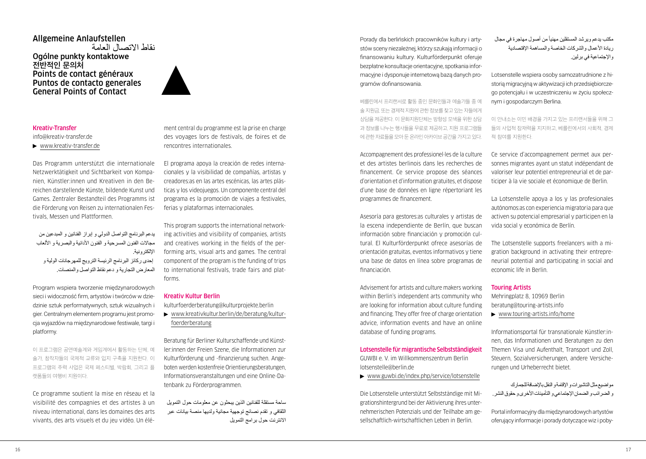Allgemeine Anlaufstellen نقاط االتصال العامة Ogólne punkty kontaktowe **전반적인 문의처** Points de contact généraux Puntos de contacto generales General Points of Contact



## Kreativ-Transfer

[info@kreativ-transfer.de](mailto:info@kreativ-transfer.de) 

[www.kreativ-transfer.de](http://www.kreativ-transfer.de)

Das Programm unterstützt die internationale Netzwerktätigkeit und Sichtbarkeit von Kompanien, Künstler:innen und Kreativen in den Bereichen darstellende Künste, bildende Kunst und Games. Zentraler Bestandteil des Programms ist die Förderung von Reisen zu internationalen Festivals, Messen und Plattformen.

يدعم البرنامج التواصل الدولي و إبراز الفنانين و المبدعين من مجاالت الفنون المسرحية و الفنون األدائية والبصرية و األلعاب اإللكترونية.

 إحدى ركائز البرنامج الرئيسة الترويج للمهرجانات الولية و المعارض التجارية و دعم نقاط التواصل والمنصات.

Program wspiera tworzenie międzynarodowych sieci i widoczność firm, artystów i twórców w dziedzinie sztuk performatywnych, sztuk wizualnych i gier. Centralnym elementem programu jest promocja wyjazdów na międzynarodowe festiwale, targi i platformy.

이 프로그램은 공연예술계와 게임계에서 활동하는 단체, 예 술가, 창작자들의 국제적 교류와 입지 구축을 지원한다. 이 프로그램의 주력 사업은 국제 페스티벌, 박람회, 그리고 플 랫폼들의 여행비 지원이다.

Ce programme soutient la mise en réseau et la visibilité des compagnies et des artistes à un niveau international, dans les domaines des arts vivants, des arts visuels et du jeu vidéo. Un élément central du programme est la prise en charge des voyages lors de festivals, de foires et de rencontres internationales.

El programa apoya la creación de redes internacionales y la visibilidad de compañías, artistas y creadores:as en las artes escénicas, las artes plásticas y los videojuegos. Un componente central del programa es la promoción de viajes a festivales, ferias y plataformas internacionales.

This program supports the international networking activities and visibility of companies, artists and creatives working in the fields of the performing arts, visual arts and games. The central component of the program is the funding of trips to international festivals, trade fairs and platforms.

## Kreativ Kultur Berlin

[kulturfoerderberatung@kulturprojekte.berlin](mailto:kulturfoerderberatung@kulturprojekte.berlin)

 [www.kreativkultur.berlin/de/beratung/kultur](http://www.kreativkultur.berlin/de/beratung/kulturfoerderberatung)[foerderberatung](http://www.kreativkultur.berlin/de/beratung/kulturfoerderberatung)

Beratung für Berliner Kulturschaffende und Künstler:innen der Freien Szene, die Informationen zur Kulturförderung und -finanzierung suchen. Angeboten werden kostenfreie Orientierungsberatungen, Informationsveranstaltungen und eine Online-Datenbank zu Förderprogrammen.

ساحة مستقلة للفنانين الذين يبحثون عن معلومات حول التمويل الثقافي و تقدم نصائج توجهية مجانية ولديها منصة بيانات عبر االنترنت حول برامج التمويل Porady dla berlińskich pracowników kultury i artystów sceny niezależnej, którzy szukają informacji o finansowaniu kultury. Kulturförderpunkt oferuje bezpłatne konsultacje orientacyjne, spotkania informacyjne i dysponuje internetową bazą danych programów dofinansowania.

베를린에서 프리랜서로 활동 중인 문화인들과 예술가들 중 예 술 지원금, 또는 경제적 지원에 관한 정보를 찾고 있는 자들에게 상담을 제공한다. 이 문화지원단체는 방향성 모색을 위한 상담 과 정보를 나누는 행사들을 무료로 제공하고, 지원 프로그램들 에 관한 자료들을 모아 둔 온라인 아카이브 공간을 가지고 있다.

Accompagnement des professionel·les de la culture et des artistes berlinois dans les recherches de financement. Ce service propose des séances d'orientation et d'information gratuites, et dispose d'une base de données en ligne répertoriant les programmes de financement.

Asesoría para gestores:as culturales y artistas de la escena independiente de Berlín, que buscan información sobre financiación y promoción cultural. El Kulturförderpunkt ofrece asesorías de orientación gratuitas, eventos informativos y tiene una base de datos en línea sobre programas de financiación.

Advisement for artists and culture makers working within Berlin's independent arts community who are looking for information about culture funding and financing. They offer free of charge orientation advice, information events and have an online database of funding programs.

Lotsenstelle für migrantische Selbstständigkeit GUWBI e. V. im Willkommenszentrum Berlin [lotsenstelle@berlin.de](mailto:lotsenstelle@berlin.de)

[www.guwbi.de/index.php/](http://www.guwbi.de/index.php)service/lotsenstelle

Die Lotsenstelle unterstützt Selbstständige mit Migrationshintergrund bei der Aktivierung ihres unternehmerischen Potenzials und der Teilhabe am gesellschaftlich-wirtschaftlichen Leben in Berlin.

مكتب يدعم ويرشد المستقلين مهنياً من أصول مهاجرة في مجال ر يادة الأعمال والشركات الخاصية والمساهمة الإقتصادية واإلجتماعية في برلين.

Lotsenstelle wspiera osoby samozatrudnione z historią migracyjną w aktywizacji ich przedsiębiorczego potencjału i w uczestniczeniu w życiu społecznym i gospodarczym Berlina.

이 안내소는 이민 배경을 가지고 있는 프리랜서들을 위해 그 들의 사업적 잠재력을 지지하고, 베를린에서의 사회적, 경제 적 참여를 지원한다.

Ce service d'accompagnement permet aux personnes migrantes ayant un statut indépendant de valoriser leur potentiel entrepreneurial et de participer à la vie sociale et économique de Berlin.

La Lotsenstelle apoya a los y las profesionales autónomos:as con experiencia migratoria para que activen su potencial empresarial y participen en la vida social y económica de Berlín.

The Lotsenstelle supports freelancers with a migration background in activating their entrepreneurial potential and participating in social and economic life in Berlin.

#### Touring Artists

Mehringplatz 8, 10969 Berlin [beratung@touring-artists.info](mailto:beratung@touring-artists.info)

[www.touring-artists.info/home](http://www.touring-artists.info/home)

Informationsportal für transnationale Künstler:innen, das Informationen und Beratungen zu den Themen Visa und Aufenthalt, Transport und Zoll, Steuern, Sozialversicherungen, andere Versicherungen und Urheberrecht bietet.

مواضيع مثل التاشيرات و اإلقامة و النقل باإلضافة للجمارك و الضرائب و الضمان الإجتماعي و التأمينات الأخرى و حقوق النشر .

Portal informacyjny dla międzynarodowych artystów oferujący informacje i porady dotyczące wiz i poby-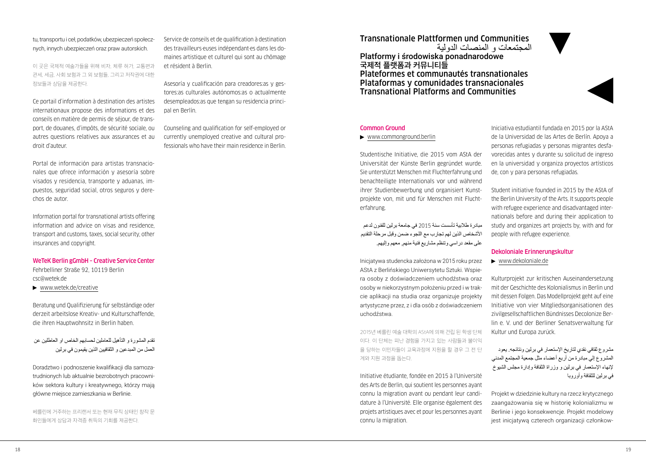## tu, transportu i ceł, podatków, ubezpieczeń społecznych, innych ubezpieczeń oraz praw autorskich.

이 곳은 국제적 예술가들을 위해 비자, 체류 허가, 교통편과 관세, 세금, 사회 보험과 그 외 보험들, 그리고 저작권에 대한 정보들과 상담을 제공한다.

Ce portail d'information à destination des artistes internationaux propose des informations et des conseils en matière de permis de séjour, de transport, de douanes, d'impôts, de sécurité sociale, ou autres questions relatives aux assurances et au droit d'auteur.

Portal de información para artistas transnacionales que ofrece información y asesoría sobre visados y residencia, transporte y aduanas, impuestos, seguridad social, otros seguros y derechos de autor.

Information portal for transnational artists offering information and advice on visas and residence, transport and customs, taxes, social security, other insurances and copyright.

WeTeK Berlin gGmbH – Creative Service Center Fehrbelliner Straße 92, 10119 Berlin

[csc@wetek.de](mailto:csc@wetek.de) 

[www.wetek.de/creative](http://www.wetek.de/creative)

Beratung und Qualifizierung für selbständige oder derzeit arbeitslose Kreativ- und Kulturschaffende, die ihren Hauptwohnsitz in Berlin haben.

تقدم المشورة و التأهيل للعاملين لحسابهم الخاص او العاطلين عن العمل من المبدعين و الثقافيين الذين يقيمون في برلين

Doradztwo i podnoszenie kwalifikacji dla samozatrudnionych lub aktualnie bezrobotnych pracowników sektora kultury i kreatywnego, którzy mają główne miejsce zamieszkania w Berlinie.

베를린에 거주하는 프리랜서 또는 현재 무직 상태인 창작 문 화인들에게 상담과 자격증 취득의 기회를 제공한다.

Service de conseils et de qualification à destination des travailleurs·euses indépendant·es dans les domaines artistique et culturel qui sont au chômage et résident à Berlin.

Asesoría y cualificación para creadores:as y gestores:as culturales autónomos:as o actualmente desempleados:as que tengan su residencia principal en Berlín.

Counseling and qualification for self-employed or currently unemployed creative and cultural professionals who have their main residence in Berlin.

## Transnationale Plattformen und Communities المجتمعات و المنصات الدولية

Platformy i środowiska ponadnarodowe **국제적 플랫폼과 커뮤니티들** Plateformes et communautés transnationales Plataformas y comunidades transnacionales Transnational Platforms and Communities

## Common Ground

## [www.commonground.berlin](http://www.commonground.berlin)

Studentische Initiative, die 2015 vom AStA der Universität der Künste Berlin gegründet wurde. Sie unterstützt Menschen mit Fluchterfahrung und benachteiligte Internationals vor und während ihrer Studienbewerbung und organisiert Kunstprojekte von, mit und für Menschen mit Fluchterfahrung.

مبادر ة طلابية تأسست سنة 2015 في جامعة برلين للفنون لدعم األشخاص الذين لهم تجارب مع اللجوء ضمن وقبل مرحلة التقديم على مقعد دراسي وتنظم مشاريع فنية منهم, معهم وإليهم.

Inicjatywa studencka założona w 2015 roku przez AStA z Berlińskiego Uniwersytetu Sztuki. Wspiera osoby z doświadczeniem uchodźstwa oraz osoby w niekorzystnym położeniu przed i w trakcie aplikacji na studia oraz organizuje projekty artystyczne przez, z i dla osób z doświadczeniem uchodźstwa.

2015년 베를린 예술 대학의 AStA에 의해 건립 된 학생 단체 이다. 이 단체는 피난 경험을 가지고 있는 사람들과 불이익 을 당하는 이민자들이 교육과정에 지원을 할 경우 그 전 단 계와 지원 과정을 돕는다.

Initiative étudiante, fondée en 2015 à l'Université des Arts de Berlin, qui soutient les personnes ayant connu la migration avant ou pendant leur candidature à l'Université. Elle organise également des projets artistiques avec et pour les personnes ayant connu la migration.

Iniciativa estudiantil fundada en 2015 por la AStA de la Universidad de las Artes de Berlín. Apoya a personas refugiadas y personas migrantes desfavorecidas antes y durante su solicitud de ingreso en la universidad y organiza proyectos artísticos de, con y para personas refugiadas.

Student initiative founded in 2015 by the AStA of the Berlin University of the Arts. It supports people with refugee experience and disadvantaged internationals before and during their application to study and organizes art projects by, with and for people with refugee experience.

#### Dekoloniale Erinnerungskultur

[www.dekoloniale.de](http://www.dekoloniale.de)

Kulturprojekt zur kritischen Auseinandersetzung mit der Geschichte des Kolonialismus in Berlin und mit dessen Folgen. Das Modellprojekt geht auf eine Initiative von vier Mitgliedsorganisationen des zivilgesellschaftlichen Bündnisses Decolonize Berlin e. V. und der Berliner Senatsverwaltung für Kultur und Europa zurück.

مشروع ثقافي نقدي لتاريخ اإلستعمار في برلين ونتائجه. يعود المشروع إلي مبادرة من أربع أعضاء مثل جمعية المجتمع المدني إلنهاء اإلستعمار في برلين و وزراة الثقافة وإدارة مجلس الشيوخ في برلين للثقافة وأوروبا

Projekt w dziedzinie kultury na rzecz krytycznego zaangażowania się w historię kolonializmu w Berlinie i jego konsekwencje. Projekt modelowy jest inicjatywą czterech organizacji członkow-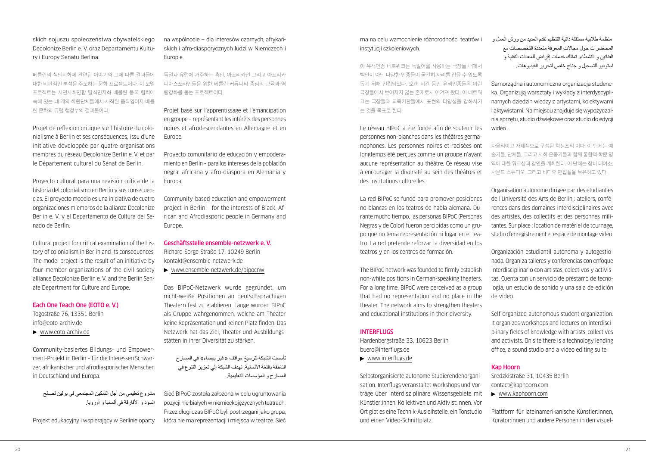## skich sojuszu społeczeństwa obywatelskiego Decolonize Berlin e. V. oraz Departamentu Kultury i Europy Senatu Berlina.

베를린의 식민지화에 관련된 이야기와 그에 따른 결과들에 대한 비판적인 분석을 주도하는 문화 프로젝트이다. 이 모델 프로젝트는 시민사회연합 탈식민지화 베를린 등록 협회에 속해 있는 네 개의 회원단체들에서 시작된 움직임이자 베를 린 문화와 유럽 행정부의 결과물이다.

Projet de réflexion critique sur l'histoire du colonialisme à Berlin et ses conséquences, issu d'une initiative développée par quatre organisations membres du réseau Decolonize Berlin e. V. et par le Département culturel du Sénat de Berlin.

Proyecto cultural para una revisión crítica de la historia del colonialismo en Berlín y sus consecuencias. El proyecto modelo es una iniciativa de cuatro organizaciones miembros de la alianza Decolonize Berlin e. V. y el Departamento de Cultura del Senado de Berlín.

Cultural project for critical examination of the history of colonialism in Berlin and its consequences. The model project is the result of an initiative by four member organizations of the civil society alliance Decolonize Berlin e. V. and the Berlin Senate Department for Culture and Europe.

## Each One Teach One (EOTO e. V.)

Togostraße 76, 13351 Berlin [info@eoto-archiv.de](mailto:info@eoto-archiv.de) [www.eoto-archiv.de](http://www.eoto-archiv.de)

Community-basiertes Bildungs- und Empowerment-Projekt in Berlin – für die Interessen Schwarzer, afrikanischer und afrodiasporischer Menschen in Deutschland und Europa.

مشروع تعليمي من أجل التمكين المجتمعي في برلين لصالح السود و األفارقة في ألمانيا و أوروبا.

Projekt edukacyjny i wspierający w Berlinie oparty

na wspólnocie – dla interesów czarnych, afrykańskich i afro-diasporycznych ludzi w Niemczech i Europie.

독일과 유럽에 거주하는 흑인, 아프리카인 그리고 아프리카 디아스포라인들을 위한 베를린 커뮤니티 중심의 교육과 역 량강화를 돕는 프로젝트이다.

Projet basé sur l'apprentissage et l'émancipation en groupe – représentant les intérêts des personnes noires et afrodescendantes en Allemagne et en Europe.

Proyecto comunitario de educación y empoderamiento en Berlín – para los intereses de la población negra, africana y afro-diáspora en Alemania y Europa

Community-based education and empowerment project in Berlin – for the interests of Black, African and Afrodiasporic people in Germany and Europe.

Geschäftsstelle ensemble-netzwerk e. V.

Richard-Sorge-Straße 17, 10249 Berlin [kontakt@ensemble-netzwerk.de](mailto:kontakt@ensemble-netzwerk.de)

[www.ensemble-netzwerk.de/bipocnw](http://www.ensemble-netzwerk.de/bipocnw)

Das BIPoC-Netzwerk wurde gegründet, um nicht-weiße Positionen an deutschsprachigen Theatern fest zu etablieren. Lange wurden BIPoC als Gruppe wahrgenommen, welche am Theater keine Repräsentation und keinen Platz finden. Das Netzwerk hat das Ziel, Theater und Ausbildungsstätten in ihrer Diversität zu stärken.

تأسست الشبكة لترسيخ مواقف «غير بيضاء» في المسارح الناطقة باللغة الألمانية. تهدف الشبكة إلي تعزيز التنوع في المسارح و المؤسسات التعليمية.

Sieć BIPoC została założona w celu ugruntowania pozycji nie-białych w niemieckojęzycznych teatrach. Przez długi czas BIPoC byli postrzegani jako grupa, która nie ma reprezentacji i miejsca w teatrze. Sieć ma na celu wzmocnienie różnorodności teatrów i instytucji szkoleniowych.

이 유색인종 네트워크는 독일어를 사용하는 극장들 내에서 백인이 아닌 다양한 인종들이 굳건히 자리를 잡을 수 있도록 돕기 위해 건립되었다. 오랜 시간 동안 유색인종들은 이런 극장들에서 보여지지 않는 존재로서 여겨져 왔다. 이 네트워 크는 극장들과 교육기관들에서 표현의 다양성을 강화시키 는 것을 목표로 한다.

Le réseau BIPoC a été fondé afin de soutenir les personnes non-blanches dans les théâtres germanophones. Les personnes noires et racisées ont longtemps été perçues comme un groupe n'ayant aucune représentation au théâtre. Ce réseau vise à encourager la diversité au sein des théâtres et des institutions culturelles.

La red BIPoC se fundó para promover posiciones no-blancas en los teatros de habla alemana. Durante mucho tiempo, las personas BIPoC (Personas Negras y de Color) fueron percibidas como un grupo que no tenía representación ni lugar en el teatro. La red pretende reforzar la diversidad en los teatros y en los centros de formación.

The BIPoC network was founded to firmly establish non-white positions in German-speaking theaters. For a long time, BIPoC were perceived as a group that had no representation and no place in the theater. The network aims to strengthen theaters and educational institutions in their diversity.

#### INTERFLUGS

Hardenbergstraße 33, 10623 Berlin [buero@interflugs.de](mailto:buero@interflugs.de) 

[www.interflugs.de](http://www.interflugs.de)

Selbstorganisierte autonome Studierendenorganisation. Interflugs veranstaltet Workshops und Vorträge über interdisziplinäre Wissensgebiete mit Künstler:innen, Kollektiven und Aktivist:innen. Vor Ort gibt es eine Technik-Ausleihstelle, ein Tonstudio und einen Video-Schnittplatz.

 منظمة طالبية مستقلة ذاتية التنظيم تقدم العديد من ورش العمل و المحاضرات حول مجاالت المعرفة متعددة التخصصات مع الفنانين و النشطاء. تمتلك خدمات إقراض للمعدات التقنية و استوديو للتسجيل و جناح خاص لتحرير الفيديوهات.

Samorządna i autonomiczna organizacja studencka. Organizują warsztaty i wykłady z interdyscyplinarnych dziedzin wiedzy z artystami, kolektywami i aktywistami. Na miejscu znajduje się wypożyczalnia sprzętu, studio dźwiękowe oraz studio do edycji wideo.

자율적이고 자체적으로 구성된 학생조직 이다. 이 단체는 예 술가들, 단체들, 그리고 사회 운동가들과 함께 통합적 학문 영 역에 대한 워크샵과 강연을 개최한다. 이 단체는 장비 대여소, 사운드 스튜디오, 그리고 비디오 편집실을 보유하고 있다.

Organisation autonome dirigée par des étudiant·es de l'Université des Arts de Berlin : ateliers, conférences dans des domaines interdisciplinaires avec des artistes, des collectifs et des personnes militantes. Sur place : location de matériel de tournage, studio d'enregistrement et espace de montage vidéo.

Organización estudiantil autónoma y autogestionada. Organiza talleres y conferencias con enfoque interdisciplinario con artistas, colectivos y activistas. Cuenta con un servicio de préstamo de tecnología, un estudio de sonido y una sala de edición de vídeo.

Self-organized autonomous student organization. It organizes workshops and lectures on interdisciplinary fields of knowledge with artists, collectives and activists. On site there is a technology lending office, a sound studio and a video editing suite.

## Kap Hoorn

Sredzkistraße 31, 10435 Berlin [contact@kaphoorn.com](mailto:contact@kaphoorn.com)

[www.kaphoorn.com](http://www.kaphoorn.com)

Plattform für lateinamerikanische Künstler:innen, Kurator:innen und andere Personen in den visuel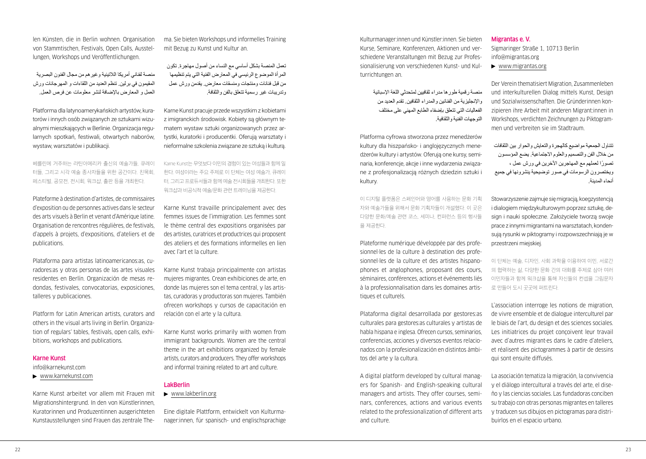len Künsten, die in Berlin wohnen. Organisation von Stammtischen, Festivals, Open Calls, Ausstellungen, Workshops und Veröffentlichungen.

منصة لفناني أمريكا الالتينية وغيرهم من مجال الفنون البصرية المقيمون في برلين. تنظم العديد من اللقاءات و المهرجانات ورش العمل و المعارض باإلضافة لنشر معلومات عن فرص العمل.

Platforma dla latynoamerykańskich artystów, kuratorów i innych osób związanych ze sztukami wizualnymi mieszkających w Berlinie. Organizacja regularnych spotkań, festiwali, otwartych naborów, wystaw, warsztatów i publikacji.

베를린에 거주하는 라틴아메리카 출신의 예술가들, 큐레이 터들, 그리고 시각 예술 종사자들을 위한 공간이다. 친목회, 페스티벌, 공모전, 전시회, 워크샵, 출판 등을 개최한다.

Plateforme à destination d'artistes, de commissaires d'exposition ou de personnes actives dans le secteur des arts visuels à Berlin et venant d'Amérique latine. Organisation de rencontres régulières, de festivals, d'appels à projets, d'expositions, d'ateliers et de publications.

Plataforma para artistas latinoamericanos:as, curadores:as y otras personas de las artes visuales residentes en Berlín. Organización de mesas redondas, festivales, convocatorias, exposiciones, talleres y publicaciones.

Platform for Latin American artists, curators and others in the visual arts living in Berlin. Organization of regulars' tables, festivals, open calls, exhibitions, workshops and publications.

## Karne Kunst

[info@karnekunst.com](mailto:info@karnekunst.com)

[www.karnekunst.com](http://www.karnekunst.com)

Karne Kunst arbeitet vor allem mit Frauen mit Migrationshintergrund. In den von Künstlerinnen, Kuratorinnen und Produzentinnen ausgerichteten Kunstausstellungen sind Frauen das zentrale Thema. Sie bieten Workshops und informelles Training mit Bezug zu Kunst und Kultur an.

تعمل المنصة بشكل أساسي مع النساء من أصول مهاجرة. تكون المرأة الموضوع الرئيسي في المعارض الفنية التي يتم تنظيمها من قبل فنانات ومنتجات ومنسقات معارض. يقدمن ورش عمل وتدريبات غير رسمية تتعلق بالفن والثقافة.

Karne Kunst pracuje przede wszystkim z kobietami z imigranckich środowisk. Kobiety są głównym tematem wystaw sztuki organizowanych przez artystki, kuratorki i producentki. Oferują warsztaty i nieformalne szkolenia związane ze sztuką i kulturą.

Karne Kunst는 무엇보다 이민의 경험이 있는 여성들과 함께 일 한다. 여성이라는 주요 주제로 이 단체는 여성 예술가, 큐레이 터, 그리고 프로듀서들과 함께 예술 전시회들을 개최한다. 또한 워크샵과 비공식적 예술/문화 관련 트레이닝을 제공한다.

Karne Kunst travaille principalement avec des femmes issues de l'immigration. Les femmes sont le thème central des expositions organisées par des artistes, curatrices et productrices qui proposent des ateliers et des formations informelles en lien avec l'art et la culture.

Karne Kunst trabaja principalmente con artistas mujeres migrantes. Crean exhibiciones de arte, en donde las mujeres son el tema central, y las artistas, curadoras y productoras son mujeres. También ofrecen workshops y cursos de capacitación en relación con el arte y la cultura.

Karne Kunst works primarily with women from immigrant backgrounds. Women are the central theme in the art exhibitions organized by female artists, curators and producers. They offer workshops and informal training related to art and culture.

## LakBerlin

## [www.lakberlin.org](http://www.lakberlin.org)

Eine digitale Plattform, entwickelt von Kulturmanager:innen, für spanisch- und englischsprachige Kulturmanager:innen und Künstler:innen. Sie bieten Kurse, Seminare, Konferenzen, Aktionen und verschiedene Veranstaltungen mit Bezug zur Professionalisierung von verschiedenen Kunst- und Kulturrichtungen an.

> منصة رقمية طورها مدراء ثقافيين لمتحدثي اللغة اإلسبانية واإلنجليزية من الفنانين والمدراء الثقافين. تقدم العديد من الفعاليات التي تتعلق بإضفاء الطابع المهني على مختلف التوجهات الفنية والثقافية.

Platforma cyfrowa stworzona przez menedżerów kultury dla hiszpańsko- i anglojęzycznych menedżerów kultury i artystów. Oferują one kursy, seminaria, konferencje, akcje i inne wydarzenia związane z profesjonalizacją różnych dziedzin sztuki i kultury.

이 디지털 플랫폼은 스페인어와 영어를 사용하는 문화 기획 자와 예술가들을 위해서 문화 기획자들이 개설했다. 이 곳은 다양한 문화/예술 관련 코스, 세미나, 컨퍼런스 등의 행사들 을 제공한다.

Plateforme numérique développée par des profesionnel·les de la culture à destination des profesionnel·les de la culture et des artistes hispanophones et anglophones, proposant des cours, séminaires, conférences, actions et événements liés à la professionnalisation dans les domaines artistiques et culturels.

Plataforma digital desarrollada por gestores:as culturales para gestores:as culturales y artistas de habla hispana e inglesa. Ofrecen cursos, seminarios, conferencias, acciones y diversos eventos relacionados con la profesionalización en distintos ámbitos del arte y la cultura.

A digital platform developed by cultural managers for Spanish- and English-speaking cultural managers and artists. They offer courses, seminars, conferences, actions and various events related to the professionalization of different arts and culture.

#### Migrantas e. V.

Sigmaringer Straße 1, 10713 Berlin [info@migrantas.org](mailto:info@migrantas.org)

[www.migrantas.org](http://www.migrantas.org)

Der Verein thematisiert Migration, Zusammenleben und interkulturellen Dialog mittels Kunst, Design und Sozialwissenschaften. Die Gründerinnen konzipieren ihre Arbeit mit anderen Migrant:innen in Workshops, verdichten Zeichnungen zu Piktogrammen und verbreiten sie im Stadtraum.

تتناول الجمعية مواضيع كالهجرة والتعايش والحوار بين الثقافات من خالل الفن والتصميم والعلوم االجتماعية. يضع المؤسسون ً تصورا لعملهم مع المهاجرين اآلخرين في ورش عمل ، ويختصرون الرسومات في صور توضيحية ينشرونها في جميع أنحاء المدينة.

Stowarzyszenie zajmuje się migracją, koegzystencją i dialogiem międzykulturowym poprzez sztukę, design i nauki społeczne. Założyciele tworzą swoje prace z innymi migrantami na warsztatach, kondensują rysunki w piktogramy i rozpowszechniają je w przestrzeni miejskiej.

이 단체는 예술, 디자인, 사회 과학을 이용하여 이민, 서로간 의 협력하는 삶, 다양한 문화 간의 대화를 주제로 삼아 여러 이민자들과 함께 워크샵을 통해 자신들의 컨셉을 그림문자 로 만들어 도시 곳곳에 퍼트린다.

L'association interroge les notions de migration, de vivre ensemble et de dialogue interculturel par le biais de l'art, du design et des sciences sociales. Les initiatrices du projet concoivent leur travail avec d'autres migrant·es dans le cadre d'ateliers, et réalisent des pictogrammes à partir de dessins qui sont ensuite diffusés.

La asociación tematiza la migración, la convivencia y el diálogo intercultural a través del arte, el diseño y las ciencias sociales. Las fundadoras conciben su trabajo con otras personas migrantes en talleres y traducen sus dibujos en pictogramas para distribuirlos en el espacio urbano.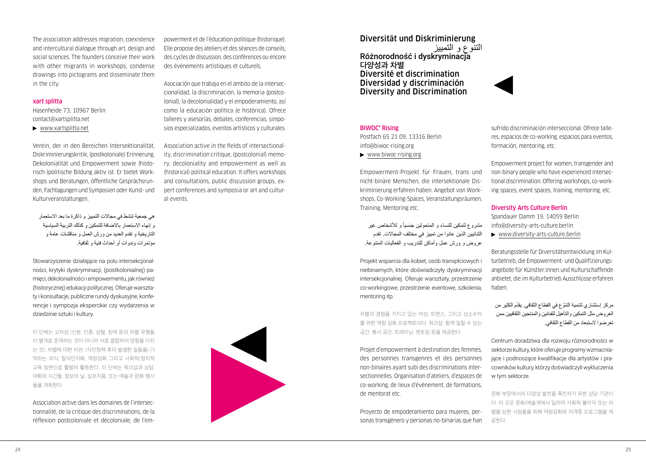The association addresses migration, coexistence and intercultural dialogue through art, design and social sciences. The founders conceive their work with other migrants in workshops, condense drawings into pictograms and disseminate them in the city.

#### xart splitta

Hasenheide 73, 10967 Berlin [contact@xartsplitta.net](mailto:contact@xartsplitta.net)

[www.xartsplitta.net](http://www.xartsplitta.net)

Verein, der in den Bereichen Intersektionalität, Diskriminierungskritik, (postkoloniale) Erinnerung, Dekolonialität und Empowerment sowie (historisch-)politische Bildung aktiv ist. Er bietet Workshops und Beratungen, öffentliche Gesprächsrunden, Fachtagungen und Symposien oder Kunst- und Kulturveranstaltungen.

هي جمعية تنشط في مجاالت التمييز و ذاكرة ما بعد االستعمار و إنهاء االستعمار باالضافة للتمكين و كذلك التربية السياسية التاريخية و تقدم العديد من ورش العمل و مناقشات عامة و مؤتمرات وندوات أو أحداث فنية و ثقافية.

Stowarzyszenie działające na polu intersekcjonalności, krytyki dyskryminacji, (postkolonialnej) pamięci, dekolonialności i empowermentu, jak również (historycznej) edukacji politycznej. Oferuje warsztaty i konsultacje, publiczne rundy dyskusyjne, konferencje i sympozja eksperckie czy wydarzenia w dziedzinie sztuki i kultury.

이 단체는 교차성 (신분, 인종, 성별, 장애 등의 차별 유형들 이 별개로 존재하는 것이 아니라 서로 결합하여 영향을 미치 는 것), 차별에 대한 비판, (식민정책 후의 발생한 일들을) 기 억하는 의식, 탈식민지화, 역량강화 그리고 사회적/정치적 교육 방면으로 활발히 활동한다. 이 단체는 워크샵과 상담, 대화의 시간들, 정보의 날, 심포지움, 또는 예술과 문화 행사 들을 개최한다.

Association active dans les domaines de l'intersectionnalité, de la critique des discriminations, de la réflexion postcoloniale et décoloniale, de l'empowerment et de l'éducation politique (historique). Elle propose des ateliers et des séances de conseils, des cycles de discussion, des conférences ou encore des événements artistiques et culturels.

Asociación que trabaja en el ámbito de la interseccionalidad, la discriminación, la memoria (postcolonial), la decolonialidad y el empoderamiento, así como la educación política (e histórica). Ofrece talleres y asesorías, debates, conferencias, simposios especializados, eventos artísticos y culturales.

Association active in the fields of intersectionality, discrimination critique, (postcolonial) memory, decoloniality and empowerment as well as (historical) political education. It offers workshops and consultations, public discussion groups, expert conferences and symposia or art and cultural events.



## Diversität und Diskriminierung

Różnorodność i dyskryminacia **다양성과 차별** Diversité et discrimination Diversidad y discriminación Diversity and Discrimination



## BIWOC\* Rising

Postfach 65 21 09, 13316 Berlin [info@biwoc-rising.org](mailto:info@biwoc-rising.org)

[www.biwoc-rising.org](http://www.biwoc-rising.org)

Empowerment-Projekt für Frauen, trans und nicht-binäre Menschen, die intersektionale Diskriminierung erfahren haben. Angebot von Workshops, Co-Working-Spaces, Veranstaltungsräumen, Training, Mentoring etc.

مشروع لتمكين للنساء و المتحولين جنسيأ و للأشخاص غير الثنائيين الذين عانوا من تمييز في مختلف المجاالت. تقدم عروض و ورش عمل وأماكن للتدريب و الفعاليات المتنوعة.

Projekt wsparcia dla kobiet, osób transpłciowych i niebinarnych, które doświadczyły dyskryminacji intersekcjonalnej. Oferuje warsztaty, przestrzenie co-workingowe, przestrzenie eventowe, szkolenia, mentoring itp.

차별의 경험을 가지고 있는 여성, 트랜스, 그리고 성소수자 를 위한 역량 강화 프로젝트이다. 워크샵, 함께 일할 수 있는 공간, 행사 공간, 트레이닝, 멘토링 등을 제공한다.

Projet d'empowerment à destination des femmes, des personnes transgenres et des personnes non-binaires ayant subi des discriminations intersectionnelles. Organisation d'ateliers, d'espaces de co-working, de lieux d'évènement, de formations, de mentorat etc.

Proyecto de empoderamiento para mujeres, personas transgénero y personas no-binarias que han sufrido discriminación interseccional. Ofrece talleres, espacios de co-working, espacios para eventos, formación, mentoring, etc.

Empowerment project for women, transgender and non-binary people who have experienced intersectional discrimination. Offering workshops, co-working spaces, event spaces, training, mentoring, etc.

## Diversity Arts Culture Berlin

Spandauer Damm 19, 14059 Berlin [info@diversity-arts-culture.berlin](mailto:info@diversity-arts-culture.berlin)  [www.diversity-arts-culture.berlin](http://www.diversity-arts-culture.berlin)

Beratungsstelle für Diversitätsentwicklung im Kulturbetrieb, die Empowerment- und Qualifizierungsangebote für Künstler:innen und Kulturschaffende anbietet, die im Kulturbetrieb Ausschlüsse erfahren haben.

ّ مركز إستشاري لتنمية التنو ّ ع في القطاع الثقافي. يقدم الكثير من العروض مثل التمكين والتأهيل للفنانين والمنتجين الثقافيين ممن تعرضوا الستبعاد من القطاع الثقافي.

Centrum doradztwa dla rozwoju różnorodności w sektorze kultury, które oferuje programy wzmacniające i podnoszące kwalifikacje dla artystów i pracowników kultury, którzy doświadczyli wykluczenia w tym sektorze.

문화 부문에서의 다양성 발전을 촉진하기 위한 상담 기관이 다. 이 곳은 문화/예술계에서 일하며 사회적 불이익 또는 차 별을 당한 사람들을 위해 역량강화와 자격증 프로그램을 제 공한다.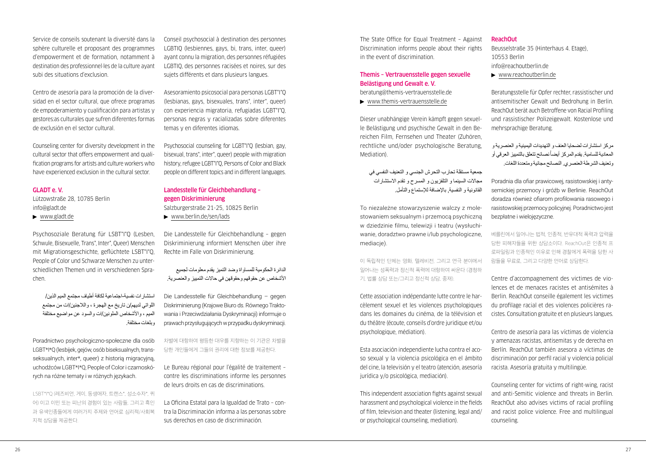## Service de conseils soutenant la diversité dans la sphère culturelle et proposant des programmes d'empowerment et de formation, notamment à destination des professionnel·les de la culture ayant subi des situations d'exclusion.

Centro de asesoría para la promoción de la diversidad en el sector cultural, que ofrece programas de empoderamiento y cualificación para artistas y gestores:as culturales que sufren diferentes formas de exclusión en el sector cultural.

Counseling center for diversity development in the cultural sector that offers empowerment and qualification programs for artists and culture workers who have experienced exclusion in the cultural sector.

## GLADT e. V.

Lützowstraße 28, 10785 Berlin [info@gladt.de](mailto:info@gladt.de)

[www.gladt.de](http://www.gladt.de)

Psychosoziale Beratung für LSBT\*I\*Q (Lesben, Schwule, Bisexuelle, Trans\*, Inter\*, Queer) Menschen mit Migrationsgeschichte, geflüchtete LSBT\*I\*Q, People of Color und Schwarze Menschen zu unterschiedlichen Themen und in verschiedenen Sprachen.

استشارات نفسية-اجتماعية لكافة أطياف مجتمع الميم الذين/ اللواتي لديهم/ن تاريخ مع الهجرة ، والالجئين/ات من مجتمع الميم ، واألشخاص الملونين/ات والسود عن مواضيع مختلفة وبلغات مختلفة.

Poradnictwo psychologiczno-społeczne dla osób LGBT\*I\*Q (lesbijek, gejów, osób biseksualnych, transseksualnych, inter\*, queer) z historią migracyjną, uchodźców LGBT\*I\*Q, People of Color i czarnoskórych na różne tematy i w różnych językach.

LSBT\*I\*Q (레즈비언, 게이, 동생애자, 트랜스\*, 성소수자\*, 퀴 어) 이고 이민 또는 피난의 경험이 있는 사람들, 그리고 흑인 과 유색인종들에게 여러가지 주제와 언어로 심리적/사회복 지적 상담을 제공한다.

Conseil psychosocial à destination des personnes LGBTIQ (lesbiennes, gays, bi, trans, inter, queer) ayant connu la migration, des personnes réfugiées LGBTIQ, des personnes racisées et noires, sur des sujets différents et dans plusieurs langues.

Asesoramiento psicosocial para personas LGBT\*I\*Q (lesbianas, gays, bisexuales, trans\*, inter\*, queer) con experiencia migratoria, refugiadas LGBT\*I\*Q, personas negras y racializadas sobre diferentes temas y en diferentes idiomas.

Psychosocial counseling for LGBT\*I\*Q (lesbian, gay, bisexual, trans\*, inter\*, queer) people with migration history, refugee LGBT\*I\*Q, Persons of Color and Black people on different topics and in different languages.

## Landesstelle für Gleichbehandlung – gegen Diskriminierung

Salzburgerstraße 21-25, 10825 Berlin

[www.berlin.de/sen/lads](http://www.berlin.de/sen/lads)

Die Landesstelle für Gleichbehandlung – gegen Diskriminierung informiert Menschen über ihre Rechte im Falle von Diskriminierung.

الدائرة الحكومية للمساواة وضد التميز يقدم معلومات لجميع األشخاص عن حقوقهم وحقوقهن في حاالت التمييز والعنصرية.

Die Landesstelle für Gleichbehandlung – gegen Diskriminierung (Krajowe Biuro ds. Równego Traktowania i Przeciwdziałania Dyskryminacji) informuje o prawach przysługujących w przypadku dyskryminacji.

차별에 대항하여 평등한 대우를 지향하는 이 기관은 차별을 당한 개인들에게 그들의 권리에 대한 정보를 제공한다.

Le Bureau régional pour l'égalité de traitement – contre les discriminations informe les personnes de leurs droits en cas de discriminations.

La Oficina Estatal para la Igualdad de Trato – contra la Discriminación informa a las personas sobre sus derechos en caso de discriminación.

The State Office for Equal Treatment – Against Discrimination informs people about their rights in the event of discrimination.

## Themis – Vertrauensstelle gegen sexuelle Belästigung und Gewalt e. V.

[beratung@themis-vertrauensstelle.de](mailto:beratung@themis-vertrauensstelle.de) 

[www.themis-vertrauensstelle.de](http://www.themis-vertrauensstelle.de)

Dieser unabhängige Verein kämpft gegen sexuelle Belästigung und psychische Gewalt in den Bereichen Film, Fernsehen und Theater (Zuhören, rechtliche und/oder psychologische Beratung, Mediation).

جمعية مستقلة تحارب التحرش الجنسي و التعنيف النفسي في مجاالت السينما و التلفزيون و المسرح و تقدم االستشارات القانونية و النفسية, باإلضافة لإلستماع والتأمل.

To niezależne stowarzyszenie walczy z molestowaniem seksualnym i przemocą psychiczną w dziedzinie filmu, telewizji i teatru (wysłuchiwanie, doradztwo prawne i/lub psychologiczne, mediacje).

이 독립적인 단체는 영화, 텔레비전, 그리고 연극 분야에서 일어나는 성폭력과 정신적 폭력에 대항하여 싸운다 (경청하 기, 법률 상담 또는/그리고 정신적 상담, 중재).

Cette association indépendante lutte contre le harcèlement sexuel et les violences psychologiques dans les domaines du cinéma, de la télévision et du théâtre (écoute, conseils d'ordre juridique et/ou psychologique, médiation).

Esta asociación independiente lucha contra el acoso sexual y la violencia psicológica en el ámbito del cine, la televisión y el teatro (atención, asesoría jurídica y/o psicológica, mediación).

This independent association fights against sexual harassment and psychological violence in the fields of film, television and theater (listening, legal and/ or psychological counseling, mediation).

## ReachOut

Beusselstraße 35 (Hinterhaus 4. Etage), 10553 Berlin [info@reachoutberlin.de](mailto:info@reachoutberlin.de)

[www.reachoutberlin.de](http://www.reachoutberlin.de)

Beratungsstelle für Opfer rechter, rassistischer und antisemitischer Gewalt und Bedrohung in Berlin. ReachOut berät auch Betroffene von Racial Profiling und rassistischer Polizeigewalt. Kostenlose und mehrsprachige Beratung.

مركز استشارات لضحايا العنف و التهديدات اليمينية و العنصرية و المعادية للسامية. يقدم المركز أيضاً نصائح تتعلق بالتمييز العرقي أو وتعنيف الشرطة العنصري. النصائح مجانية ومتعددة اللغات.

Poradnia dla ofiar prawicowej, rasistowskiej i antysemickiej przemocy i gróźb w Berlinie. ReachOut doradza również ofiarom profilowania rasowego i rasistowskiej przemocy policyjnej. Poradnictwo jest bezpłatne i wielojęzyczne.

베를린에서 일어나는 법적, 인종적, 반유대적 폭력과 압력을 당한 피해자들을 위한 상담소이다. ReachOut은 인종적 프 로파일링과 인종적인 이유로 인해 경찰에게 폭력을 당한 사 람들을 무료로, 그리고 다양한 언어로 상담한다.

Centre d'accompagnement des victimes de violences et de menaces racistes et antisémites à Berlin. ReachOut conseille également les victimes du profilage racial et des violences policières racistes. Consultation gratuite et en plusieurs langues.

Centro de asesoría para las víctimas de violencia y amenazas racistas, antisemitas y de derecha en Berlín. ReachOut también asesora a víctimas de discriminación por perfil racial y violencia policial racista. Asesoría gratuita y multilingüe.

Counseling center for victims of right-wing, racist and anti-Semitic violence and threats in Berlin. ReachOut also advises victims of racial profiling and racist police violence. Free and multilingual counseling.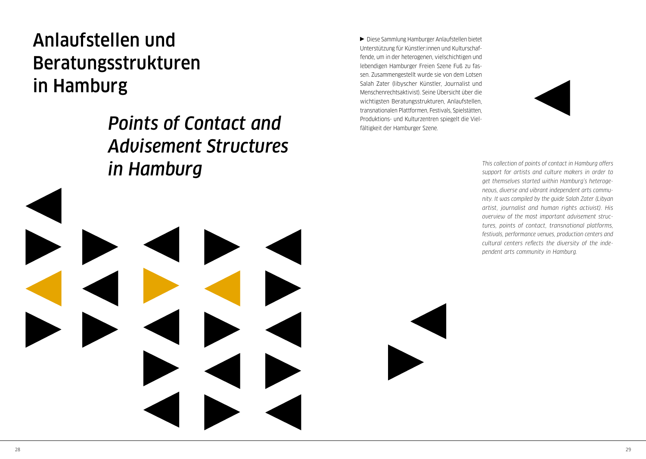# <span id="page-15-0"></span>Anlaufstellen und Beratungsstrukturen in Hamburg

*Points of Contact and Advisement Structures in Hamburg*

Diese Sammlung Hamburger Anlaufstellen bietet Unterstützung für Künstler:innen und Kulturschaffende, um in der heterogenen, vielschichtigen und lebendigen Hamburger Freien Szene Fuß zu fassen. Zusammengestellt wurde sie von dem Lotsen Salah Zater (libyscher Künstler, Journalist und Menschenrechtsaktivist). Seine Übersicht über die wichtigsten Beratungsstrukturen, Anlaufstellen, transnationalen Plattformen, Festivals, Spielstätten, Produktions- und Kulturzentren spiegelt die Vielfältigkeit der Hamburger Szene.



*This collection of points of contact in Hamburg offers support for artists and culture makers in order to get themselves started within Hamburg's heterogeneous, diverse and vibrant independent arts community. It was compiled by the guide Salah Zater (Libyan artist, journalist and human rights activist). His overview of the most important advisement structures, points of contact, transnational platforms, festivals, performance venues, production centers and cultural centers reflects the diversity of the independent arts community in Hamburg.*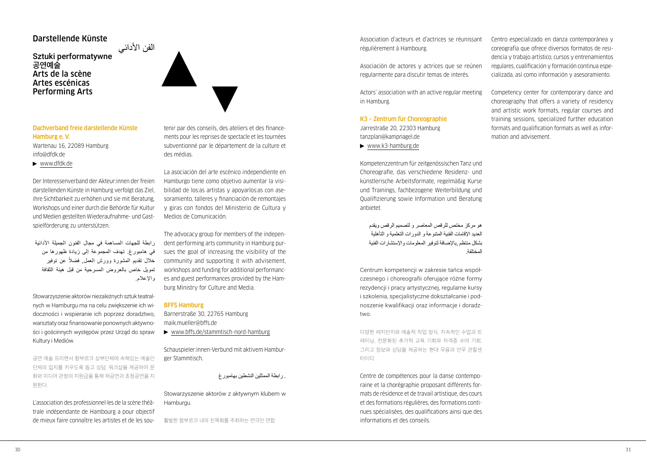## Darstellende Künste

## الفن الأدائي<br>Sztuki performatywne **공연예술** Arts de la scène Artes escénicas Performing Arts



Wartenau 16, 22089 Hamburg [info@dfdk.de](mailto:info@dfdk.de)

[www.dfdk.de](http://www.dfdk.de)

Der Interessenverband der Akteur:innen der freien darstellenden Künste in Hamburg verfolgt das Ziel, ihre Sichtbarkeit zu erhöhen und sie mit Beratung, Workshops und einer durch die Behörde für Kultur und Medien gestellten Wiederaufnahme- und Gastspielförderung zu unterstützen.

رابطة للجهات المساهمة في مجال الفنون الجميلة األدائية في هامبورغ. تهدف المجموعة إلى زيادة ظهورها من خلال تقديم المشورة وورش العمل, فضلاً عن توفير تمويل خاص بالعروض المسرحية من قبل هيئة الثقافة واإلعالم.

Stowarzyszenie aktorów niezależnych sztuk teatralnych w Hamburgu ma na celu zwiększenie ich widoczności i wspieranie ich poprzez doradztwo, warsztaty oraz finansowanie ponownych aktywności i gościnnych występów przez Urząd do spraw Kultury i Mediów.

공연 예술 프리랜서 함부르크 상부단체에 속해있는 예술인 단체의 입지를 키우도록 돕고 상담, 워크샵을 제공하며 문 화와 미디어 관청의 지원금을 통해 재공연과 초청공연을 지 원한다.

L'association des professionnel·les de la scène théâtrale indépendante de Hambourg a pour objectif de mieux faire connaître les artistes et de les soutenir par des conseils, des ateliers et des financements pour les reprises de spectacle et les tournées subventionné par le département de la culture et des médias.

La asociación del arte escénico independiente en Hamburgo tiene como objetivo aumentar la visibilidad de los:as artistas y apoyarlos:as con asesoramiento, talleres y financiación de remontajes y giras con fondos del Ministerio de Cultura y Medios de Comunicación.

The advocacy group for members of the independent performing arts community in Hamburg pursues the goal of increasing the visibility of the community and supporting it with advisement, workshops and funding for additional performances and guest performances provided by the Hamburg Ministry for Culture and Media.

## BFFS Hamburg

Barnerstraße 30, 22765 Hamburg [maik.mueller@bffs.de](mailto:maik.mueller@bffs.de)  [www.bffs.de/stammtisch-nord-hamburg](http://www.bffs.de/stammtisch-nord-hamburg)

Schauspieler:innen-Verbund mit aktivem Hamburger Stammtisch.

. رابطة الممثلين النشطين بهامبورغ

Stowarzyszenie aktorów z aktywnym klubem w Hamburgu.

활발한 함부르크 내의 친목회를 주최하는 연극인 연합

Association d'acteurs et d'actrices se réunissant régulièrement à Hambourg.

Asociación de actores y actrices que se reúnen regularmente para discutir temas de interés.

Actors' association with an active regular meeting in Hamburg.

## K3 – Zentrum für Choreographie

Jarrestraße 20, 22303 Hamburg [tanzplan@kampnagel.de](mailto:tanzplan@kampnagel.de)

▶ [www.k3-hamburg.de](http://www.k3-hamburg.de)

Kompetenzzentrum für zeitgenössischen Tanz und Choreografie, das verschiedene Residenz- und künstlerische Arbeitsformate, regelmäßig Kurse und Trainings, fachbezogene Weiterbildung und Qualifizierung sowie Information und Beratung anbietet.

هو مركز مختص للرقص المعاصر و لتصميم الرقص ويقدم العديد اإلقامات الفنية المتنوعة و الدورات التعلمية و التأهلية بشكل منتظم ,باإلضافة لتوفير المعلومات واإلستشارات الفنية المختلفة.

Centrum kompetencji w zakresie tańca współczesnego i choreografii oferujące różne formy rezydencji i pracy artystycznej, regularne kursy i szkolenia, specjalistyczne dokształcanie i podnoszenie kwalifikacji oraz informacje i doradztwo.

다양한 레지던지와 예술적 작업 방식, 지속적인 수업과 트 레이닝, 전문화된 추가적 교육 기회와 자격증 수여 기회, 그리고 정보와 상담을 제공하는 현대 무용과 안무 관할센 터이다.

Centre de compétences pour la danse contemporaine et la chorégraphie proposant différents formats de résidence et de travail artistique, des cours et des formations régulières, des formations continues spécialisées, des qualifications ainsi que des informations et des conseils.

Centro especializado en danza contemporánea y coreografía que ofrece diversos formatos de residencia y trabajo artístico, cursos y entrenamientos regulares, cualificación y formación continua especializada, así como información y asesoramiento.

Competency center for contemporary dance and choreography that offers a variety of residency and artistic work formats, regular courses and training sessions, specialized further education formats and qualification formats as well as information and advisement.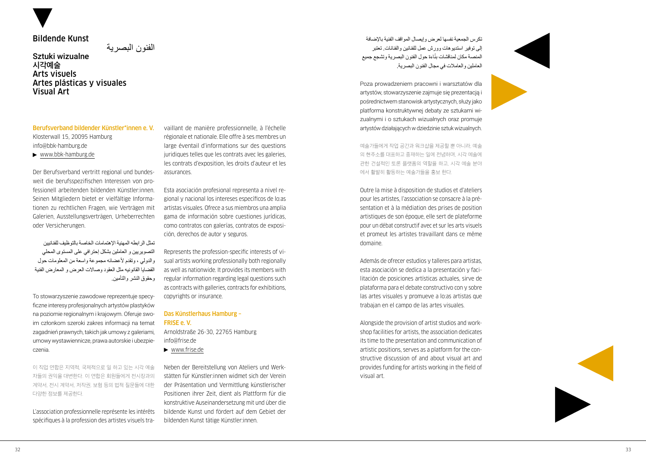## Bildende Kunst

الفنون البصرية

Sztuki wizualne **시각예술** Arts visuels Artes plásticas y visuales Visual Art

Berufsverband bildender Künstler\*innen e. V. Klosterwall 15, 20095 Hamburg [info@bbk-hamburg.de](mailto:info@bbk-hamburg.de) [www.bbk-hamburg.de](http://www.bbk-hamburg.de)

Der Berufsverband vertritt regional und bundes weit die berufsspezifischen Interessen von pro fessionell arbeitenden bildenden Künstler:innen. Seinen Mitgliedern bietet er vielfältige Informa tionen zu rechtlichen Fragen, wie Verträgen mit Galerien, Ausstellungsverträgen, Urheberrechten oder Versicherungen.

تمثل الرابطه المهنية اإلهتمامات الخاصة بالتوظيف للفنانيين التصويريين و العاملين بشكل إحترافي على المستوى المحلي والدولي ، وتقدم ألعضائه مجموعة واسعة من المعلومات حول القضايا القانونيه مثل العقود وصاالت العرض و المعارض الفنية وحقوق النشر والتأمين.

To stowarzyszenie zawodowe reprezentuje specy ficzne interesy profesjonalnych artystów plastyków na poziomie regionalnym i krajowym. Oferuje swo im członkom szeroki zakres informacji na temat zagadnień prawnych, takich jak umowy z galeriami, umowy wystawiennicze, prawa autorskie i ubezpie czenia.

이 직업 연합은 지역적, 국제적으로 일 하고 있는 시각 예술 자들의 권익을 대변한다. 이 연합은 회원들에게 전시장과의 계약서, 전시 계약서, 저작권, 보험 등의 법적 질문들에 대한 다양한 정보를 제공한다.

L'association professionnelle représente les intérêts spécifiques à la profession des artistes visuels tra -

vaillant de manière professionnelle, à l'échelle régionale et nationale. Elle offre à ses membres un large éventail d'informations sur des questions juridiques telles que les contrats avec les galeries, les contrats d'exposition, les droits d'auteur et les assurances.

Esta asociación profesional representa a nivel re gional y nacional los intereses específicos de lo:as artistas visuales. Ofrece a sus miembros una amplia gama de información sobre cuestiones jurídicas, como contratos con galerías, contratos de exposi ción, derechos de autor y seguros.

Represents the profession-specific interests of vi sual artists working professionally both regionally as well as nationwide. It provides its members with regular information regarding legal questions such as contracts with galleries, contracts for exhibitions, copyrights or insurance.

## Das Künstlerhaus Hamburg – FRISE e. V.

Arnoldstraße 26-30, 22765 Hamburg [info@frise.de](mailto:info@frise.de) 

[www.frise.de](http://www.frise.de)

Neben der Bereitstellung von Ateliers und Werk stätten für Künstler:innen widmet sich der Verein der Präsentation und Vermittlung künstlerischer Positionen ihrer Zeit, dient als Plattform für die konstruktive Auseinandersetzung mit und über die bildende Kunst und fördert auf dem Gebiet der bildenden Kunst tätige Künstler:innen.

تكرس الجمعية نفسها لعرض وإيصال المواقف الفنية باإلضافة إلى توفير استديوهات وورش عمل للفنانين والفنانات. تعتبر المنصـه مكان لمناقسّات بناءة حول الفنون البصرية وتسجع جميع ׇ֖֖֖֖֖֖֖֖֖֧֚֚֚֚֚֚֚֚֡֬֞<u>֓</u> العاملين والعامالت في مجال الفنون البصرية.

Poza prowadzeniem pracowni i warsztatów dla artystów, stowarzyszenie zajmuje się prezentacją i pośrednictwem stanowisk artystycznych, służy jako platforma konstruktywnej debaty ze sztukami wi zualnymi i o sztukach wizualnych oraz promuje artystów działających w dziedzinie sztuk wizualnych.

예술가들에게 작업 공간과 워크샵을 제공할 뿐 아니라, 예술 의 현주소를 대표하고 중재하는 일에 전념하며, 시각 예술에 관한 건설적인 토론 플랫폼의 역할을 하고, 시각 예술 분야 에서 활발히 활동하는 예술가들을 홍보 한다.

Outre la mise à disposition de studios et d'ateliers pour les artistes, l'association se consacre à la pré sentation et à la médiation des prises de position artistiques de son époque, elle sert de plateforme pour un débat constructif avec et sur les arts visuels et promeut les artistes travaillant dans ce même domaine.

Además de ofrecer estudios y talleres para artistas, esta asociación se dedica a la presentación y faci litación de posiciones artísticas actuales, sirve de plataforma para el debate constructivo con y sobre las artes visuales y promueve a lo:as artistas que trabajan en el campo de las artes visuales.

Alongside the provision of artist studios and work shop facilities for artists, the association dedicates its time to the presentation and communication of artistic positions, serves as a platform for the con structive discussion of and about visual art and provides funding for artists working in the field of visual art.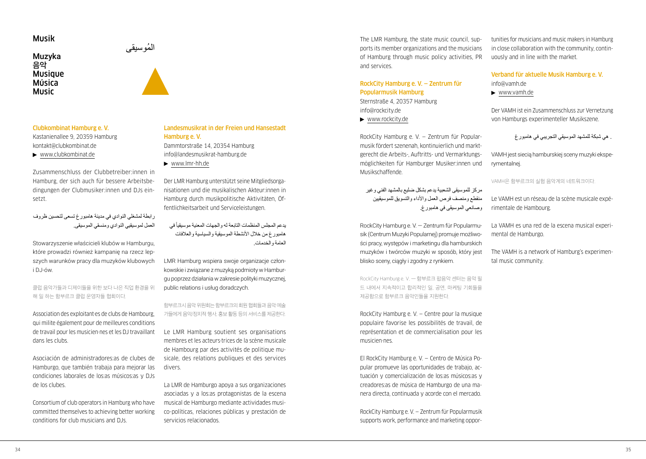## Musik

## Muzyka ُ الموسيقى **음악 Musique** Música Music

## Clubkombinat Hamburg e. V.

Kastanienallee 9, 20359 Hamburg [kontakt@clubkombinat.de](mailto:kontakt@clubkombinat.de) [www.clubkombinat.de](http://www.clubkombinat.de)

Zusammenschluss der Clubbetreiber:innen in Hamburg, der sich auch für bessere Arbeitsbedingungen der Clubmusiker:innen und DJs einsetzt.

## رابطة لمشغلي النوادي في مدينة هامبورغ تسعى لتحسين ظروف العمل لموسيقيي النوادي ومنسقي الموسيقى.

Stowarzyszenie właścicieli klubów w Hamburgu, które prowadzi również kampanię na rzecz lepszych warunków pracy dla muzyków klubowych i DJ-ów.

클럽 음악가들과 디제이들을 위한 보다 나은 직업 환경을 위 해 일 하는 함부르크 클럽 운영자들 협회이다.

Association des exploitant·es de clubs de Hambourg, qui milite également pour de meilleures conditions de travail pour les musicien·nes et les DJ travaillant dans les clubs.

Asociación de administradores:as de clubes de Hamburgo, que también trabaja para mejorar las condiciones laborales de los:as músicos:as y DJs de los clubes.

Consortium of club operators in Hamburg who have committed themselves to achieving better working conditions for club musicians and DJs.

## Landesmusikrat in der Freien und Hansestadt Hamburg e. V.

Dammtorstraße 14, 20354 Hamburg [info@landesmusikrat-hamburg.de](mailto:info@landesmusikrat-hamburg.de)

[www.lmr-hh.de](http://www.lmr-hh.de)

Der LMR Hamburg unterstützt seine Mitgliedsorganisationen und die musikalischen Akteur:innen in Hamburg durch musikpolitische Aktivitäten, Öffentlichkeitsarbeit und Serviceleistungen.

يدعم المجلس المنظمات التابعة له والجهات المعنية موسيقيأ في هامبورغ من خلال الأنشطة الموسيقية والسياسية والعلافات العامة والخدمات.

LMR Hamburg wspiera swoje organizacje członkowskie i związane z muzyką podmioty w Hamburgu poprzez działania w zakresie polityki muzycznej, public relations i usług doradczych.

함부르크시음악위원회는함부르크의회원협회들과음악예술 가들에게 음악/정치적 행사, 홍보 활동 등의 서비스를 제공한다.

Le LMR Hamburg soutient ses organisations membres et les acteurs·trices de la scène musicale de Hambourg par des activités de politique musicale, des relations publiques et des services divers.

La LMR de Hamburgo apoya a sus organizaciones asociadas y a los:as protagonistas de la escena musical de Hamburgo mediante actividades musico-políticas, relaciones públicas y prestación de servicios relacionados.

The LMR Hamburg, the state music council, supports its member organizations and the musicians of Hamburg through music policy activities, PR and services.

## RockCity Hamburg e. V. — Zentrum für Popularmusik Hamburg

Sternstraße 4, 20357 Hamburg [info@rockcity.de](mailto:info@rockcity.de) 

[www.rockcity.de](http://www.rockcity.de)

RockCity Hamburg e. V. — Zentrum für Popularmusik fördert szenenah, kontinuierlich und marktgerecht die Arbeits-, Auftritts- und Vermarktungsmöglichkeiten für Hamburger Musiker:innen und Musikschaffende.

مركز للموسيقى الشعبية يدعم بشكل ضليع بالمشهد الفني وغير منقطع ومنصف فرص العمل واألداء والتسويق للموسيقيين وصانعي الموسيقى في هامبورغ.

RockCity Hamburg e. V. — Zentrum für Popularmusik (Centrum Muzyki Popularnej) promuje możliwości pracy, występów i marketingu dla hamburskich muzyków i twórców muzyki w sposób, który jest blisko sceny, ciągły i zgodny z rynkiem.

RockCity Hamburg e. V. — 함부르크 팝음악 센터는 음악 필 드 내에서 지속적이고 합리적인 일, 공연, 마케팅 기회들을 제공함으로 함부르크 음악인들을 지원한다.

RockCity Hamburg e. V. — Centre pour la musique populaire favorise les possibilités de travail, de représentation et de commercialisation pour les musicien·nes.

El RockCity Hamburg e. V. — Centro de Música Popular promueve las oportunidades de trabajo, actuación y comercialización de los:as músicos:as y creadores:as de música de Hamburgo de una manera directa, continuada y acorde con el mercado.

RockCity Hamburg e. V. — Zentrum für Popularmusik supports work, performance and marketing opportunities for musicians and music makers in Hamburg in close collaboration with the community, continuously and in line with the market.

## Verband für aktuelle Musik Hamburg e. V.

- [info@vamh.de](mailto:info@vamh.de)
- [www.vamh.de](http://www.vamh.de)

Der VAMH ist ein Zusammenschluss zur Vernetzung von Hamburgs experimenteller Musikszene.

```
 . هي شبكة للمشهد الموسيقي التجريبي في هامبورغ
```
VAMH jest siecią hamburskiej sceny muzyki eksperymentalnej.

#### VAMH은 함부르크의 실험 음악계의 네트워크이다.

Le VAMH est un réseau de la scène musicale expérimentale de Hambourg.

La VAMH es una red de la escena musical experimental de Hamburgo.

The VAMH is a network of Hamburg's experimental music community.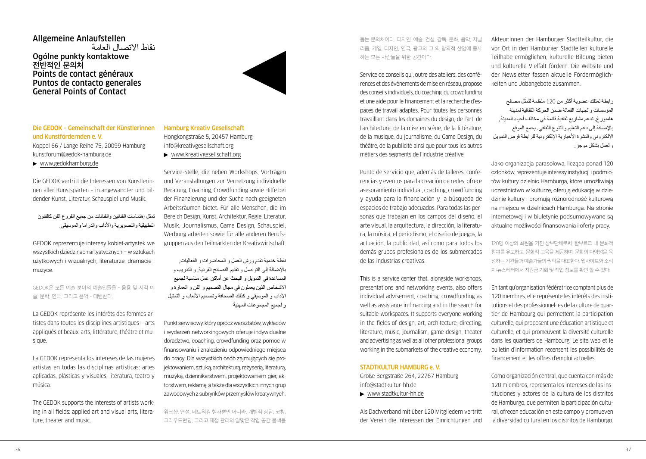## Allgemeine Anlaufstellen نقاط االتصال العامة Ogólne punkty kontaktowe **전반적인 문의처** Points de contact généraux Puntos de contacto generales General Points of Contact



## Die GEDOK – Gemeinschaft der Künstlerinnen und Kunstfördernden e. V.

Koppel 66 / Lange Reihe 75, 20099 Hamburg [kunstforum@gedok-hamburg.de](mailto:kunstforum@gedok-hamburg.de) 

[www.gedokhamburg.de](http://www.gedokhamburg.de)

Die GEDOK vertritt die Interessen von Künstlerinnen aller Kunstsparten – in angewandter und bildender Kunst, Literatur, Schauspiel und Musik.

تمثل إهتمامات الفنانين والفنانات من جميع الفروع الفن كالفنون التطبيقية والتصويرية واألداب والدراما والموسيقى.

GEDOK reprezentuje interesy kobiet-artystek we wszystkich dziedzinach artystycznych – w sztukach użytkowych i wizualnych, literaturze, dramacie i muzyce.

GEDOK은 모든 예술 분야의 예술인들을 – 응용 및 시각 예 술, 문학, 연극, 그리고 음악 – 대변한다.

La GEDOK représente les intérêts des femmes artistes dans toutes les disciplines artistiques – arts appliqués et beaux-arts, littérature, théâtre et musique.

La GEDOK representa los intereses de las mujeres artistas en todas las disciplinas artísticas: artes aplicadas, plásticas y visuales, literatura, teatro y música.

The GEDOK supports the interests of artists working in all fields: applied art and visual arts, literature, theater and music.

## Hamburg Kreativ Gesellschaft Hongkongstraße 5, 20457 Hamburg [info@kreativgesellschaft.org](mailto:info@kreativgesellschaft.org)

[www.kreativgesellschaft.org](http://www.kreativgesellschaft.org)

Service-Stelle, die neben Workshops, Vorträgen und Veranstaltungen zur Vernetzung individuelle Beratung, Coaching, Crowdfunding sowie Hilfe bei der Finanzierung und der Suche nach geeigneten Arbeitsräumen bietet. Für alle Menschen, die im Bereich Design, Kunst, Architektur, Regie, Literatur, Musik, Journalismus, Game Design, Schauspiel, Werbung arbeiten sowie für alle anderen Berufsgruppen aus den Teilmärkten der Kreativwirtschaft.

نقطة خدمية تقدم ورش العمل و المحاضرات و الفعاليات, باإلضافة إلى التواصل و تقديم النصائح الفردية, و التدريب و المساعدة في التمويل و البحث عن أماكن عمل مناسبة لجميع االشخاص الذين يعملون في مجال التصميم و الفن و العمارة و الأداب و الموسيقي و كذلك الصحافة وتصميم الألعاب و التمثيل و لجميع المجموعات المهنية

Punkt serwisowy, który oprócz warsztatów, wykładów i wydarzeń networkingowych oferuje indywidualne doradztwo, coaching, crowdfunding oraz pomoc w finansowaniu i znalezieniu odpowiedniego miejsca do pracy. Dla wszystkich osób zajmujących się projektowaniem, sztuką, architekturą, reżyserią, literaturą, muzyką, dziennikarstwem, projektowaniem gier, aktorstwem, reklamą, a także dla wszystkich innych grup zawodowych z subrynków przemysłów kreatywnych.

워크샵, 연설, 네트워킹 행사뿐만 아니라, 개별적 상담, 코칭, 크라우드펀딩, 그리고 재정 관리와 알맞은 작업 공간 물색을 돕는 문의처이다. 디자인, 예술, 건설, 감독, 문화, 음악, 저널 리즘, 게임, 디자인, 연극, 광고와 그 외 창의적 산업에 종사 하는 모든 사람들을 위한 공간이다.

Service de conseils qui, outre des ateliers, des conférences et des événements de mise en réseau, propose des conseils individuels, du coaching, du crowdfunding et une aide pour le financement et la recherche d'espaces de travail adaptés. Pour toutes les personnes travaillant dans les domaines du design, de l'art, de l'architecture, de la mise en scène, de la littérature, de la musique, du journalisme, du Game Design, du théâtre, de la publicité ainsi que pour tous les autres métiers des segments de l'industrie créative.

Punto de servicio que, además de talleres, conferencias y eventos para la creación de redes, ofrece asesoramiento individual, coaching, crowdfunding y ayuda para la financiación y la búsqueda de espacios de trabajo adecuados. Para todas las personas que trabajan en los campos del diseño, el arte visual, la arquitectura, la dirección, la literatura, la música, el periodismo, el diseño de juegos, la actuación, la publicidad, así como para todos los demás grupos profesionales de los submercados de las industrias creativas.

This is a service center that, alongside workshops, presentations and networking events, also offers individual advisement, coaching, crowdfunding as well as assistance in financing and in the search for suitable workspaces. It supports everyone working in the fields of design, art, architecture, directing, literature, music, journalism, game design, theater and advertising as well as all other professional groups working in the submarkets of the creative economy.

#### STADTKULTUR HAMBURG e. V.

Große Bergstraße 264, 22767 Hamburg [info@stadtkultur-hh.de](mailto:info@stadtkultur-hh.de) 

[www.stadtkultur-hh.de](http://www.stadtkultur-hh.de)

Als Dachverband mit über 120 Mitgliedern vertritt der Verein die Interessen der Einrichtungen und

Akteur:innen der Hamburger Stadtteilkultur, die vor Ort in den Hamburger Stadtteilen kulturelle Teilhabe ermöglichen, kulturelle Bildung bieten und kulturelle Vielfalt fördern. Die Website und der Newsletter fassen aktuelle Fördermöglichkeiten und Jobangebote zusammen.

رابطة تمتلك عضوية أكثر من 120 منظمة لتمثّل مصىالح المؤسسات والجهات الفعالة ضمن الحركة الثقافية لمدينة هامبورغ. تدعم مشاريع ثقافية قائمة في مختلف أحياء المدينة, باإلضافة إلى دعم التعليم والتنوع الثقافي. يجمع الموقع الإلكتروني والنشرة الأخبارية الإلكترونية للرابطة فرص التمويل والعمل بشكل موجز.

Jako organizacja parasolowa, licząca ponad 120 członków, reprezentuje interesy instytucji i podmiotów kultury dzielnic Hamburga, które umożliwiają uczestnictwo w kulturze, oferują edukację w dziedzinie kultury i promują różnorodność kulturową na miejscu w dzielnicach Hamburga. Na stronie internetowej i w biuletynie podsumowywane są aktualne możliwości finansowania i oferty pracy.

120명 이상의 회원을 가진 상부단체로써, 함부르크 내 문화적 참여를 유도하고, 문화적 교육을 제공하며, 문화의 다양성을 육 성하는 기관들과 예술가들의 권익을 대표한다. 웹사이트와 소식 지/뉴스레터에서 지원금 기회 및 직업 정보를 확인 할 수 있다.

En tant qu'organisation fédératrice comptant plus de 120 membres, elle représente les intérêts des institutions et des professionnel·les de la culture de quartier de Hambourg qui permettent la participation culturelle, qui proposent une éducation artistique et culturelle, et qui promeuvent la diversité culturelle dans les quartiers de Hambourg. Le site web et le bulletin d'information recensent les possibilités de financement et les offres d'emploi actuelles.

Como organización central, que cuenta con más de 120 miembros, representa los intereses de las instituciones y actores de la cultura de los distritos de Hamburgo, que permiten la participación cultural, ofrecen educación en este campo y promueven la diversidad cultural en los distritos de Hamburgo.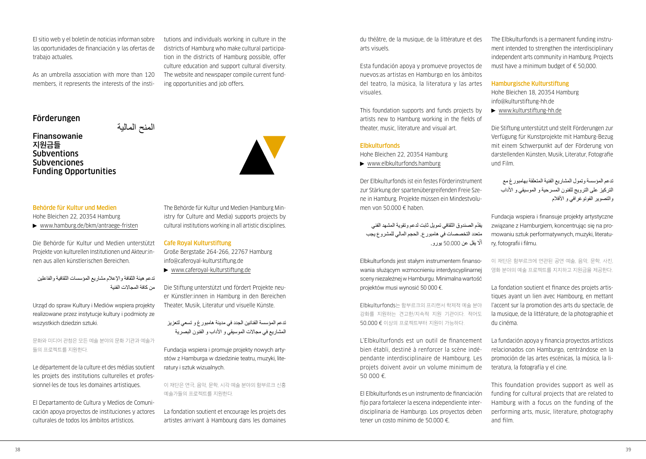El sitio web y el boletín de noticias informan sobre las oportunidades de financiación y las ofertas de trabajo actuales.

As an umbrella association with more than 120 members, it represents the interests of the insti-

## Förderungen

Finansowanie المنح المالية **지원금들 Subventions Subvenciones** Funding Opportunities



Hohe Bleichen 22, 20354 Hamburg ▶ [www.hamburg.de/bkm/antraege-fristen](http://www.hamburg.de/bkm/antraege-fristen)

Die Behörde für Kultur und Medien unterstützt Projekte von kulturellen Institutionen und Akteur:innen aus allen künstlerischen Bereichen.

تدعم هيئة الثقافة واإلعالم مشاريع المؤسسات الثقافية والفاعلين من كافة المجالات الفنية

Urząd do spraw Kultury i Mediów wspiera projekty realizowane przez instytucje kultury i podmioty ze wszystkich dziedzin sztuki.

문화와 미디어 관청은 모든 예술 분야의 문화 기관과 예술가 들의 프로젝트를 지원한다.

Le département de la culture et des médias soutient les projets des institutions culturelles et professionnel·les de tous les domaines artistiques.

El Departamento de Cultura y Medios de Comunicación apoya proyectos de instituciones y actores culturales de todos los ámbitos artísticos.

The Behörde für Kultur und Medien (Hamburg Ministry for Culture and Media) supports projects by cultural institutions working in all artistic disciplines.

tutions and individuals working in culture in the districts of Hamburg who make cultural participation in the districts of Hamburg possible, offer culture education and support cultural diversity. The website and newspaper compile current fund-

ing opportunities and job offers.

#### Cafe Royal Kulturstiftung

Große Bergstaße 264-266, 22767 Hamburg [info@caferoyal-kulturstiftung.de](mailto:info@caferoyal-kulturstiftung.de)

[www.caferoyal-kulturstiftung.de](http://www.caferoyal-kulturstiftung.de)

Die Stiftung unterstützt und fördert Projekte neuer Künstler:innen in Hamburg in den Bereichen Theater, Musik, Literatur und visuelle Künste.

تدعم المؤسسة الفنانين الجدد في مدينة هامبورغ و تسعي لتعزيز المشاريع في مجاالت الموسيقي و األداب و الفنون البصرية

Fundacja wspiera i promuje projekty nowych artystów z Hamburga w dziedzinie teatru, muzyki, literatury i sztuk wizualnych.

이 재단은 연극, 음악, 문학, 시각 예술 분야의 함부르크 신흥 예술가들의 프로젝트를 지원한다.

La fondation soutient et encourage les projets des artistes arrivant à Hambourg dans les domaines

du théâtre, de la musique, de la littérature et des arts visuels.

Esta fundación apoya y promueve proyectos de nuevos:as artistas en Hamburgo en los ámbitos del teatro, la música, la literatura y las artes visuales.

This foundation supports and funds projects by artists new to Hamburg working in the fields of theater, music, literature and visual art.

## **Elbkulturfonds**

Hohe Bleichen 22, 20354 Hamburg

[www.elbkulturfonds.hamburg](http://www.elbkulturfonds.hamburg)

Der Elbkulturfonds ist ein festes Förderinstrument zur Stärkung der spartenübergreifenden Freie Szene in Hamburg. Projekte müssen ein Mindestvolumen von 50.000 € haben.

ّ يقدم الصندوق الثقافي تمويل ثابت لدعم وتقوية المشهد الفني متعدد التخصصات في هامبورع. الحجم المالي للمشروع يجب أّل يقل عن 50.000 يورو.

Elbkulturfonds jest stałym instrumentem finansowania służącym wzmocnieniu interdyscyplinarnej sceny niezależnej w Hamburgu. Minimalna wartość projektów musi wynosić 50 000 €.

Elbkulturfonds는 함부르크의 프리랜서 학제적 예술 분야 강화를 지원하는 견고한/지속적 지원 기관이다. 적어도 50.000 € 이상의 프로젝트부터 지원이 가능하다.

L'Elbkulturfonds est un outil de financement bien établi, destiné à renforcer la scène indépendante interdisciplinaire de Hambourg. Les projets doivent avoir un volume minimum de 50 000 €.

El Elbkulturfonds es un instrumento de financiación fijo para fortalecer la escena independiente interdisciplinaria de Hamburgo. Los proyectos deben tener un costo mínimo de 50.000 €.

The Elbkulturfonds is a permanent funding instrument intended to strengthen the interdisciplinary independent arts community in Hamburg. Projects must have a minimum budget of € 50,000.

#### Hamburgische Kulturstiftung

Hohe Bleichen 18, 20354 Hamburg [info@kulturstiftung-hh.de](mailto:info@kulturstiftung-hh.de)

[www.kulturstiftung-hh.de](http://www.kulturstiftung-hh.de)

Die Stiftung unterstützt und stellt Förderungen zur Verfügung für Kunstprojekte mit Hamburg-Bezug mit einem Schwerpunkt auf der Förderung von darstellenden Künsten, Musik, Literatur, Fotografie und Film.

تدعم المؤسسة وتمول المشاريع الفنية المتعلقة بهامبورغ مع التركيز على الترويج للفنون المسرحية و الموسيقي و األداب والتصوير الفوتوغرافي و األفالم

Fundacja wspiera i finansuje projekty artystyczne związane z Hamburgiem, koncentrując się na promowaniu sztuk performatywnych, muzyki, literatury, fotografii i filmu.

이 재단은 함부르크에 연관된 공연 예술, 음악, 문학, 사진, 영화 분야의 예술 프로젝트를 지지하고 지원금을 제공한다.

La fondation soutient et finance des projets artistiques ayant un lien avec Hambourg, en mettant l'accent sur la promotion des arts du spectacle, de la musique, de la littérature, de la photographie et du cinéma.

La fundación apoya y financia proyectos artísticos relacionados con Hamburgo, centrándose en la promoción de las artes escénicas, la música, la literatura, la fotografía y el cine.

This foundation provides support as well as funding for cultural projects that are related to Hamburg with a focus on the funding of the performing arts, music, literature, photography and film.

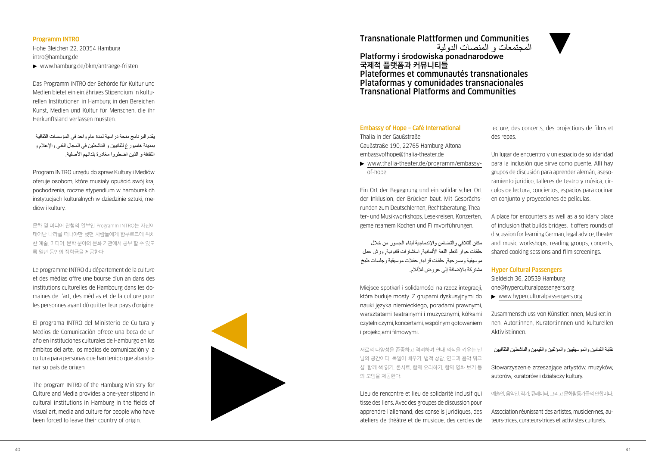## Programm INTRO

Hohe Bleichen 22, 20354 Hamburg [intro@hamburg.de](mailto:intro@hamburg.de)

▶ [www.hamburg.de/bkm/antraege-fristen](http://www.hamburg.de/bkm/antraege-fristen)

Das Programm INTRO der Behörde für Kultur und Medien bietet ein einjähriges Stipendium in kultu rellen Institutionen in Hamburg in den Bereichen Kunst, Medien und Kultur für Menschen, die ihr Herkunftsland verlassen mussten.

يقدم البرنامج منحة دراسية لمدة عام واحد في المؤسسات الثقافية بمدينة هامبورغ للفانيين و الناشطين في المجال الفني واإلعالم و الثقافة و الذين اضطروا مغادرة بلدانهم األصلية.

Program INTRO urzędu do spraw Kultury i Mediów oferuje osobom, które musiały opuścić swój kraj pochodzenia, roczne stypendium w hamburskich instytucjach kulturalnych w dziedzinie sztuki, me diów i kultury.

문화 및 미디어 관청의 일부인 Programm INTRO는 자신이 태어난 나라를 떠나야만 했던 사람들에게 함부르크에 위치 한 예술, 미디어, 문학 분야의 문화 기관에서 공부 할 수 있도 록 일년 동안의 장학금을 제공한다.

Le programme INTRO du département de la culture et des médias offre une bourse d'un an dans des institutions culturelles de Hambourg dans les do maines de l'art, des médias et de la culture pour les personnes ayant dû quitter leur pays d'origine.

El programa INTRO del Ministerio de Cultura y Medios de Comunicación ofrece una beca de un año en instituciones culturales de Hamburgo en los ámbitos del arte, los medios de comunicación y la cultura para personas que han tenido que abando nar su país de origen.

The program INTRO of the Hamburg Ministry for Culture and Media provides a one-year stipend in cultural institutions in Hamburg in the fields of visual art, media and culture for people who have been forced to leave their country of origin.

## Transnationale Plattformen und Communities المجتمعات و المنصات الدولية

Platformy i środowiska ponadnarodowe **국제적 플랫폼과 커뮤니티들** Plateformes et communautés transnationales Plataformas y comunidades transnacionales Transnational Platforms and Communities

## Embassy of Hope – Café International

Thalia in der Gaußstraße Gaußstraße 190, 22765 Hamburg-Altona [embassyofhope@thalia-theater.de](mailto:embassyofhope@thalia-theater.de)

 [www.thalia-theater.de/programm/embassy](http://www.thalia-theater.de/programm/embassy-)of-hope

Ein Ort der Begegnung und ein solidarischer Ort der Inklusion, der Brücken baut. Mit Gesprächs runden zum Deutschlernen, Rechtsberatung, Thea ter- und Musikworkshops, Lesekreisen, Konzerten, gemeinsamem Kochen und Filmvorführungen.

مكان للتالقي والتضامن واإلندماجية لبناء الجسور من خالل حلقات حوار لتعلم اللغة األلمانية, استشارات قانونية, ورش عمل موسيقية ومسرحية, حلقات قراءة, حفالت موسيقية وجلسات طبخ مشتركة باإلضافة إلى عروض لألفالم.

Miejsce spotkań i solidarności na rzecz integracji, która buduje mosty. Z grupami dyskusyjnymi do nauki języka niemieckiego, poradami prawnymi, warsztatami teatralnymi i muzycznymi, kółkami czytelniczymi, koncertami, wspólnym gotowaniem i projekcjami filmowymi.

서로의 다양성을 존중하고 격려하며 연대 의식을 키우는 만 남의 공간이다. 독일어 배우기, 법적 상담, 연극과 음악 워크 샵, 함께 책 읽기, 콘서트, 함께 요리하기, 함께 영화 보기 등 의 모임을 제공한다.

Lieu de rencontre et lieu de solidarité inclusif qui tisse des liens. Avec des groupes de discussion pour apprendre l'allemand, des conseils juridiques, des ateliers de théâtre et de musique, des cercles de lecture, des concerts, des projections de films et des repas.

Un lugar de encuentro y un espacio de solidaridad para la inclusión que sirve como puente. Allí hay grupos de discusión para aprender alemán, aseso ramiento jurídico, talleres de teatro y música, cír culos de lectura, conciertos, espacios para cocinar en conjunto y proyecciones de películas.

A place for encounters as well as a solidary place of inclusion that builds bridges. It offers rounds of discussion for learning German, legal advice, theater and music workshops, reading groups, concerts, shared cooking sessions and film screenings.

## Hyper Cultural Passengers

Sieldeich 36, 20539 Hamburg [one@hyperculturalpassengers.org](mailto:one@hyperculturalpassengers.org) [www.hyperculturalpassengers.org](http://www.hyperculturalpassengers.org)

Zusammenschluss von Künstler:innen, Musiker:in nen, Autor:innen, Kurator:innnen und kulturellen Aktivist:innen.

نقابة الفنانين والموسيقيين والمؤلفين والقيمين والناشطين الثقافيين

Stowarzyszenie zrzeszające artystów, muzyków, autorów, kuratorów i działaczy kultury.

예술인,음악인,작가,큐레이터,그리고문화활동가들의연합이다.

Association réunissant des artistes, musicien·nes, au teurs·trices, curateurs·trices et activistes culturels.

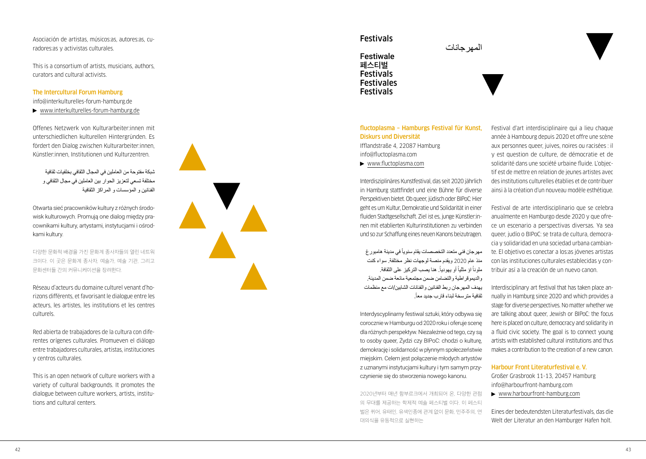Asociación de artistas, músicos:as, autores:as, cu radores:as y activistas culturales.

This is a consortium of artists, musicians, authors, curators and cultural activists.

## The Intercultural Forum Hamburg

[info@interkulturelles-forum-hamburg.de](mailto:info@interkulturelles-forum-hamburg.de)  [www.interkulturelles-forum-hamburg.de](http://www.interkulturelles-forum-hamburg.de)

Offenes Netzwerk von Kulturarbeiter:innen mit unterschiedlichen kulturellen Hintergründen. Es fördert den Dialog zwischen Kulturarbeiter:innen, Künstler:innen, Institutionen und Kulturzentren.

شبكة مفتوحة من العاملين في المجال الثقافي بخلفيات ثقافية مختلفة تسعي لتعزيز الحوار بين العاملين في مجال الثقافي و الفنانين و المؤسسات و المراكز الثقافية

Otwarta sieć pracowników kultury z różnych środo wisk kulturowych. Promują one dialog między pra cownikami kultury, artystami, instytucjami i ośrod kami kultury.

다양한 문화적 배경을 가진 문화계 종사자들의 열린 네트워 크이다. 이 곳은 문화계 종사자, 예술가, 예술 기관, 그리고 문화센터들 간의 커뮤니케이션을 장려한다.

Réseau d'acteurs du domaine culturel venant d'ho rizons différents, et favorisant le dialogue entre les acteurs, les artistes, les institutions et les centres culturels.

Red abierta de trabajadores de la cultura con dife rentes orígenes culturales. Promueven el diálogo entre trabajadores culturales, artistas, instituciones y centros culturales.

This is an open network of culture workers with a variety of cultural backgrounds. It promotes the dialogue between culture workers, artists, institu tions and cultural centers.



## Festivals



## fluctoplasma – Hamburgs Festival für Kunst, Diskurs und Diversität

المهر حانات

Ifflandstraße 4, 22087 Hamburg [info@fluctoplasma.com](mailto:info@fluctoplasma.com) 

[www.fluctoplasma.com](http://www.fluctoplasma.com)

Interdisziplinäres Kunstfestival, das seit 2020 jährlich in Hamburg stattfindet und eine Bühne für diverse Perspektiven bietet. Ob queer, jüdisch oder BIPoC: Hier geht es um Kultur, Demokratie und Solidarität in einer fluiden Stadtgesellschaft. Ziel ist es, junge Künstler:in nen mit etablierten Kulturinstitutionen zu verbinden und so zur Schaffung eines neuen Kanons beizutragen.

مهر جان فني متعدد التخصصات يقام سنويا في مدينة هامبور غ منذ عام 2020 ويقدم منصة لوجهات نظر مختلفة. سواء كنت ملونا اؤ مثليا أو يهوديا. هنا يصب التركيز على الثقافة. ً والديموقراطية والتضامن ضمن مجتمعية مائعة ضمن المدينة. يهدف المهرجان ربط الفنانين والفنانات الشابين/ات مع منظمات . ثقافية مترسخة لبناء قارب جديد معا .<br>.

Interdyscyplinarny festiwal sztuki, który odbywa się corocznie w Hamburgu od 2020 roku i oferuje scenę dla różnych perspektyw. Niezależnie od tego, czy są to osoby queer, Żydzi czy BIPoC: chodzi o kulturę, demokrację i solidarność w płynnym społeczeństwie miejskim. Celem jest połączenie młodych artystów z uznanymi instytucjami kultury i tym samym przy czynienie się do stworzenia nowego kanonu.

2020년부터 매년 함부르크에서 개최되어 온, 다양한 관점 의 무대를 제공하는 학제적 예술 페스티벌 이다. 이 페스티 벌은 퀴어, 유태인, 유색인종에 관계 없이 문화, 민주주의, 연 대의식을 유동적으로 실현하는

Festival d'art interdisciplinaire qui a lieu chaque année à Hambourg depuis 2020 et offre une scène aux personnes queer, juives, noires ou racisées : il y est question de culture, de démocratie et de solidarité dans une société urbaine fluide. L'objec tif est de mettre en relation de jeunes artistes avec des institutions culturelles établies et de contribuer ainsi à la création d'un nouveau modèle esthétique.

Festival de arte interdisciplinario que se celebra anualmente en Hamburgo desde 2020 y que ofre ce un escenario a perspectivas diversas. Ya sea queer, judío o BIPoC: se trata de cultura, democra cia y solidaridad en una sociedad urbana cambian te. El objetivo es conectar a los:as jóvenes artistas con las instituciones culturales establecidas y con tribuir así a la creación de un nuevo canon.

Interdisciplinary art festival that has taken place an nually in Hamburg since 2020 and which provides a stage for diverse perspectives. No matter whether we are talking about queer, Jewish or BIPoC: the focus here is placed on culture, democracy and solidarity in a fluid civic society. The goal is to connect young artists with established cultural institutions and thus makes a contribution to the creation of a new canon.

#### Harbour Front Literaturfestival e. V.

Großer Grasbrook 11-13, 20457 Hamburg [info@harbourfront-hamburg.com](mailto:info@harbourfront-hamburg.com) 

[www.harbourfront-hamburg.com](http://www.harbourfront-hamburg.com)

Eines der bedeutendsten Literaturfestivals, das die Welt der Literatur an den Hamburger Hafen holt.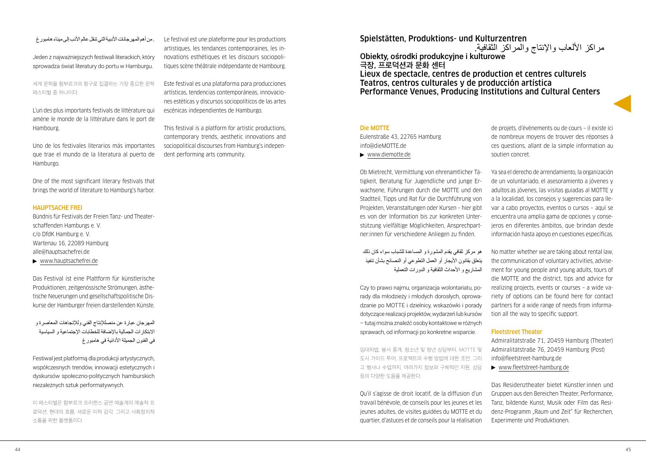## . من أهم المهر جانات الأدبية التي تنقل عالم الأدب إلى مبناء هامبورغ

Jeden z najważniejszych festiwali literackich, który sprowadza świat literatury do portu w Hamburgu.

세계 문학을 함부르크의 항구로 집결하는 가장 중요한 문학 페스티벌 중 하나이다.

L'un des plus importants festivals de littérature qui amène le monde de la littérature dans le port de Hambourg.

Uno de los festivales literarios más importantes que trae el mundo de la literatura al puerto de Hamburgo.

One of the most significant literary festivals that brings the world of literature to Hamburg's harbor.

## HAUPTSACHE FREI

Bündnis für Festivals der Freien Tanz- und Theaterschaffenden Hamburgs e. V. c/o DfdK Hamburg e. V. Wartenau 16, 22089 Hamburg [alle@hauptsachefrei.de](mailto:alle@hauptsachefrei.de)

[www.hauptsachefrei.de](http://www.hauptsachefrei.de)

Das Festival ist eine Plattform für künstlerische Produktionen, zeitgenössische Strömungen, ästhetische Neuerungen und gesellschaftspolitische Diskurse der Hamburger freien darstellenden Künste.

المهرجان عبارة عن منصلإلنتاج الفني ولإلتجاهات المعاصرة و االبتكارات الجمالية باإلضافة للخطابات اإلجتماعية و السياسية في الفنون الجميلة الأدائية في هامبورغ

Festiwal jest platformą dla produkcji artystycznych, współczesnych trendów, innowacji estetycznych i dyskursów społeczno-politycznych hamburskich niezależnych sztuk performatywnych.

이 페스티벌은 함부르크 프리랜스 공연 예술계의 예술적 프 로덕션, 현대의 흐름, 새로운 미적 감각, 그리고 사회정치적 소통을 위한 플랫폼이다.

Le festival est une plateforme pour les productions artistiques, les tendances contemporaines, les innovations esthétiques et les discours sociopolitiques scène théâtrale indépendante de Hambourg.

Este festival es una plataforma para producciones artísticas, tendencias contemporáneas, innovaciones estéticas y discursos sociopolíticos de las artes escénicas independientes de Hamburgo.

This festival is a platform for artistic productions, contemporary trends, aesthetic innovations and sociopolitical discourses from Hamburg's independent performing arts community.

## Spielstätten, Produktions- und Kulturzentren

Obiekty, ośrodki produkcyjne i kulturowe **극장, 프로덕션과 문화 센터** Lieux de spectacle, centres de production et centres culturels Teatros, centros culturales y de producción artística Performance Venues, Producing Institutions and Cultural Centers

## Die MOTTE

Eulenstraße 43, 22765 Hamburg [info@dieMOTTE.de](mailto:info@dieMOTTE.de) 

[www.diemotte.de](http://www.diemotte.de)

Ob Mietrecht, Vermittlung von ehrenamtlicher Tätigkeit, Beratung für Jugendliche und junge Erwachsene, Führungen durch die MOTTE und den Stadtteil, Tipps und Rat für die Durchführung von Projekten, Veranstaltungen oder Kursen – hier gibt es von der Information bis zur konkreten Unterstützung vielfältige Möglichkeiten, Ansprechpartner:innen für verschiedene Anliegen zu finden.

هو مركز ثقافي يقدم المشورة و المساعدة للشباب سواء كان ذلك يتعلق بقانون الأيجار أو العمل التطوعي أو النصائح بشأن تنفيذ المشاريع و األحداث الثقافية و الدورات التعملية

Czy to prawo najmu, organizacja wolontariatu, porady dla młodzieży i młodych dorosłych, oprowadzanie po MOTTE i dzielnicy, wskazówki i porady dotyczące realizacji projektów, wydarzeń lub kursów – tutaj można znaleźć osoby kontaktowe w różnych sprawach, od informacji po konkretne wsparcie.

임대차법, 봉사 중계, 청소년 및 청년 상담부터, MOTTE 및 도시 가이드 투어, 프로젝트의 수행 방법에 대한 조언, 그리 고 행사나 수업까지, 여러가지 정보와 구체적인 지원, 상담 등의 다양한 도움을 제공한다.

Qu'il s'agisse de droit locatif, de la diffusion d'un travail bénévole, de conseils pour les jeunes et les jeunes adultes, de visites guidées du MOTTE et du quartier, d'astuces et de conseils pour la réalisation

de projets, d'évènements ou de cours – il existe ici de nombreux moyens de trouver des réponses à ces questions, allant de la simple information au soutien concret.

Ya sea el derecho de arrendamiento, la organización de un voluntariado, el asesoramiento a jóvenes y adultos:as jóvenes, las visitas guiadas al MOTTE y a la localidad, los consejos y sugerencias para llevar a cabo proyectos, eventos o cursos – aquí se encuentra una amplia gama de opciones y consejeros en diferentes ámbitos, que brindan desde información hasta apoyo en cuestiones específicas.

No matter whether we are taking about rental law, the communication of voluntary activities, advisement for young people and young adults, tours of die MOTTE and the district, tips and advice for realizing projects, events or courses – a wide variety of options can be found here for contact partners for a wide range of needs from information all the way to specific support.

## Fleetstreet Theater

Admiralitätstraße 71, 20459 Hamburg (Theater) Admiralitätstraße 76, 20459 Hamburg (Post) [info@fleetstreet-hamburg.de](mailto:info@fleetstreet-hamburg.de) 

[www.fleetstreet-hamburg.de](http://www.fleetstreet-hamburg.de)

Das Residenztheater bietet Künstler:innen und Gruppen aus den Bereichen Theater, Performance, Tanz, bildende Kunst, Musik oder Film das Residenz-Programm "Raum und Zeit" für Recherchen, Experimente und Produktionen.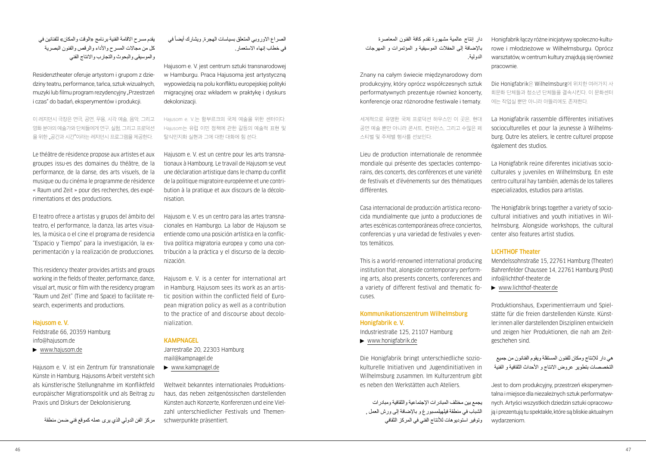يقدم مسرح الإقامة الفنية برنامج «الوقت والمكان» للفنانين في كل من مجالات المسرح والأداء والرقص والفنون البصرية والموسيقى والبحوث والتجارب واالنتاج الفني

Residenztheater oferuje artystom i grupom z dziedziny teatru, performance, tańca, sztuk wizualnych, muzyki lub filmu program rezydencyjny "Przestrzeń i czas" do badań, eksperymentów i produkcji.

이 레지던시 극장은 연극, 공연, 무용, 시각 예술, 음악, 그리고 영화 분야의 예술가와 단체들에게 연구, 실험, 그리고 프로덕션 을 위한 "공간과 시간"이라는 레지던시 프로그램을 제공한다.

Le théâtre de résidence propose aux artistes et aux groupes issu·es des domaines du théâtre, de la performance, de la danse, des arts visuels, de la musique ou du cinéma le programme de résidence « Raum und Zeit » pour des recherches, des expérimentations et des productions.

El teatro ofrece a artistas y grupos del ámbito del teatro, el performance, la danza, las artes visuales, la música o el cine el programa de residencia "Espacio y Tiempo" para la investigación, la experimentación y la realización de producciones.

This residency theater provides artists and groups working in the fields of theater, performance, dance, visual art, music or film with the residency program "Raum und Zeit" (Time and Space) to facilitate research, experiments and productions.

## Hajusom e. V.

Feldstraße 66, 20359 Hamburg [info@hajusom.de](mailto:info@hajusom.de)

[www.hajusom.de](http://www.hajusom.de)

Hajusom e. V. ist ein Zentrum für transnationale Künste in Hamburg. Hajusoms Arbeit versteht sich als künstlerische Stellungnahme im Konfliktfeld europäischer Migrationspolitik und als Beitrag zu Praxis und Diskurs der Dekolonisierung.

مركز الفن الدولي الذي يرى عمله كموقع فني ضمن منطقة

الصراع الاوروبي المتعلق بسياسات الهجرة, ويشارك أيضاً في في خطاب إنهاء االستعمار.

Hajusom e. V. jest centrum sztuki transnarodowej w Hamburgu. Praca Hajusoma jest artystyczną wypowiedzią na polu konfliktu europejskiej polityki migracyjnej oraz wkładem w praktykę i dyskurs dekolonizacji.

Hajusom e. V.는 함부르크의 국제 예술을 위한 센터이다. Hajusom는 유럽 이민 정책에 관한 갈등의 예술적 표현 및 탈식민지화 실현과 그에 대한 대화에 힘 쓴다.

Hajusom e. V. est un centre pour les arts transnationaux à Hambourg. Le travail de Hajusom se veut une déclaration artistique dans le champ du conflit de la politique migratoire européenne et une contribution à la pratique et aux discours de la décolonisation.

Hajusom e. V. es un centro para las artes transnacionales en Hamburgo. La labor de Hajusom se entiende como una posición artística en la conflictiva política migratoria europea y como una contribución a la práctica y el discurso de la decolonización.

Hajusom e. V. is a center for international art in Hamburg. Hajusom sees its work as an artistic position within the conflicted field of European migration policy as well as a contribution to the practice of and discourse about decolonialization.

## **KAMPNAGEL**

Jarrestraße 20, 22303 Hamburg [mail@kampnagel.de](mailto:mail@kampnagel.de)  [www.kampnagel.de](http://www.kampnagel.de)

Weltweit bekanntes internationales Produktionshaus, das neben zeitgenössischen darstellenden Künsten auch Konzerte, Konferenzen und eine Vielzahl unterschiedlicher Festivals und Themenschwerpunkte präsentiert.

دار إنتاج عالمية مشهورة تقدم كافة الفنون المعاصرة باإلضافة إلى الحفالت الموسيقية و المؤتمرات و المهرجات الدولية.

Znany na całym świecie międzynarodowy dom produkcyjny, który oprócz współczesnych sztuk performatywnych prezentuje również koncerty, konferencje oraz różnorodne festiwale i tematy.

세계적으로 유명한 국제 프로덕션 하우스인 이 곳은, 현대 공연 예술 뿐만 아니라 콘서트, 컨퍼런스, 그리고 수많은 페 스티벌 및 주제별 행사를 선보인다.

Lieu de production internationale de renommée mondiale qui présente des spectacles contemporains, des concerts, des conférences et une variété de festivals et d'événements sur des thématiques différentes.

Casa internacional de producción artística reconocida mundialmente que junto a producciones de artes escénicas contemporáneas ofrece conciertos, conferencias y una variedad de festivales y eventos temáticos.

This is a world-renowned international producing institution that, alongside contemporary performing arts, also presents concerts, conferences and a variety of different festival and thematic focuses.

## Kommunikationszentrum Wilhelmsburg Honigfabrik e. V.

Industriestraße 125, 21107 Hamburg

[www.honigfabrik.de](http://www.honigfabrik.de)

Die Honigfabrik bringt unterschiedliche soziokulturelle Initiativen und Jugendinitiativen in Wilhelmsburg zusammen. Im Kulturzentrum gibt es neben den Werkstätten auch Ateliers.

يجمع بين مختلف المبادرات اإلجتماعية والثقافية ومبادرات الشباب في منطقة فيلهيلمسبورغ و باإلضافة إلى ورش العمل , وتوفير استوديوهات لألنتاج الفني في المركز الثقافي Honigfabrik łączy różne inicjatywy społeczno-kulturowe i młodzieżowe w Wilhelmsburgu. Oprócz warsztatów, w centrum kultury znajdują się również pracownie.

Die Honigfabrik은 Wilhelmsburg에 위치한 여러가지 사 회문화 단체들과 청소년 단체들을 결속시킨다. 이 문화센터 에는 작업실 뿐만 아니라 아뜰리에도 존재한다.

La Honigfabrik rassemble différentes initiatives socioculturelles et pour la jeunesse à Wilhelmsburg. Outre les ateliers, le centre culturel propose également des studios.

La Honigfabrik reúne diferentes iniciativas socioculturales y juveniles en Wilhelmsburg. En este centro cultural hay también, además de los talleres especializados, estudios para artistas.

The Honigfabrik brings together a variety of sociocultural initiatives and youth initiatives in Wilhelmsburg. Alongside workshops, the cultural center also features artist studios.

## LICHTHOF Theater

Mendelssohnstraße 15, 22761 Hamburg (Theater) Bahrenfelder Chaussee 14, 22761 Hamburg (Post) [info@lichthof-theater.de](mailto:info@lichthof-theater.de)

[www.lichthof-theater.de](http://www.lichthof-theater.de)

Produktionshaus, Experimentierraum und Spielstätte für die freien darstellenden Künste. Künstler:innen aller darstellenden Disziplinen entwickeln und zeigen hier Produktionen, die nah am Zeitgeschehen sind.

هي دار لإلنتاج ومكان للفنون المستقلة ويقوم الفنانون من جميع التخصصات بتطوير عروض االنتاج و األحداث الثقافية و الفنية

Jest to dom produkcyjny, przestrzeń eksperymentalna i miejsce dla niezależnych sztuk performatywnych. Artyści wszystkich dziedzin sztuki opracowują i prezentują tu spektakle, które są bliskie aktualnym wydarzeniom.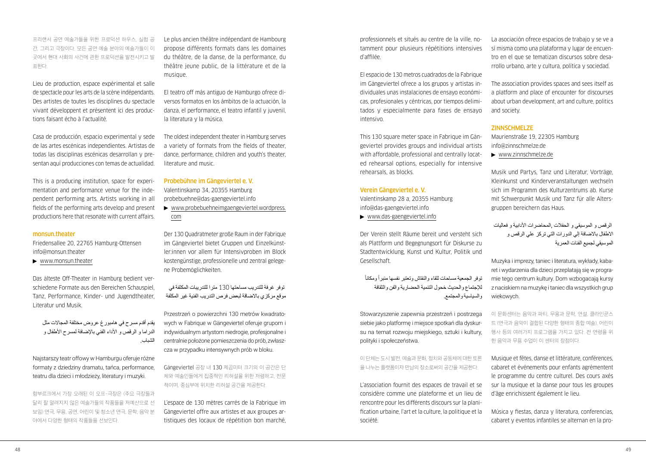프리랜서 공연 예술가들을 위한 프로덕션 하우스, 실험 공 간, 그리고 극장이다. 모든 공연 예술 분야의 예술가들이 이 곳에서 현대 사회의 사건에 관한 프로덕션을 발전시키고 발 표한다.

Lieu de production, espace expérimental et salle de spectacle pour les arts de la scène indépendants. Des artistes de toutes les disciplines du spectacle vivant développent et présentent ici des productions faisant écho à l'actualité.

Casa de producción, espacio experimental y sede de las artes escénicas independientes. Artistas de todas las disciplinas escénicas desarrollan y presentan aquí producciones con temas de actualidad.

This is a producing institution, space for experimentation and performance venue for the independent performing arts. Artists working in all fields of the performing arts develop and present productions here that resonate with current affairs.

## monsun.theater

Friedensallee 20, 22765 Hamburg-Ottensen [info@monsun.theater](mailto:info@monsun.theater)

[www.monsun.theater](http://www.monsun.theater)

Das älteste Off-Theater in Hamburg bedient verschiedene Formate aus den Bereichen Schauspiel, Tanz, Performance, Kinder- und Jugendtheater, Literatur und Musik.

يقدم أقدم مسرح في هامبورغ عروض مختلفة المجاالت مثل الدر اما و الرقص و الأداء الفني بالإضافة لمسرح الأطفال و الشباب.

Najstarszy teatr offowy w Hamburgu oferuje różne formaty z dziedziny dramatu, tańca, performance, teatru dla dzieci i młodzieży, literatury i muzyki.

함부르크에서 가장 오래된 이 오프-극장은 (주요 극장들과 달리 잘 알려지지 않은 예술가들의 작품들을 저예산으로 선 보임) 연극, 무용, 공연, 어린이 및 청소년 연극, 문학, 음악 분 야에서 다양한 형태의 작품들을 선보인다.

Le plus ancien théâtre indépendant de Hambourg propose différents formats dans les domaines du théâtre, de la danse, de la performance, du théâtre jeune public, de la littérature et de la musique.

El teatro off más antiguo de Hamburgo ofrece diversos formatos en los ámbitos de la actuación, la danza, el performance, el teatro infantil y juvenil, la literatura y la música.

The oldest independent theater in Hamburg serves a variety of formats from the fields of theater, dance, performance, children and youth's theater, literature and music.

Probebühne im Gängeviertel e. V. Valentinskamp 34, 20355 Hamburg [probebuehne@das-gaengeviertel.info](mailto:probebuehne@das-gaengeviertel.info)

 [www.probebuehneimgaengeviertel.wordpress.](http://www.probebuehneimgaengeviertel.wordpress.com) [com](http://www.probebuehneimgaengeviertel.wordpress.com)

Der 130 Quadratmeter große Raum in der Fabrique im Gängeviertel bietet Gruppen und Einzelkünstler:innen vor allem für Intensivproben im Block kostengünstige, professionelle und zentral gelegene Probemöglichkeiten.

 توفر غرفة للتدريب مساحتها 130 مترا للتدريبات المكثفة في موقع مركزي باالضاقة لبعض فرص التدريب الفنية غير المكلفة

Przestrzeń o powierzchni 130 metrów kwadratowych w Fabrique w Gängeviertel oferuje grupom i indywidualnym artystom niedrogie, profesjonalne i centralnie położone pomieszczenia do prób, zwłaszcza w przypadku intensywnych prób w bloku.

Gängeviertel 공장 내 130 제곱미터 크기의 이 공간은 단 체와 예술인들에게 집중적인 리허설을 위한 저렴하고, 전문 적이며, 중심부에 위치한 리허설 공간을 제공한다.

L'espace de 130 mètres carrés de la Fabrique im Gängeviertel offre aux artistes et aux groupes artistiques des locaux de répétition bon marché,

professionnels et situés au centre de la ville, notamment pour plusieurs répétitions intensives d'affilée.

El espacio de 130 metros cuadrados de la Fabrique im Gängeviertel ofrece a los grupos y artistas individuales unas instalaciones de ensayo económicas, profesionales y céntricas, por tiempos delimitados y especialmente para fases de ensayo intensivo.

This 130 square meter space in Fabrique im Gängeviertel provides groups and individual artists with affordable, professional and centrally located rehearsal options, especially for intensive rehearsals, as blocks.

#### Verein Gängeviertel e. V.

ً

Valentinskamp 28 a, 20355 Hamburg [info@das-gaengeviertel.info](mailto:info@das-gaengeviertel.info)

[www.das-gaengeviertel.info](http://www.das-gaengeviertel.info)

Der Verein stellt Räume bereit und versteht sich als Plattform und Begegnungsort für Diskurse zu Stadtentwicklung, Kunst und Kultur, Politik und Gesellschaft.

توفر الجمعية مساحات للقاء والنقاش وتعتبر نفسها منبرأ ومكانأ لإلجتماع والحديث خحول التنمية الحضارية والفن والثقافة والسياسية والمجتمع.

Stowarzyszenie zapewnia przestrzeń i postrzega siebie jako platformę i miejsce spotkań dla dyskursu na temat rozwoju miejskiego, sztuki i kultury, polityki i społeczeństwa.

이 단체는 도시 발전, 예술과 문화, 정치와 공동체에 대한 토론 을 나누는 플랫폼이자 만남의 장소로써의 공간을 제공한다.

L'association fournit des espaces de travail et se considère comme une plateforme et un lieu de rencontre pour les différents discours sur la planification urbaine, l'art et la culture, la politique et la société.

La asociación ofrece espacios de trabajo y se ve a sí misma como una plataforma y lugar de encuentro en el que se tematizan discursos sobre desarrollo urbano, arte y cultura, política y sociedad.

The association provides spaces and sees itself as a platform and place of encounter for discourses about urban development, art and culture, politics and society.

## **ZINNSCHMELZE**

Maurienstraße 19, 22305 Hamburg [info@zinnschmelze.de](mailto:info@zinnschmelze.de)  [www.zinnschmelze.de](http://www.zinnschmelze.de)

Musik und Partys, Tanz und Literatur, Vorträge, Kleinkunst und Kinderveranstaltungen wechseln sich im Programm des Kulturzentrums ab. Kurse mit Schwerpunkt Musik und Tanz für alle Altersgruppen bereichern das Haus.

 الرقص و الموسيقي و الحفالت ,المحاضرات األدابية و فعاليات االطفال باالضافة إلي الدورات التي تركز علي الرقص و الموسيقي لجميع الفئات العمرية

Muzyka i imprezy, taniec i literatura, wykłady, kabaret i wydarzenia dla dzieci przeplatają się w programie tego centrum kultury. Dom wzbogacają kursy z naciskiem na muzykę i taniec dla wszystkich grup wiekowych.

이 문화센터는 음악과 파티, 무용과 문학, 연설, 클라인쿤스 트 (연극과 음악이 결합된 다양한 형태의 종합 예술), 어린이 행사 등의 여러가지 프로그램을 가지고 있다. 전 연령을 위 한 음악과 무용 수업이 이 센터의 장점이다.

Musique et fêtes, danse et littérature, conférences cabaret et événements pour enfants agrémentent le programme du centre culturel. Des cours axés sur la musique et la danse pour tous les groupes d'âge enrichissent également le lieu.

Música y fiestas, danza y literatura, conferencias, cabaret y eventos infantiles se alternan en la pro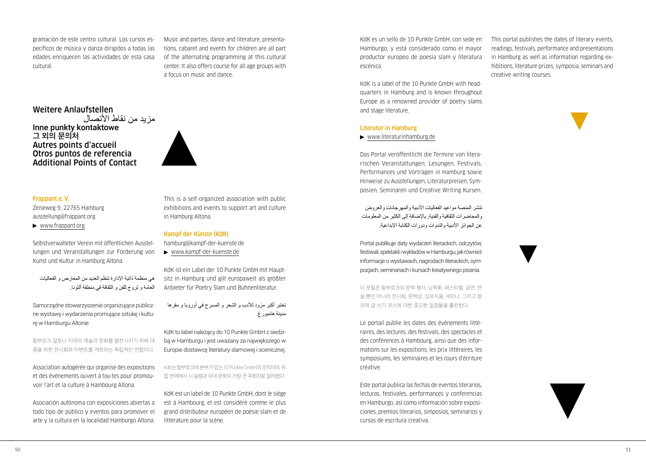gramación de este centro cultural. Los cursos específicos de música y danza dirigidos a todas las edades enriquecen las actividades de esta casa cultural.

Music and parties, dance and literature, presentations, cabaret and events for children are all part of the alternating programming at this cultural center. It also offers course for all age groups with a focus on music and dance.

## Weitere Anlaufstellen مزيد من نقاط الأتصال Inne punkty kontaktowe **그 외의 문의처** Autres points d'accueil Otros puntos de referencia Additional Points of Contact

#### Frappant e. V.

Zeiseweg 9, 22765 Hamburg [ausstellung@frappant.org](mailto:ausstellung@frappant.org)  [www.frappant.org](http://www.frappant.org)

Selbstverwalteter Verein mit öffentlichen Ausstellungen und Veranstaltungen zur Förderung von Kunst und Kultur in Hamburg Altona.

هي منظمة ذاتية اإلدارة تنظم العديد من المعارض و الفعاليات العامة و تروج للفن و الثقافة في منطقة ألتونا.

Samorządne stowarzyszenie organizujące publiczne wystawy i wydarzenia promujące sztukę i kulturę w Hamburgu Altonie.

함부르크 알토나 지역의 예술과 문화를 발전시키기 위해 대 중을 위한 전시회와 이벤트를 개최하는 독립적인 연합이다.

Association autogérée qui organise des expositions et des événements ouvert à tou·tes pour promouvoir l'art et la culture à Hambourg Altona.

Asociación autónoma con exposiciones abiertas a todo tipo de público y eventos para promover el arte y la cultura en la localidad Hamburgo Altona.

This is a self-organized association with public exhibitions and events to support art and culture in Hamburg Altona.

## Kampf der Künste (KdK)

[hamburg@kampf-der-kuenste.de](mailto:hamburg@kampf-der-kuenste.de)

[www.kampf-der-kuenste.de](http://www.kampf-der-kuenste.de)

KdK ist ein Label der 10 Punkte GmbH mit Hauptsitz in Hamburg und gilt europaweit als größter Anbieter für Poetry Slam und Bühnenliteratur.

تعتبر أكبر مزود لألدب و الشعر و المسرح في أوروبا و مقرها مدينة هامبورغ.

KdK to label należący do 10 Punkte GmbH z siedzibą w Hamburgu i jest uważany za największego w Europie dostawcę literatury slamowej i scenicznej.

KdK는 함부르크에 본부가 있는 10 Punkte GmbH의 조직이며, 유 럽 전역에서 시 슬램과 무대 문학의 가장 큰 주최자로 알려졌다.

KdK est un label de 10 Punkte GmbH, dont le siège est à Hambourg, et est considéré comme le plus grand distributeur européen de poésie slam et de littérature pour la scène.

KdK es un sello de 10 Punkte GmbH, con sede en Hamburgo, y está considerado como el mayor productor europeo de poesía slam y literatura escénica.

KdK is a label of the 10 Punkte GmbH with headquarters in Hamburg and is known throughout Europe as a renowned provider of poetry slams and stage literature.

#### Literatur in Hamburg

### [www.literaturinhamburg.de](http://www.literaturinhamburg.de)

Das Portal veröffentlicht die Termine von literarischen Veranstaltungen, Lesungen, Festivals, Performances und Vorträgen in Hamburg sowie Hinweise zu Ausstellungen, Literaturpreisen, Symposien, Seminaren und Creative Writing Kursen.

تنشر المنصبة مواعيد الفعاليات الأدبية والمهر جانات والعروض والمحاضرات الثقافية والفنية, باإلضافة إلى الكثير من المعلومات عن الجوائز الأدبية والندوات ودورات الكتابة الإبداعية.

Portal publikuje daty wydarzeń literackich, odczytów, festiwali, spektakli i wykładów w Hamburgu, jak również informacje o wystawach, nagrodach literackich, sympozjach, seminariach i kursach kreatywnego pisania.

이 포털은 함부르크의 문학 행사, 낭독회, 페스티벌, 공연, 연 설 뿐만 아니라 전시회, 문학상, 심포지움, 세미나, 그리고 창 의적 글 쓰기 코스에 대한 중요한 일정들을 출판한다.

Le portail publie les dates des événements littéraires, des lectures, des festivals, des spectacles et des conférences à Hambourg, ainsi que des informations sur les expositions, les prix littéraires, les symposiums, les séminaires et les cours d'écriture créative.

Este portal publica las fechas de eventos literarios, lecturas, festivales, performances y conferencias en Hamburgo, así como información sobre exposiciones, premios literarios, simposios, seminarios y cursos de escritura creativa.

This portal publishes the dates of literary events, readings, festivals, performance and presentations in Hamburg as well as information regarding exhibitions, literature prizes, symposia, seminars and creative writing courses.

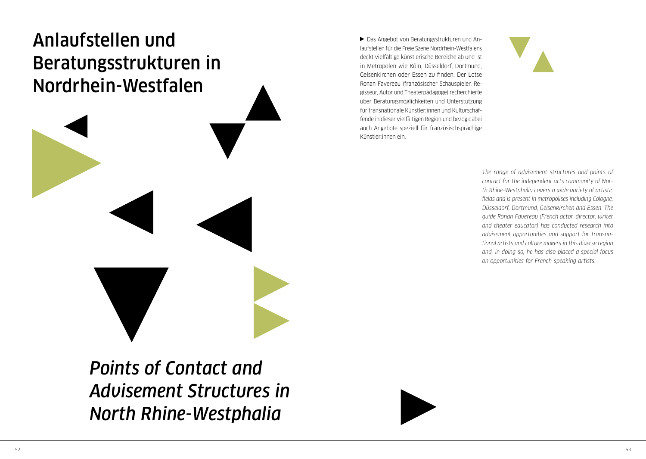# <span id="page-27-0"></span>Anlaufstellen und Beratungsstrukturen in Nordrhein-Westfalen

Das Angebot von Beratungsstrukturen und Anlaufstellen für die Freie Szene Nordrhein-Westfalens deckt vielfältige künstlerische Bereiche ab und ist in Metropolen wie Köln, Düsseldorf, Dortmund, Gelsenkirchen oder Essen zu finden. Der Lotse Ronan Favereau (französischer Schauspieler, Regisseur, Autor und Theaterpädagoge) recherchierte über Beratungsmöglichkeiten und Unterstützung für transnationale Künstler:innen und Kulturschaffende in dieser vielfältigen Region und bezog dabei auch Angebote speziell für französischsprachige Künstler:innen ein.



*The range of advisement structures and points of contact for the independent arts community of North Rhine-Westphalia covers a wide variety of artistic fields and is present in metropolises including Cologne, Düsseldorf, Dortmund, Gelsenkirchen and Essen. The guide Ronan Favereau (French actor, director, writer and theater educator) has conducted research into advisement opportunities and support for transnational artists and culture makers in this diverse region and, in doing so, he has also placed a special focus on opportunities for French-speaking artists.*

*Points of Contact and Advisement Structures in North Rhine-Westphalia*

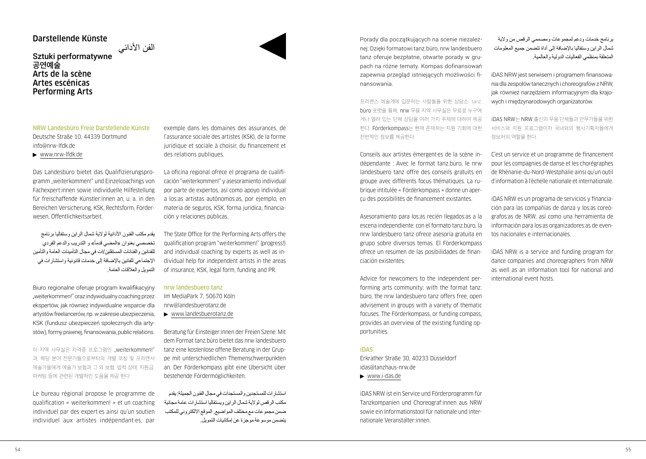## Darstellende Künste

## الفن الأدائي<br>Sztuki performatywne **공연예술** Arts de la scène Artes escénicas Performing Arts

NRW Landesbüro Freie Darstellende Künste Deutsche Straße 10, 44339 Dortmund [info@nrw-lfdk.de](mailto:info@nrw-lfdk.de)

[www.nrw-lfdk.de](http://www.nrw-lfdk.de)

Das Landesbüro bietet das Qualifizierungsprogramm "weiterkommen!" und Einzelcoachings von Fachexpert:innen sowie individuelle Hilfestellung für freischaffende Künstler:innen an, u. a. in den Bereichen Versicherung, KSK, Rechtsform, Förderwesen, Öffentlichkeitsarbeit.

يقدم مكتب الفنون الأدائية لولاية شمال الراين وستفاليا برنامج تخصصي بعنوان «المضي قدماً» و التدريب والدعم الفردي للفنانين والفنانات المستقلين/ات في مجال التأمينات العامة والتأمين اإلجتماعي للفانين باإلضافة إلى خدمات قانونية واستشارات في التمويل والعالقات العامة.

Biuro regionalne oferuje program kwalifikacyjny "weiterkommen!" oraz indywidualny coaching przez ekspertów, jak również indywidualne wsparcie dla artystów freelancerów, np. w zakresie ubezpieczenia, KSK (fundusz ubezpieczeń społecznych dla artystów), formy prawnej, finansowania, public relations.

이 지역 사무실은 자격증 프로그램인 "weiterkommen!" 과, 해당 분야 전문가들으로부터의 개별 코칭 및 프리랜서 예술가들에게 예술가 보험과 그 외 보험, 법적 상태, 지원금, 마케팅 등에 관련된 개별적인 도움을 제공 한다.

Le bureau régional propose le programme de qualification « weiterkommen! » et un coaching individuel par des expert·es ainsi qu'un soutien individuel aux artistes indépendant·es, par

exemple dans les domaines des assurances, de l'assurance sociale des artistes (KSK), de la forme juridique et sociale à choisir, du financement et des relations publiques.

La oficina regional ofrece el programa de cualificación "weiterkommen!" y asesoramiento individual por parte de expertos, así como apoyo individual a los:as artistas autónomos:as, por ejemplo, en materia de seguros, KSK, forma jurídica, financiación y relaciones públicas.

The State Office for the Performing Arts offers the qualification program "weiterkommen!" (progress!) and individual coaching by experts as well as individual help for independent artists in the areas of insurance, KSK, legal form, funding and PR.

### nrw landesbuero tanz

Im MediaPark 7, 50670 Köln [nrw@landesbuerotanz.de](mailto:nrw@landesbuerotanz.de)  [www.landesbuerotanz.de](http://www.landesbuerotanz.de)

Beratung für Einsteiger:innen der Freien Szene: Mit dem Format tanz.büro bietet das nrw landesbuero tanz eine kostenlose offene Beratung in der Gruppe mit unterschiedlichen Themenschwerpunkten an. Der Förderkompass gibt eine Übersicht über bestehende Fördermöglichkeiten.

استشارات للمستجدين والمستجدات في مجال الفنون الجميلة: يقدم مكتب الرقص لوالية شمال الراين ويستفاليا استشارات عامة مجانية ضمن مجموعات مع مختلف المواضيع. الموقع االلكتروني للمكتب يتضمن موسوعة موجزة عن إمكانيات التمويل. Porady dla początkujących na scenie niezależnej: Dzięki formatowi tanz.büro, nrw landesbuero tanz oferuje bezpłatne, otwarte porady w grupach na różne tematy. Kompas dofinansowań zapewnia przegląd istniejących możliwości finansowania.

프리랜스 예술계에 입문하는 사람들을 위한 상담소: tanz. büro 포맷을 통해, nrw 무용 지역 사무실은 무료로 누구에 게나 열려 있는 단체 상담을 여러 가지 주제에 대하여 제공 한다. Förderkompass는 현재 존재하는 지원 기회에 대한 전반적인 정보를 제공한다.

Conseils aux artistes émergent·es de la scène indépendante : Avec le format tanz.büro, le nrw landesbuero tanz offre des conseils gratuits en groupe avec différents focus thématiques. La rubrique intitulée « Förderkompass » donne un aperçu des possibilités de financement existantes.

Asesoramiento para los:as recién llegados:as a la escena independiente: con el formato tanz.büro, la nrw landesbuero tanz ofrece asesoría gratuita en grupo sobre diversos temas. El Förderkompass ofrece un resumen de las posibilidades de financiación existentes.

Advice for newcomers to the independent performing arts community: with the format tanz. büro, the nrw landesbuero tanz offers free, open advisement in groups with a variety of thematic focuses. The Förderkompass, or funding compass, provides an overview of the existing funding opportunities.

#### iDAS

Erkrather Straße 30, 40233 Düsseldorf [idas@tanzhaus-nrw.de](mailto:idas@tanzhaus-nrw.de) 

[www.i-das.de](http://www.i-das.de)

iDAS NRW ist ein Service und Förderprogramm für Tanzkompanien und Choreograf:innen aus NRW sowie ein Informationstool für nationale und internationale Veranstalter:innen.

برنامج خدمات ودعم لمجموعات ومصممي الرقص من والية شمال الراين وستفاليا باإلضافة إلى أداة تتضمن جميع المعلومات المتعلقة بمنظمي الفعاليات الدولية والعالمية.

iDAS NRW jest serwisem i programem finansowania dla zespołów tanecznych i choreografów z NRW, jak również narzędziem informacyjnym dla krajowych i międzynarodowych organizatorów.

iDAS NRW는 NRW 출신의 무용 단체들과 안무가들을 위한 서비스와 지원 프로그램이자 국내외의 행사기획자들에게 정보처의 역할을 한다.

C'est un service et un programme de financement pour les compagnies de danse et les chorégraphes de Rhénanie-du-Nord-Westphalie ainsi qu'un outil d'information à l'échelle nationale et internationale.

iDAS NRW es un programa de servicios y financiación para las compañías de danza y los:as coreógrafos:as de NRW, así como una herramienta de información para los:as organizadores:as de eventos nacionales e internacionales.

iDAS NRW is a service and funding program for dance companies and choreographers from NRW as well as an information tool for national and international event hosts.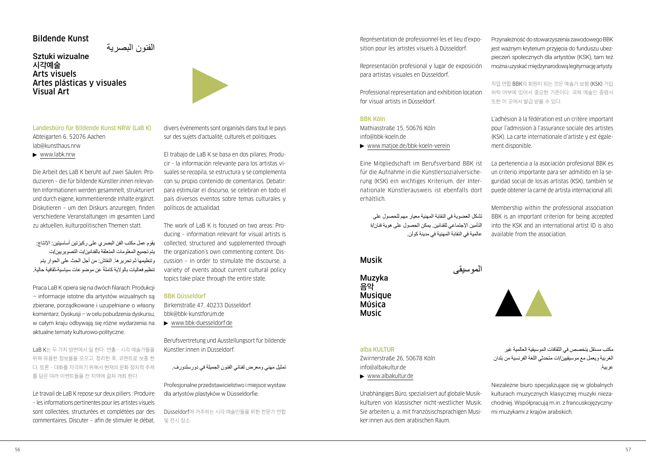## Bildende Kunst

الفنون البصرية Sztuki wizualne **시각예술** Arts visuels Artes plásticas y visuales Visual Art



Landesbüro für Bildende Kunst NRW (LaB K) Abteigarten 6, 52076 Aachen [lab@kunsthaus.nrw](mailto:lab@kunsthaus.nrw) 

 $\blacktriangleright$  [www.labk.nrw](http://www.labk.nrw)

Die Arbeit des LaB K beruht auf zwei Säulen: Produzieren – die für bildende Künstler:innen relevanten Informationen werden gesammelt, strukturiert und durch eigene, kommentierende Inhalte ergänzt. Diskutieren – um den Diskurs anzuregen, finden verschiedene Veranstaltungen im gesamten Land zu aktuellen, kulturpolitischen Themen statt.

يقوم عمل مكتب الفن البصري على ركيزتين أساسيتين: اإلنتاج: يتم تجميع المعلومات المتعلقة بالفنانين/ت التصويريين/ت وتنظيمها ثم تحريرها. النقاش: من أجل الحث على الحوار يتم تنظيم فعاليات بالولاية كاملةُ عن موضوعات سياسية ثقافية حالية.

Praca LaB K opiera się na dwóch filarach: Produkcji – informacje istotne dla artystów wizualnych są zbierane, porządkowane i uzupełniane o własny komentarz. Dyskusji – w celu pobudzenia dyskursu, w całym kraju odbywają się różne wydarzenia na aktualne tematy kulturowo-polityczne.

LaB K는 두 가지 방면에서 일 한다: 연출 - 시각 예술가들을 위해 유용한 정보들을 모으고, 정리한 후, 코멘트로 보충 한 다. 토론 - 대화를 자극하기 위해서 현재의 문화 정치적 주제 를 담은 여러 이벤트들을 전 지역에 걸쳐 개최 한다.

Le travail de LaB K repose sur deux piliers : Produire – les informations pertinentes pour les artistes visuels sont collectées, structurées et complétées par des commentaires. Discuter – afin de stimuler le débat,

divers évènements sont organisés dans tout le pays sur des sujets d'actualité, culturels et politiques.

El trabajo de LaB K se basa en dos pilares: Producir - la información relevante para los artistas visuales se recopila, se estructura y se complementa con su propio contenido de comentarios. Debatir: para estimular el discurso, se celebran en todo el país diversos eventos sobre temas culturales y políticos de actualidad.

The work of LaB K is focused on two areas: Producing – information relevant for visual artists is collected, structured and supplemented through the organization's own commenting content. Discussion – in order to stimulate the discourse, a variety of events about current cultural policy topics take place through the entire state.

#### BBK Düsseldorf

Birkenstraße 47, 40233 Düsseldorf [bbk@bbk-kunstforum.de](mailto:bbk@bbk-kunstforum.de) [www.bbk-duesseldorf.de](https://www.bbk-duesseldorf.de/)

Berufsvertretung und Ausstellungsort für bildende Künstler:innen in Düsseldorf.

تمثيل مهني ومعرض لفناني الفنون الجميلة في دورسلدورف.

Profesjonalne przedstawicielstwo i miejsce wystaw dla artystów plastyków w Düsseldorfie.

Düsseldorf에 거주하는 시각 예술인들을 위한 전문가 연합 및 전시 장소.

Représentation de professionnel·les et lieu d'exposition pour les artistes visuels à Düsseldorf.

Representación profesional y lugar de exposición para artistas visuales en Düsseldorf.

Professional representation and exhibition location for visual artists in Düsseldorf.

## BBK Köln

Mathiasstraße 15, 50676 Köln [info@bbk-koeln.de](mailto:info@bbk-koeln.de)

[www.matjoe.de/bbk-koeln-verein](http://www.matjoe.de/bbk-koeln-verein)

Eine Mitgliedschaft im Berufsverband BBK ist für die Aufnahme in die Künstlersozialversicherung (KSK) ein wichtiges Kriterium, der Internationale Künstlerausweis ist ebenfalls dort erhältlich.

تشكل العضوية في النقابة المهنية معيار مهم للحصول على التأمين اإلجتماعي للفنانين. يمكن الحصول على هوية فنان/ة عالمية في النقابة المهنية في مدينة كولن.

الموسيقى

## Musik

Muzyka **음악 Musique** Música Music

alba KULTUR

Zwirnerstraße 26, 50678 Köln [info@albakultur.de](mailto:info@albakultur.de) [www.albakultur.de](http://www.albakultur.de)

Unabhängiges Büro, spezialisiert auf globale Musikkulturen von klassischer nicht-westlicher Musik. Sie arbeiten u. a. mit französischsprachigen Musiker:innen aus dem arabischen Raum.

Przynależność do stowarzyszenia zawodowego BBK jest ważnym kryterium przyjęcia do funduszu ubezpieczeń społecznych dla artystów (KSK), tam też można uzyskać międzynarodową legitymację artysty.

직업 연합 BBK의 회원이 되는 것은 예술가 보험 (KSK) 가입 허락 여부에 있어서 중요한 기준이다. 국제 예술인 증명서 또한 이 곳에서 발급 받을 수 있다.

L'adhésion à la fédération est un critère important pour l'admission à l'assurance sociale des artistes (KSK). La carte internationale d'artiste y est également disponible.

La pertenencia a la asociación profesional BBK es un criterio importante para ser admitido en la seguridad social de los:as artistas (KSK), también se puede obtener la carné de artista internacional allí.

Membership within the professional association BBK is an important criterion for being accepted into the KSK and an international artist ID is also available from the association.

مكتب مستقل يتخصص في الثقافات الموسيقية العالمية غير الغربية ويعمل مع موسيقيين/ات متحدثي اللغة الفرنسية من بلدان عربية.

Niezależne biuro specjalizujące się w globalnych kulturach muzycznych klasycznej muzyki niezachodniej. Współpracują m.in. z francuskojęzycznymi muzykami z krajów arabskich.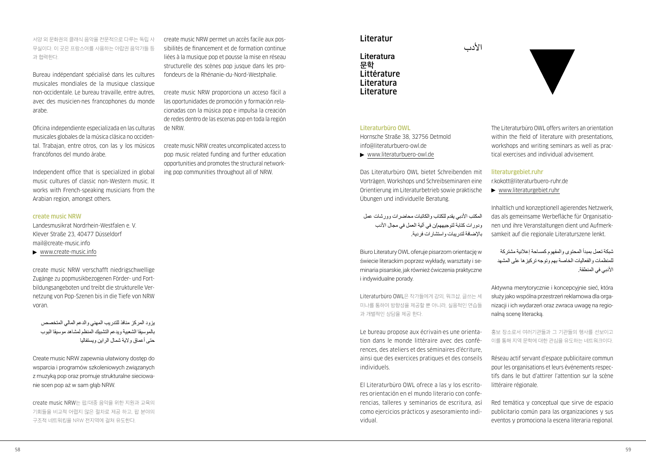서양 외 문화권의 클래식 음악을 전문적으로 다루는 독립 사 무실이다. 이 곳은 프랑스어를 사용하는 아랍권 음악가들 등 과 협력한다.

Bureau indépendant spécialisé dans les cultures musicales mondiales de la musique classique non-occidentale. Le bureau travaille, entre autres, avec des musicien·nes francophones du monde arabe.

Oficina independiente especializada en las culturas musicales globales de la música clásica no occidental. Trabajan, entre otros, con las y los músicos francófonos del mundo árabe.

Independent office that is specialized in global music cultures of classic non-Western music. It works with French-speaking musicians from the Arabian region, amongst others.

## create music NRW

Landesmusikrat Nordrhein-Westfalen e. V. Klever Straße 23, 40477 Düsseldorf [mail@create-music.info](mailto:mail@create-music.info)

[www.create-music.info](http://www.create-music.info)

create music NRW verschafft niedrigschwellige Zugänge zu popmusikbezogenen Förder- und Fortbildungsangeboten und treibt die strukturelle Vernetzung von Pop-Szenen bis in die Tiefe von NRW voran.

يزود المركز منافذ للتدريب المهني والدعم المالي المتخصص بالموسيقا الشعبية ويدعم التشبيك المنظم لمشاهد موسيقا البوب حتى أعماق والية شمال الراين ويستفاليا

Create music NRW zapewnia ułatwiony dostęp do wsparcia i programów szkoleniowych związanych z muzyką pop oraz promuje strukturalne sieciowanie scen pop aż w sam głąb NRW.

create music NRW는 팝/대중 음악을 위한 지원과 교육의 기회들을 비교적 어렵지 않은 절차로 제공 하고, 팝 분야의 구조적 네트워킹을 NRW 전지역에 걸쳐 유도한다.

create music NRW permet un accès facile aux possibilités de financement et de formation continue liées à la musique pop et pousse la mise en réseau structurelle des scènes pop jusque dans les profondeurs de la Rhénanie-du-Nord-Westphalie.

create music NRW proporciona un acceso fácil a las oportunidades de promoción y formación relacionadas con la música pop e impulsa la creación de redes dentro de las escenas pop en toda la región de NRW.

create music NRW creates uncomplicated access to pop music related funding and further education opportunities and promotes the structural networking pop communities throughout all of NRW.

## Literatur

Literatura **문학** Littérature Literatura Literature

## Literaturbüro OWL

Hornsche Straße 38, 32756 Detmold [info@literaturbuero-owl.de](mailto:info@literaturbuero-owl.de)

[www.literaturbuero-owl.de](http://www.literaturbuero-owl.de)

Das Literaturbüro OWL bietet Schreibenden mit Vorträgen, Workshops und Schreibseminaren eine Orientierung im Literaturbetrieb sowie praktische Übungen und individuelle Beratung.

المكتب الأدبي يقدم للكتاب والكاتبات محاضر ات وور شات عمل ودورات كتابة لتوجيههم/ن في آلية العمل في مجال الأدب باإلضافة لتدريبات واستشارات فردية.

Biuro Literatury OWL oferuje pisarzom orientację w świecie literackim poprzez wykłady, warsztaty i seminaria pisarskie, jak również ćwiczenia praktyczne i indywidualne porady.

Literaturbüro OWL은 작가들에게 강의, 워크샵, 글쓰는 세 미나를 통하여 방향성을 제공할 뿐 아니라, 실용적인 연습들 과 개별적인 상담을 제공 한다.

Le bureau propose aux écrivain·es une orientation dans le monde littéraire avec des conférences, des ateliers et des séminaires d'écriture, ainsi que des exercices pratiques et des conseils individuels.

El Literaturbüro OWL ofrece a las y los escritores orientación en el mundo literario con conferencias, talleres y seminarios de escritura, así como ejercicios prácticos y asesoramiento individual.

The Literaturbüro OWL offers writers an orientation within the field of literature with presentations, workshops and writing seminars as well as practical exercises and individual advisement.

#### literaturgebiet.ruhr

األدب

[r.kokott@literaturbuero-ruhr.de](mailto:r.kokott@literaturbuero-ruhr.de)  [www.literaturgebiet.ruhr](http://www.literaturgebiet.ruhr)

Inhaltlich und konzeptionell agierendes Netzwerk, das als gemeinsame Werbefläche für Organisationen und ihre Veranstaltungen dient und Aufmerksamkeit auf die regionale Literaturszene lenkt.

شبكة تعمل بمبدأ المحتوى والمفهوم كمساحة إعالنية مشتركة للمنظمات والفعاليات الخاصة بهم وتوجه تركيزها على المشهد األدبي في المنطقة.

Aktywna merytorycznie i koncepcyjnie sieć, która służy jako wspólna przestrzeń reklamowa dla organizacji i ich wydarzeń oraz zwraca uwagę na regionalną scenę literacką.

홍보 장소로서 여러기관들과 그 기관들의 행사를 선보이고 이를 통해 지역 문학에 대한 관심을 유도하는 네트워크이다.

Réseau actif servant d'espace publicitaire commun pour les organisations et leurs événements respectifs dans le but d'attirer l'attention sur la scène littéraire régionale.

Red temática y conceptual que sirve de espacio publicitario común para las organizaciones y sus eventos y promociona la escena literaria regional.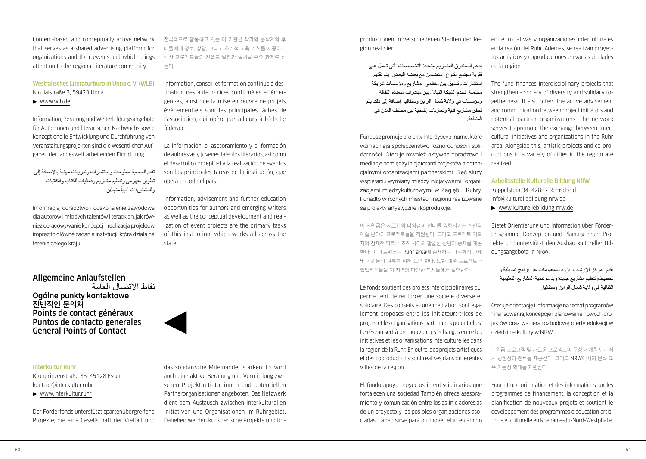Content-based and conceptually active network that serves as a shared advertising platform for organizations and their events and which brings attention to the regional literature community.

Westfälisches Literaturbüro in Unna e. V. (WLB) Nicolaistraße 3, 59423 Unna

[www.wlb.de](http://www.wlb.de)

Information, Beratung und Weiterbildungsangebote für Autor:innen und literarischen Nachwuchs sowie konzeptionelle Entwicklung und Durchführung von Veranstaltungsprojekten sind die wesentlichen Aufgaben der landesweit arbeitenden Einrichtung.

تقدم الجمعية معلومات واستشارات وتدريبات مهنية باإلضافة إلى تطوير مفهومي وتنظيم مشاريع وفعاليات للكتاب والكاتبات وللناشئين/ات أدبياً منهم/ن

Informacja, doradztwo i doskonalenie zawodowe dla autorów i młodych talentów literackich, jak również opracowywanie koncepcji i realizacja projektów imprez to główne zadania instytucji, która działa na terenie całego kraju.

전국적으로 활동하고 있는 이 기관은 작가와 문학계의 후 배들에게 정보, 상담, 그리고 추가적 교육 기회를 제공하고 행사 프로젝트들의 컨셉트 발전과 실행을 주요 과제로 삼 는다.

Information, conseil et formation continue à destination des auteur·trices confirmé·es et émergent·es, ainsi que la mise en œuvre de projets événementiels sont les principales tâches de l'association, qui opère par ailleurs à l'échelle fédérale.

La información, el asesoramiento y el formación de autores:as y jóvenes talentos literarios, así como el desarrollo conceptual y la realización de eventos son las principales tareas de la institución, que opera en todo el país.

Information, advisement and further education opportunities for authors and emerging writers as well as the conceptual development and realization of event projects are the primary tasks of this institution, which works all across the state.

Allgemeine Anlaufstellen

نقاط االتصال العامة Ogólne punkty kontaktowe **전반적인 문의처** Points de contact généraux Puntos de contacto generales General Points of Contact

#### Interkultur Ruhr

Kronprinzenstraße 35, 45128 Essen [kontakt@interkultur.ruhr](mailto:kontakt@interkultur.ruhr)

[www.interkultur.ruhr](http://www.interkultur.ruhr)

Der Förderfonds unterstützt spartenübergreifend Projekte, die eine Gesellschaft der Vielfalt und

das solidarische Miteinander stärken. Es wird auch eine aktive Beratung und Vermittlung zwischen Projektinitiator:innen und potentiellen Partnerorganisationen angeboten. Das Netzwerk dient dem Austausch zwischen interkulturellen Initiativen und Organisationen im Ruhrgebiet. Daneben werden künstlerische Projekte und Koproduktionen in verschiedenen Städten der Region realisiert.

يدعم الصندوق المشاريع متعددة التخصصات التي تعمل على تقوية مجتمع متنوع ومتضامن مع بعضه البعض. يتم تقديم استشارات وتنسيق بين منظمي المشاريع ومؤسسات شريكة محتملة. تخدم الشبكة التبادل بين مبادرات متعددة الثقافة ومؤسسات في والية شمال الراين وستفاليا. إضافة إلى ذلك يتم تحقق مشاريع فنية وتعاونات إنتاجية بين مختلف المدن في المنطقة.

Fundusz promuje projekty interdyscyplinarne, które wzmacniają społeczeństwo różnorodności i solidarności. Oferuje również aktywne doradztwo i mediacje pomiędzy inicjatorami projektów a potencjalnymi organizacjami partnerskimi. Sieć służy wspieraniu wymiany miedzy iniciatywami i organizacjami międzykulturowymi w Zagłębiu Ruhry. Ponadto w różnych miastach regionu realizowane są projekty artystyczne i koprodukcje.

이 지원금은 서로간의 다양성과 연대를 강화시키는 전반적 예술 분야의 프로젝트들을 지원한다. 그리고 프로젝트 기획 자와 잠재적 파트너 조직 사이의 활발한 상담과 중재를 제공 한다. 이 네트워크는 Ruhr area에 존재하는 다문화적 단체 및 기관들의 교류를 위해 노력 한다. 또한 예술 프로젝트와 협업작품들을 이 지역의 다양한 도시들에서 실연한다.

Le fonds soutient des projets interdisciplinaires qui permettent de renforcer une société diverse et solidaire. Des conseils et une médiation sont également proposés entre les initiateurs·trices de projets et les organisations partenaires potentielles. Le réseau sert à promouvoir les échanges entre les initiatives et les organisations interculturelles dans la région de la Ruhr. En outre, des projets artistiques et des coproductions sont réalisés dans différentes villes de la région.

El fondo apoya proyectos interdisciplinarios que fortalecen una sociedad También ofrece asesoramiento y comunicación entre los:as iniciadores:as de un proyecto y las posibles organizaciones asociadas. La red sirve para promover el intercambio

entre iniciativas y organizaciones interculturales en la región del Ruhr. Además, se realizan proyectos artísticos y coproducciones en varias ciudades de la región.

The fund finances interdisciplinary projects that strengthen a society of diversity and solidary togetherness. It also offers the active advisement and communication between project initiators and potential partner organizations. The network serves to promote the exchange between intercultural initiatives and organizations in the Ruhr area. Alongside this, artistic projects and co-productions in a variety of cities in the region are realized.

Arbeitsstelle Kulturelle Bildung NRW Küppelstein 34, 42857 Remscheid [info@kulturellebildung-nrw.de](mailto:info@kulturellebildung-nrw.de) 

[www.kulturellebildung-nrw.de](http://www.kulturellebildung-nrw.de)

Bietet Orientierung und Information über Förderprogramme, Konzeption und Planung neuer Projekte und unterstützt den Ausbau kultureller Bildungsangebote in NRW.

يقدم المركز اإلرشاد و يزود بالمعلومات عن برامج تمويلية و تخطيط وتنظيم مشاريع جديدة ويدعم تنمية المشاريع التعليمية الثقافية في والية شمال الراين وستفاليا.

Oferuje orientację i informacje na temat programów finansowania, koncepcje i planowanie nowych projektów oraz wspiera rozbudowę oferty edukacji w dziedzinie kultury w NRW.

지원금 프로그램 및 새로운 프로젝트의 구상과 계획 단계에 서 방향성과 정보를 제공한다. 그리고 NRW에서의 문화 교 육 가능성 확대를 지원한다.

Fournit une orientation et des informations sur les programmes de financement, la conception et la planification de nouveaux projets et soutient le développement des programmes d'éducation artistique et culturelle en Rhénanie-du-Nord-Westphalie.

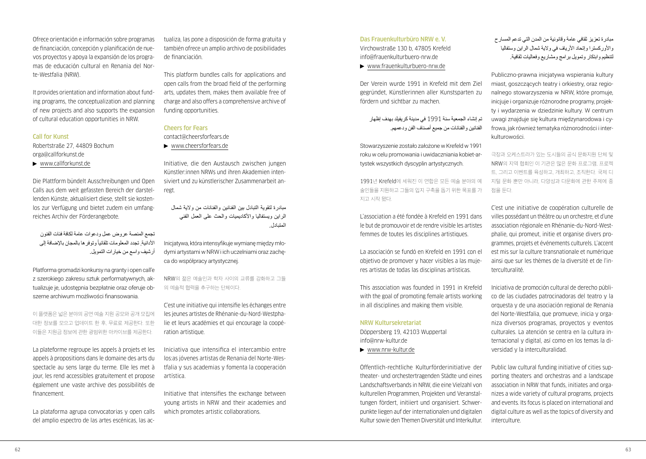Ofrece orientación e información sobre programas de financiación, concepción y planificación de nuevos proyectos y apoya la expansión de los programas de educación cultural en Renania del Norte-Westfalia (NRW).

It provides orientation and information about funding programs, the conceptualization and planning of new projects and also supports the expansion of cultural education opportunities in NRW.

## Call for Kunst

Robertstraße 27, 44809 Bochum [orga@callforkunst.de](mailto:orga@callforkunst.de)

[www.callforkunst.de](http://www.callforkunst.de)

Die Plattform bündelt Ausschreibungen und Open Calls aus dem weit gefassten Bereich der darstellenden Künste, aktualisiert diese, stellt sie kostenlos zur Verfügung und bietet zudem ein umfangreiches Archiv der Förderangebote.

تجمع المنصة عروض عمل ودعوات عامة لكافة فئات الفنون الأدائية, تجدد المعلومات تلقائياً وتوفر ها بالمجان بالإضافة إلى أرشيف واسع من خيارات التمويل.

Platforma gromadzi konkursy na granty i open call'e z szerokiego zakresu sztuk performatywnych, aktualizuje je, udostępnia bezpłatnie oraz oferuje obszerne archiwum możliwości finansowania.

이 플랫폼은 넓은 분야의 공연 예술 지원 공모와 공개 모집에 대한 정보를 모으고 업데이트 한 후, 무료로 제공한다. 또한 이들은 지원금 정보에 관한 광범위한 아카이브를 제공한다.

La plateforme regroupe les appels à projets et les appels à propositions dans le domaine des arts du spectacle au sens large du terme. Elle les met à jour, les rend accessibles gratuitement et propose également une vaste archive des possibilités de financement.

La plataforma agrupa convocatorias y open calls del amplio espectro de las artes escénicas, las actualiza, las pone a disposición de forma gratuita y también ofrece un amplio archivo de posibilidades de financiación.

This platform bundles calls for applications and open calls from the broad field of the performing arts, updates them, makes them available free of charge and also offers a comprehensive archive of funding opportunities.

## Cheers for Fears

[contact@cheersforfears.de](mailto:contact@cheersforfears.de)

[www.cheersforfears.de](http://www.cheersforfears.de)

Initiative, die den Austausch zwischen jungen Künstler:innen NRWs und ihren Akademien intensiviert und zu künstlerischer Zusammenarbeit anregt.

مبادرة لتقوية التبادل بين الفنانين والفنانات من والية شمال الراين ويستفاليا واألكاديميات والحث على العمل الفني المتبادل.

Inicjatywa, która intensyfikuje wymianę między młodymi artystami w NRW i ich uczelniami oraz zachęca do współpracy artystycznej.

NRW의 젊은 예술인과 학자 사이의 교류를 강화하고 그들 의 예술적 협력을 추구하는 단체이다.

C'est une initiative qui intensifie les échanges entre les jeunes artistes de Rhénanie-du-Nord-Westphalie et leurs académies et qui encourage la coopération artistique.

Iniciativa que intensifica el intercambio entre los:as jóvenes artistas de Renania del Norte-Westfalia y sus academias y fomenta la cooperación artística.

Initiative that intensifies the exchange between young artists in NRW and their academies and which promotes artistic collaborations.

## Das Frauenkulturbüro NRW e. V.

Virchowstraße 130 b, 47805 Krefeld [info@frauenkulturbuero-nrw.de](mailto:info@frauenkulturbuero-nrw.de) 

[www.frauenkulturbuero-nrw.de](http://www.frauenkulturbuero-nrw.de)

Der Verein wurde 1991 in Krefeld mit dem Ziel gegründet, Künstlerinnen aller Kunstsparten zu fördern und sichtbar zu machen.

## تم إنشاء الجمعية سنة 1991 في مدينة كريفيلد بهدف إظهار الفنانين والفنانات من جميع أصناف الفن ودعمهم.

Stowarzyszenie zostało założone w Krefeld w 1991 roku w celu promowania i uwidaczniania kobiet-artystek wszystkich dyscyplin artystycznych.

1991년 Krefeld에 세워진 이 연합은 모든 예술 분야의 예 술인들을 지원하고 그들의 입지 구축을 돕기 위한 목표를 가 지고 시작 됐다.

L'association a été fondée à Krefeld en 1991 dans le but de promouvoir et de rendre visible les artistes femmes de toutes les disciplines artistiques.

La asociación se fundó en Krefeld en 1991 con el objetivo de promover y hacer visibles a las mujeres artistas de todas las disciplinas artísticas.

This association was founded in 1991 in Krefeld with the goal of promoting female artists working in all disciplines and making them visible.

#### NRW Kultursekretariat

Döppersberg 19, 42103 Wuppertal [info@nrw-kultur.de](mailto:info@nrw-kultur.de) 

[www.nrw-kultur.de](http://www.nrw-kultur.de)

Öffentlich-rechtliche Kulturförderinitiative der theater- und orchestertragenden Städte und eines Landschaftsverbands in NRW, die eine Vielzahl von kulturellen Programmen, Projekten und Veranstaltungen fördert, initiiert und organisiert. Schwerpunkte liegen auf der internationalen und digitalen Kultur sowie den Themen Diversität und Interkultur. مبادرة تعزيز ثقافي عامة وقانونية من المدن التي تدعم المسارح واألوركسترا وإتحاد األرياف في والية شمال الراين وستفاليا لتنظيم وابتكار وتمويل برامج ومشاريع وفعاليات ثقافية.

Publiczno-prawna inicjatywa wspierania kultury miast, goszczących teatry i orkiestry, oraz regionalnego stowarzyszenia w NRW, które promuje, iniciuje i organizuje różnorodne programy, projekty i wydarzenia w dziedzinie kultury. W centrum uwagi znajduje się kultura międzynarodowa i cyfrowa, jak również tematyka różnorodności i interkulturowości.

극장과 오케스트라가 있는 도시들의 공식 문화지원 단체 및 NRW의 지역 협회인 이 기관은 많은 문화 프로그램, 프로젝 트, 그리고 이벤트를 육성하고, 개최하고, 조직한다. 국제 디 지털 문화 뿐만 아니라, 다양성과 다문화에 관한 주제에 중 점을 둔다.

C'est une initiative de coopération culturelle de villes possédant un théâtre ou un orchestre, et d'une association régionale en Rhénanie-du-Nord-Westphalie, qui promeut, initie et organise divers programmes, projets et événements culturels. L'accent est mis sur la culture transnationale et numérique ainsi que sur les thèmes de la diversité et de l'interculturalité.

Iniciativa de promoción cultural de derecho público de las ciudades patrocinadoras del teatro y la orquesta y de una asociación regional de Renania del Norte-Westfalia, que promueve, inicia y organiza diversos programas, proyectos y eventos culturales. La atención se centra en la cultura internacional y digital, así como en los temas la diversidad y la interculturalidad.

Public law cultural funding initiative of cities supporting theaters and orchestras and a landscape association in NRW that funds, initiates and organizes a wide variety of cultural programs, projects and events. Its focus is placed on international and digital culture as well as the topics of diversity and interculture.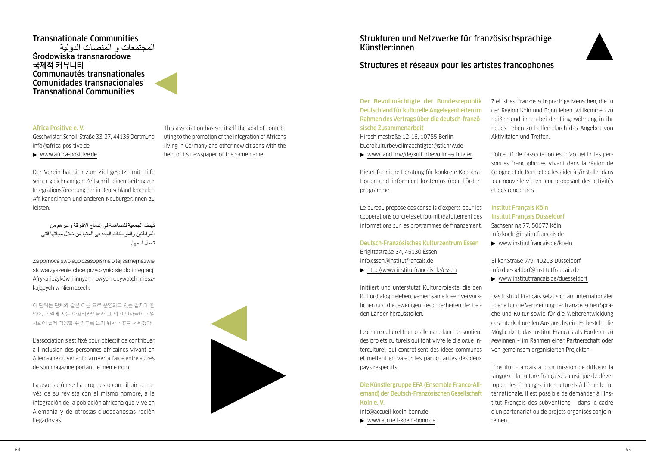## Transnationale Communities Środowiska transnarodowe **국제적 커뮤니티** Communautés transnationales Comunidades transnacionales Transnational Communities

## Africa Positive e. V.

Geschwister-Scholl-Straße 33-37, 44135 Dortmund [info@africa-positive.de](mailto:info@africa-positive.de) 

[www.africa-positive.de](http://www.africa-positive.de)

Der Verein hat sich zum Ziel gesetzt, mit Hilfe seiner gleichnamigen Zeitschrift einen Beitrag zur Integrationsförderung der in Deutschland lebenden Afrikaner:innen und anderen Neubürger:innen zu leisten.

تهدف الجمعية للمساهمة في إندماج األفارقة وغيرهم من المواطنين والمواطنات الجدد في ألمانيا من خالل مجلتها التي تحمل اسمها.

Za pomocą swojego czasopisma o tej samej nazwie stowarzyszenie chce przyczynić się do integracji Afrykańczyków i innych nowych obywateli mieszkających w Niemczech.

이 단체는 단체와 같은 이름 으로 운영되고 있는 잡지에 힘 입어, 독일에 사는 아프리카인들과 그 외 이민자들이 독일 사회에 쉽게 적응할 수 있도록 돕기 위한 목표로 세워졌다.

L'association s'est fixé pour objectif de contribuer à l'inclusion des personnes africaines vivant en Allemagne ou venant d'arriver, à l'aide entre autres de son magazine portant le même nom.

La asociación se ha propuesto contribuir, a través de su revista con el mismo nombre, a la integración de la población africana que vive en Alemania y de otros:as ciudadanos:as recién llegados:as.

This association has set itself the goal of contributing to the promotion of the integration of Africans living in Germany and other new citizens with the help of its newspaper of the same name.

## Strukturen und Netzwerke für französischsprachige Künstler:innen



## Structures et réseaux pour les artistes francophones

Der Bevollmächtigte der Bundesrepublik Deutschland für kulturelle Angelegenheiten im Rahmen des Vertrags über die deutsch-französische Zusammenarbeit

Hiroshimastraße 12-16, 10785 Berlin [buerokulturbevollmaechtigter@stk.nrw.de](mailto:buerokulturbevollmaechtigter@stk.nrw.de) 

[www.land.nrw/de/kulturbevollmaechtigter](http://www.land.nrw/de/kulturbevollmaechtigter)

Bietet fachliche Beratung für konkrete Kooperationen und informiert kostenlos über Förderprogramme.

Le bureau propose des conseils d'experts pour les coopérations concrètes et fournit gratuitement des informations sur les programmes de financement.

Deutsch-Französisches Kulturzentrum Essen Brigittastraße 34, 45130 Essen [info.essen@institutfrancais.de](mailto:info.essen@institutfrancais.de) 

<http://www.institutfrancais.de/essen>

Initiiert und unterstützt Kulturprojekte, die den Kulturdialog beleben, gemeinsame Ideen verwirklichen und die jeweiligen Besonderheiten der beiden Länder herausstellen.

Le centre culturel franco-allemand lance et soutient des projets culturels qui font vivre le dialogue interculturel, qui concrétisent des idées communes et mettent en valeur les particularités des deux pays respectifs.

Die Künstlergruppe EFA (Ensemble Franco-Allemand) der Deutsch-Französischen Gesellschaft Köln e. V.

[info@accueil-koeln-bonn.de](mailto:info@accueil-koeln-bonn.de)

[www.accueil-koeln-bonn.de](http://www.accueil-koeln-bonn.de)

Ziel ist es, französischsprachige Menschen, die in der Region Köln und Bonn leben, willkommen zu heißen und ihnen bei der Eingewöhnung in ihr neues Leben zu helfen durch das Angebot von Aktivitäten und Treffen.

L'objectif de l'association est d'accueillir les personnes francophones vivant dans la région de Cologne et de Bonn et de les aider à s'installer dans leur nouvelle vie en leur proposant des activités et des rencontres.

Institut Français Köln Institut Français Düsseldorf Sachsenring 77, 50677 Köln [info.koeln@institutfrancais.de](mailto:info.koeln@institutfrancais.de) [www.institutfrancais.de/koeln](http://www.institutfrancais.de/koeln)

Bilker Straße 7/9, 40213 Düsseldorf [info.duesseldorf@institutfrancais.de](mailto:info.duesseldorf@institutfrancais.de)

[www.institutfrancais.de/duesseldorf](http://www.institutfrancais.de/duesseldorf)

Das Institut Français setzt sich auf internationaler Ebene für die Verbreitung der französischen Sprache und Kultur sowie für die Weiterentwicklung des interkulturellen Austauschs ein. Es besteht die Möglichkeit, das Institut Français als Förderer zu gewinnen – im Rahmen einer Partnerschaft oder von gemeinsam organisierten Projekten.

L'Institut Français a pour mission de diffuser la langue et la culture françaises ainsi que de développer les échanges interculturels à l'échelle internationale. Il est possible de demander à l'Institut Français des subventions – dans le cadre d'un partenariat ou de projets organisés conjointement.

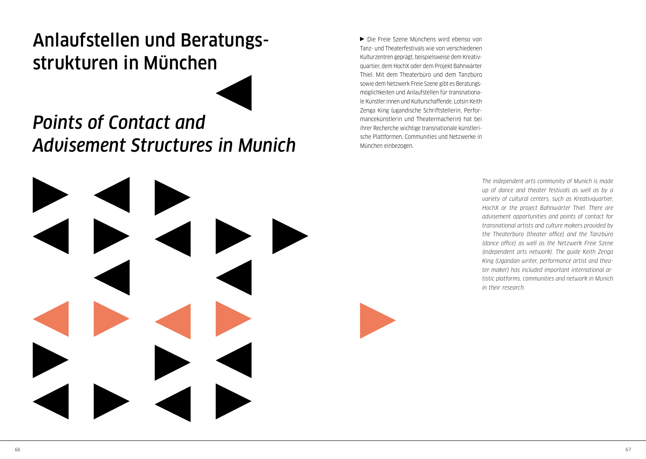# <span id="page-34-0"></span>Anlaufstellen und Beratungsstrukturen in München



## *Points of Contact and Advisement Structures in Munich*

Die Freie Szene Münchens wird ebenso von Tanz- und Theaterfestivals wie von verschiedenen Kulturzentren geprägt, beispielsweise dem Kreativquartier, dem HochX oder dem Projekt Bahnwärter Thiel. Mit dem Theaterbüro und dem Tanzbüro sowie dem Netzwerk Freie Szene gibt es Beratungsmöglichkeiten und Anlaufstellen für transnationale Künstler:innen und Kulturschaffende. Lotsin Keith Zenga King (ugandische Schriftstellerin, Performancekünstlerin und Theatermacherin) hat bei ihrer Recherche wichtige transnationale künstlerische Plattformen, Communities und Netzwerke in München einbezogen.

> *The independent arts community of Munich is made up of dance and theater festivals as well as by a variety of cultural centers, such as Kreativquartier, HochX or the project Bahnwärter Thiel. There are advisement opportunities and points of contact for transnational artists and culture makers provided by the Theaterbüro (theater office) and the Tanzbüro (dance office) as well as the Netzwerk Freie Szene (independent arts network). The guide Keith Zenga King (Ugandan writer, performance artist and theater maker) has included important international artistic platforms, communities and network in Munich in their research.*

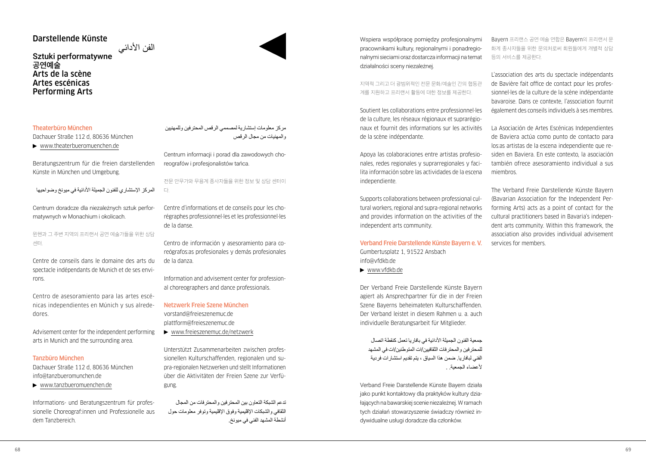## Darstellende Künste

الفن الأدائي<br>Sztuki performatywne **공연예술** Arts de la scène Artes escénicas Performing Arts

## Theaterbüro München

Dachauer Straße 112 d, 80636 München

[www.theaterbueromuenchen.de](http://www.theaterbueromuenchen.de)

Beratungszentrum für die freien darstellenden Künste in München und Umgebung.

المركز الإستشاري للفنون الجميلة الأدائية في ميونخ وضواحيها

Centrum doradcze dla niezależnych sztuk performatywnych w Monachium i okolicach.

뮌헨과 그 주변 지역의 프리랜서 공연 예술가들을 위한 상담 센터.

Centre de conseils dans le domaine des arts du spectacle indépendants de Munich et de ses environs.

Centro de asesoramiento para las artes escénicas independientes en Múnich y sus alrededores.

Advisement center for the independent performing arts in Munich and the surrounding area.

#### Tanzbüro München

Dachauer Straße 112 d, 80636 München [info@tanzbueromunchen.de](mailto:info@tanzbueromunchen.de)

[www.tanzbueromuenchen.de](http://www.tanzbueromuenchen.de)

Informations- und Beratungszentrum für professionelle Choreograf:innen und Professionelle aus dem Tanzbereich.

## مركز معلومات إستشارية لمصممي الرقص المحترفين وللمهنيين والمهنيات من مجال الرقص

Centrum informacji i porad dla zawodowych choreografów i profesjonalistów tańca.

## 전문 안무가와 무용계 종사자들을 위한 정보 및 상담 센터이

다.

Centre d'informations et de conseils pour les chorégraphes professionnel·les et les professionnel·les de la danse.

Centro de información y asesoramiento para coreógrafos:as profesionales y demás profesionales de la danza.

Information and advisement center for professional choreographers and dance professionals.

Netzwerk Freie Szene München

[vorstand@freieszenemuc.de](mailto:vorstand@freieszenemuc.de)  [plattform@freieszenemuc.de](mailto:plattform@freieszenemuc.de)

[www.freieszenemuc.de/netzwerk](http://www.freieszenemuc.de/netzwerk)

Unterstützt Zusammenarbeiten zwischen professionellen Kulturschaffenden, regionalen und supra-regionalen Netzwerken und stellt Informationen über die Aktivitäten der Freien Szene zur Verfügung.

تدعم الشبكة التعاون بين المحترفين والمحترفات من المجال الثقافي والشبكات اإلقليمية وفوق اإلقليمية وتوفر معلومات حول أنشطة المشهد الفني في ميونخ.

Wspiera współpracę pomiędzy profesjonalnymi pracownikami kultury, regionalnymi i ponadregionalnymi sieciami oraz dostarcza informacji na temat działalności sceny niezależnej.

지역적 그리고 더 광범위적인 전문 문화/예술인 간의 협동관 계를 지원하고 프리랜서 활동에 대한 정보를 제공한다.

Soutient les collaborations entre professionnel·les de la culture, les réseaux régionaux et suprarégionaux et fournit des informations sur les activités de la scène indépendante.

Apoya las colaboraciones entre artistas profesionales, redes regionales y suprarregionales y facilita información sobre las actividades de la escena independiente.

Supports collaborations between professional cultural workers, regional and supra-regional networks and provides information on the activities of the independent arts community.

Verband Freie Darstellende Künste Bayern e. V. Gumbertusplatz 1, 91522 Ansbach [info@vfdkb.de](mailto:info@vfdkb.de) 

[www.vfdkb.de](http://www.vfdkb.de)

Der Verband Freie Darstellende Künste Bayern agiert als Ansprechpartner für die in der Freien Szene Bayerns beheimateten Kulturschaffenden. Der Verband leistet in diesem Rahmen u. a. auch individuelle Beratungsarbeit für Mitglieder.

جمعية الفنون الجميلة األدائية في بافاريا تعمل كنقطة اتصال للمحترفين والمحترفات الثقافيين/ات المتوطنين/ات في المشهد الفني لبافاريا. ضمن هذا السياق ، يتم تقديم استشارات فردية لأعضاء الحمعنة

Verband Freie Darstellende Künste Bayern działa jako punkt kontaktowy dla praktyków kultury działających na bawarskiej scenie niezależnej. W ramach tych działań stowarzyszenie świadczy również indywidualne usługi doradcze dla członków.

Bayern 프리랜스 공연 예술 연합은 Bayern의 프리랜서 문 화계 종사자들을 위한 문의처로써 회원들에게 개별적 상담 등의 서비스를 제공한다.

L'association des arts du spectacle indépendants de Bavière fait office de contact pour les professionnel·les de la culture de la scène indépendante bavaroise. Dans ce contexte, l'association fournit également des conseils individuels à ses membres.

La Asociación de Artes Escénicas Independientes de Baviera actúa como punto de contacto para los:as artistas de la escena independiente que residen en Baviera. En este contexto, la asociación también ofrece asesoramiento individual a sus miembros.

The Verband Freie Darstellende Künste Bayern (Bavarian Association for the Independent Performing Arts) acts as a point of contact for the cultural practitioners based in Bavaria's independent arts community. Within this framework, the association also provides individual advisement services for members.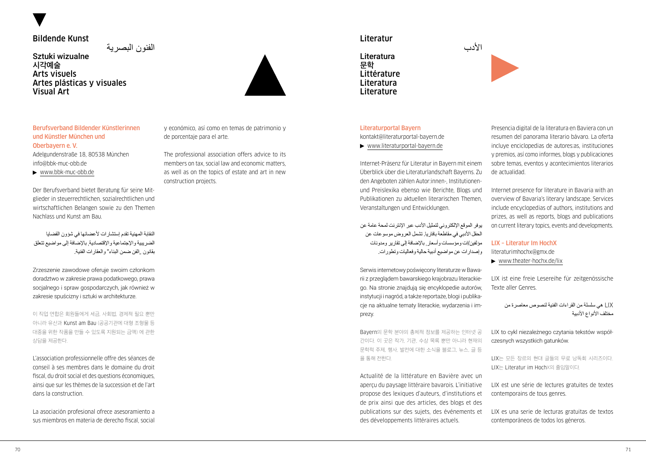## Bildende Kunst

الفنون البصرية

Sztuki wizualne **시각예술** Arts visuels Artes plásticas y visuales Visual Art



Berufsverband Bildender Künstlerinnen und Künstler München und Oberbayern e. V. Adelgundenstraße 18, 80538 München [info@bbk-muc-obb.de](mailto:info@bbk-muc-obb.de) 

[www.bbk-muc-obb.de](http://www.bbk-muc-obb.de)

Der Berufsverband bietet Beratung für seine Mitglieder in steuerrechtlichen, sozialrechtlichen und wirtschaftlichen Belangen sowie zu den Themen Nachlass und Kunst am Bau.

النقابة المهنية تقدم إستشارات لأعضائها في شؤون القضايا الضريبية واإلجتماعية واإلقتصادية, باإلضافة إلى مواضيع تتعلق بقانون "الفن ضمن البناء" والعقارات الفنية.

Zrzeszenie zawodowe oferuje swoim członkom doradztwo w zakresie prawa podatkowego, prawa socjalnego i spraw gospodarczych, jak również w zakresie spuścizny i sztuki w architekturze.

이 직업 연합은 회원들에게 세금, 사회법, 경제적 필요 뿐만 아니라 유산과 Kunst am Bau (공공기관에 대형 조형물 등 대중을 위한 작품을 만들 수 있도록 지원되는 금액) 에 관한 상담을 제공한다.

L'association professionnelle offre des séances de conseil à ses membres dans le domaine du droit fiscal, du droit social et des questions économiques, ainsi que sur les thèmes de la succession et de l'art dans la construction.

La asociación profesional ofrece asesoramiento a sus miembros en materia de derecho fiscal, social y económico, así como en temas de patrimonio y de porcentaje para el arte.

The professional association offers advice to its members on tax, social law and economic matters, as well as on the topics of estate and art in new construction projects.

## Literatur

Literatura **문학** Littérature Literatura Literature



## Literaturportal Bayern

[kontakt@literaturportal-bayern.de](mailto:kontakt@literaturportal-bayern.de)

[www.literaturportal-bayern.de](http://www.literaturportal-bayern.de)

Internet-Präsenz für Literatur in Bayern mit einem Überblick über die Literaturlandschaft Bayerns. Zu den Angeboten zählen Autor:innen-, Institutionenund Preislexika ebenso wie Berichte, Blogs und Publikationen zu aktuellen literarischen Themen, Veranstaltungen und Entwicklungen.

يوفر الموقع الإلكتروني لتمثيل الأدب عبر الإنترنت لمحة عامة عن الحقل الأدبي في مقاطعة بافاريا. تشمل العروض موسوعات عن مؤلفين/ات ومؤسسات وأسعار, باإلضافة إلى تقارير ومدونات وإصدارات عن مواضيع أدبية حالية وفعاليات وتطورات.

Serwis internetowy poświęcony literaturze w Bawarii z przeglądem bawarskiego krajobrazu literackiego. Na stronie znajdują się encyklopedie autorów, instytucji i nagród, a także reportaże, blogi i publikacje na aktualne tematy literackie, wydarzenia i imprezy.

Bayern의 문학 분야의 총체적 정보를 제공하는 인터넷 공 간이다. 이 곳은 작가, 기관, 수상 목록 뿐만 아니라 현재의 문학적 주제, 행사, 발전에 대한 소식을 블로그, 뉴스, 글 등 을 통해 전한다.

Actualité de la littérature en Bavière avec un aperçu du paysage littéraire bavarois. L'initiative propose des lexiques d'auteurs, d'institutions et de prix ainsi que des articles, des blogs et des publications sur des sujets, des événements et des développements littéraires actuels.

Presencia digital de la literatura en Baviera con un resumen del panorama literario bávaro. La oferta incluye enciclopedias de autores:as, instituciones y premios, así como informes, blogs y publicaciones sobre temas, eventos y acontecimientos literarios de actualidad.

Internet presence for literature in Bavaria with an overview of Bavaria's literary landscape. Services include encyclopedias of authors, institutions and prizes, as well as reports, blogs and publications on current literary topics, events and developments.

#### LIX – Literatur Im HochX

[literaturimhochx@gmx.de](mailto:literaturimhochx@gmx.de)

[www.theater-hochx.de/lix](http://www.theater-hochx.de/lix)

LIX ist eine freie Lesereihe für zeitgenössische Texte aller Genres.

LIX هي سلسلة من القراءات الفنية لنصوص معاصرة من مختلف الأنواع الأدبية

LIX to cykl niezależnego czytania tekstów współczesnych wszystkich gatunków.

LIX는 모든 장르의 현대 글들의 무료 낭독회 시리즈이다. LIX는 Literatur im HochX의 줄임말이다.

LIX est une série de lectures gratuites de textes contemporains de tous genres.

LIX es una serie de lecturas gratuitas de textos contemporáneos de todos los géneros.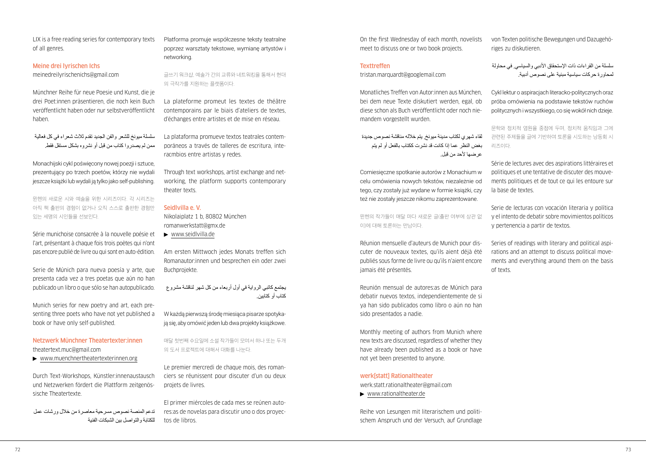LIX is a free reading series for contemporary texts of all genres.

#### Meine drei lyrischen Ichs

[meinedreilyrischenichs@gmail.com](mailto:meinedreilyrischenichs@gmail.com)

Münchner Reihe für neue Poesie und Kunst, die je drei Poet:innen präsentieren, die noch kein Buch veröffentlicht haben oder nur selbstveröffentlicht haben.

سلسلة ميونخ للشعر والفن الجديد تقدم ثالث شعراء في كل فعالية ممن لم يصدروا كتاب من قبل أو نشروه بشكل مستقل فقط.

Monachijski cykl poświęcony nowej poezji i sztuce, prezentujący po trzech poetów, którzy nie wydali jeszcze książki lub wydali ją tylko jako self-publishing.

뮌헨의 새로운 시와 예술을 위한 시리즈이다. 각 시리즈는 아직 책 출판의 경험이 없거나 오직 스스로 출판한 경험만 있는 세명의 시인들을 선보인다.

Série munichoise consacrée à la nouvelle poésie et l'art, présentant à chaque fois trois poètes qui n'ont pas encore publié de livre ou qui sont en auto-édition.

Serie de Múnich para nueva poesía y arte, que presenta cada vez a tres poetas que aún no han publicado un libro o que sólo se han autopublicado.

Munich series for new poetry and art, each presenting three poets who have not yet published a book or have only self-published.

## Netzwerk Münchner Theatertexter:innen [theatertext.muc@gmail.com](mailto:theatertext.muc@gmail.com)

[www.muenchnertheatertexterinnen.org](http://www.muenchnertheatertexterinnen.org)

Durch Text-Workshops, Künstler:innenaustausch und Netzwerken fördert die Plattform zeitgenössische Theatertexte.

تدعم المنصة نصوص مسرحية معاصرة من خالل ورشات عمل للكتابة والتواصل بين الشبكات الفنية

Platforma promuje współczesne teksty teatralne poprzez warsztaty tekstowe, wymianę artystów i networking.

글쓰기 워크샵, 예술가 간의 교류와 네트워킹을 통해서 현대 의 극작가를 지원하는 플랫폼이다.

La plateforme promeut les textes de théâtre contemporains par le biais d'ateliers de textes, d'échanges entre artistes et de mise en réseau.

La plataforma promueve textos teatrales contemporáneos a través de talleres de escritura, interacmbios entre artistas y redes.

Through text workshops, artist exchange and networking, the platform supports contemporary theater texts.

## Seidlvilla e. V.

Nikolaiplatz 1 b, 80802 München [romanwerkstatt@gmx.de](mailto:romanwerkstatt@gmx.de)

[www.seidlvilla.de](http://www.seidlvilla.de)

Am ersten Mittwoch jedes Monats treffen sich Romanautor:innen und besprechen ein oder zwei Buchprojekte.

يجتمع كاتبي الرواية في أول أربعاء من كل شهر لناقشة مشروع كتاب أو كتابين.

W każdą pierwszą środę miesiąca pisarze spotykają się, aby omówić jeden lub dwa projekty książkowe.

매달 첫번째 수요일에 소설 작가들이 모여서 하나 또는 두개 의 도서 프로젝트에 대해서 대화를 나눈다.

Le premier mercredi de chaque mois, des romanciers se réunissent pour discuter d'un ou deux projets de livres.

El primer miércoles de cada mes se reúnen autores:as de novelas para discutir uno o dos proyectos de libros.

On the first Wednesday of each month, novelists meet to discuss one or two book projects.

#### **Texttreffen**

[tristan.marquardt@googlemail.com](mailto:tristan.marquardt@googlemail.com) 

Monatliches Treffen von Autor:innen aus München, bei dem neue Texte diskutiert werden, egal, ob diese schon als Buch veröffentlicht oder noch niemandem vorgestellt wurden.

لقاء شهري لكتاب مدينة ميونخ, يتم خالله مناقشة نصوص جديدة بغض النظر عما إذا كانت قد نشرت ككتاب بالفعل أو لم يتم عرضها لأحد من قبل.

Comiesięczne spotkanie autorów z Monachium w celu omówienia nowych tekstów, niezależnie od tego, czy zostały już wydane w formie książki, czy też nie zostały jeszcze nikomu zaprezentowane.

뮌헨의 작가들이 매달 마다 새로운 글(출판 여부에 상관 없 이)에 대해 토론하는 만남이다.

Réunion mensuelle d'auteurs de Munich pour discuter de nouveaux textes, qu'ils aient déjà été publiés sous forme de livre ou qu'ils n'aient encore jamais été présentés.

Reunión mensual de autores:as de Múnich para debatir nuevos textos, independientemente de si ya han sido publicados como libro o aún no han sido presentados a nadie.

Monthly meeting of authors from Munich where new texts are discussed, regardless of whether they have already been published as a book or have not yet been presented to anyone.

## werk[statt] Rationaltheater

[werk.statt.rationaltheater@gmail.com](mailto:werk.statt.rationaltheater@gmail.com) 

[www.rationaltheater.de](http://www.rationaltheater.de)

Reihe von Lesungen mit literarischem und politischem Anspruch und der Versuch, auf Grundlage von Texten politische Bewegungen und Dazugehöriges zu diskutieren.

سلسلة من القراءات ذات اإلستحقاق األدبي والسياسي, في محاولة لمحاورة حركات سياسية مبنية على نصوص أدبية.

Cykl lektur o aspiracjach literacko-politycznych oraz próba omówienia na podstawie tekstów ruchów politycznych i wszystkiego, co się wokół nich dzieje.

문학와 정치적 염원을 중점에 두며, 정치적 움직임과 그에 관련된 주제들을 글에 기반하여 토론을 시도하는 낭동회 시 리즈이다.

Série de lectures avec des aspirations littéraires et politiques et une tentative de discuter des mouvements politiques et de tout ce qui les entoure sur la base de textes.

Serie de lecturas con vocación literaria y política y el intento de debatir sobre movimientos políticos y pertenencia a partir de textos.

Series of readings with literary and political aspirations and an attempt to discuss political movements and everything around them on the basis of texts.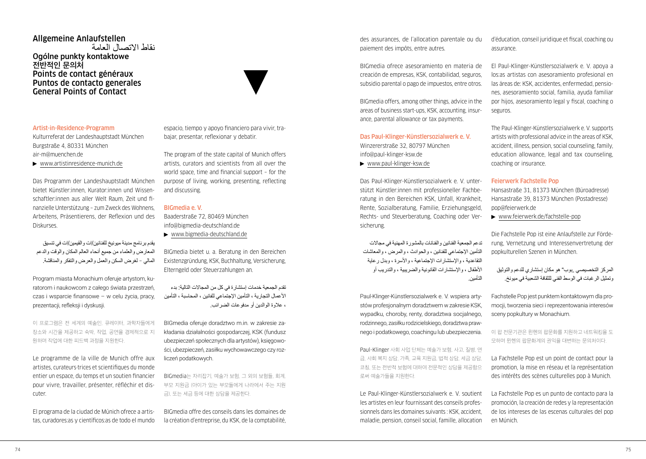## Allgemeine Anlaufstellen نقاط االتصال العامة Ogólne punkty kontaktowe **전반적인 문의처** Points de contact généraux Puntos de contacto generales General Points of Contact

#### Artist-in-Residence-Programm

Kulturreferat der Landeshauptstadt München Burgstraße 4, 80331 München [air-m@muenchen.de](mailto:air-m@muenchen.de) 

[www.artistinresidence-munich.de](http://www.artistinresidence-munich.de)

Das Programm der Landeshauptstadt München bietet Künstler:innen, Kurator:innen und Wissenschaftler:innen aus aller Welt Raum, Zeit und finanzielle Unterstützung – zum Zweck des Wohnens, Arbeitens, Präsentierens, der Reflexion und des Diskurses.

يقدم برنامج مدينة ميونيخ للفنانين/ات والقيمين/ات في تنسيق المعارض والعلماء من جميع أنحاء العالم المكان والوقت والدعم المالي – لغرض السكن والعمل والعرض والتفكر والمناقشة.

Program miasta Monachium oferuje artystom, kuratorom i naukowcom z całego świata przestrzeń, czas i wsparcie finansowe – w celu życia, pracy, prezentacji, refleksji i dyskusji.

이 프로그램은 전 세계의 예술인, 큐레이터, 과학자들에게 장소와 시간을 제공하고 숙박, 작업, 공연을 경제적으로 지 원하며 작업에 대한 피드백 과정을 지원한다.

Le programme de la ville de Munich offre aux artistes, curateurs·trices et scientifiques du monde entier un espace, du temps et un soutien financier pour vivre, travailler, présenter, réfléchir et discuter.

El programa de la ciudad de Múnich ofrece a artistas, curadores:as y científicos:as de todo el mundo espacio, tiempo y apoyo financiero para vivir, trabajar, presentar, reflexionar y debatir.

The program of the state capital of Munich offers artists, curators and scientists from all over the world space, time and financial support – for the purpose of living, working, presenting, reflecting and discussing.

## BIGmedia e. V.

Baaderstraße 72, 80469 München [info@bigmedia-deutschland.de](mailto:info@bigmedia-deutschland.de)

[www.bigmedia-deutschland.de](http://www.bigmedia-deutschland.de)

BIGmedia bietet u. a. Beratung in den Bereichen Existenzgründung, KSK, Buchhaltung, Versicherung, Elterngeld oder Steuerzahlungen an.

تقدم الجمعية خدمات إستشارة في كل من المجاالت التالية: بدء األعمال التجارية ، التأمين اإلجتماعي للفانين ، المحاسبة ، التأمين ، عالوة الوالدين أو مدفوعات الضرائب.

BIGmedia oferuje doradztwo m.in. w zakresie zakładania działalności gospodarczej, KSK (fundusz ubezpieczeń społecznych dla artystów), księgowości, ubezpieczeń, zasiłku wychowawczego czy rozliczeń podatkowych.

BIGmedia는 자리잡기, 예술가 보험, 그 외의 보험들, 회계, 부모 지원금 (아이가 있는 부모들에게 나라에서 주는 지원 금), 또는 세금 등에 대한 상담을 제공한다.

BIGmedia offre des conseils dans les domaines de la création d'entreprise, du KSK, de la comptabilité,

des assurances, de l'allocation parentale ou du paiement des impôts, entre autres.

BIGmedia ofrece asesoramiento en materia de creación de empresas, KSK, contabilidad, seguros, subsidio parental o pago de impuestos, entre otros.

BIGmedia offers, among other things, advice in the areas of business start-ups, KSK, accounting, insurance, parental allowance or tax payments.

Das Paul-Klinger-Künstlersozialwerk e. V. Winzererstraße 32, 80797 München [info@paul-klinger-ksw.de](mailto:info@paul-klinger-ksw.de) 

[www.paul-klinger-ksw.de](http://www.paul-klinger-ksw.de)

Das Paul-Klinger-Künstlersozialwerk e. V. unterstützt Künstler:innen mit professioneller Fachberatung in den Bereichen KSK, Unfall, Krankheit, Rente, Sozialberatung, Familie, Erziehungsgeld, Rechts- und Steuerberatung, Coaching oder Versicherung.

تدعم الجمعية الفنانين والفنانات بالمشورة المهنية في مجاالت التأمين اإلجتماعي للفنانين ، والحوادث ، والمرض ، والمعاشات التقاعدية ، واإلستشارات اإلجتماعية ، واألسرة ، وبدل رعاية األطفال ، واإلستشارات القانونية والضريبية ، والتدريب أو التأمين.

Paul-Klinger-Künstlersozialwerk e. V. wspiera artystów profesjonalnym doradztwem w zakresie KSK, wypadku, choroby, renty, doradztwa socjalnego, rodzinnego, zasiłku rodzicielskiego, doradztwa prawnego i podatkowego, coachingu lub ubezpieczenia.

Paul-Klinger 사회 사업 단체는 예술가 보험, 사고, 질병, 연 금, 사회 복지 상담, 가족, 교육 지원금, 법적 상담, 세금 상담, 코칭, 또는 전반적 보험에 대하여 전문적인 상담을 제공함으 로써 예술가들을 지원한다.

Le Paul-Klinger-Künstlersozialwerk e. V. soutient les artistes en leur fournissant des conseils professionnels dans les domaines suivants : KSK, accident, maladie, pension, conseil social, famille, allocation d'éducation, conseil juridique et fiscal, coaching ou assurance.

El Paul-Klinger-Künstlersozialwerk e. V. apoya a los:as artistas con asesoramiento profesional en las áreas de: KSK, accidentes, enfermedad, pensiones, asesoramiento social, familia, ayuda familiar por hijos, asesoramiento legal y fiscal, coaching o seguros.

The Paul-Klinger-Künstlersozialwerk e. V. supports artists with professional advice in the areas of KSK, accident, illness, pension, social counseling, family, education allowance, legal and tax counseling coaching or insurance.

## Feierwerk Fachstelle Pop

Hansastraße 31, 81373 München (Büroadresse) Hansastraße 39, 81373 München (Postadresse) [pop@feierwerk.de](mailto:pop@feierwerk.de)

[www.feierwerk.de/fachstelle-pop](http://www.feierwerk.de/fachstelle-pop)

Die Fachstelle Pop ist eine Anlaufstelle zur Förderung, Vernetzung und Interessenvertretung der popkulturellen Szenen in München.

المركز التخصيصي "بوب" هو مكان إستشاري للدعم والتوثيق وتمثيل الرغبات في الوسط الفني للثقافة الشعبية في ميونخ.

Fachstelle Pop jest punktem kontaktowym dla promocji, tworzenia sieci i reprezentowania interesów sceny popkultury w Monachium.

이 팝 전문기관은 뮌헨의 팝문화를 지원하고 네트워킹을 도 모하며 뮌헨의 팝문화계의 권익을 대변하는 문의처이다.

La Fachstelle Pop est un point de contact pour la promotion, la mise en réseau et la représentation des intérêts des scènes culturelles pop à Munich.

La Fachstelle Pop es un punto de contacto para la promoción, la creación de redes y la representación de los intereses de las escenas culturales del pop en Múnich.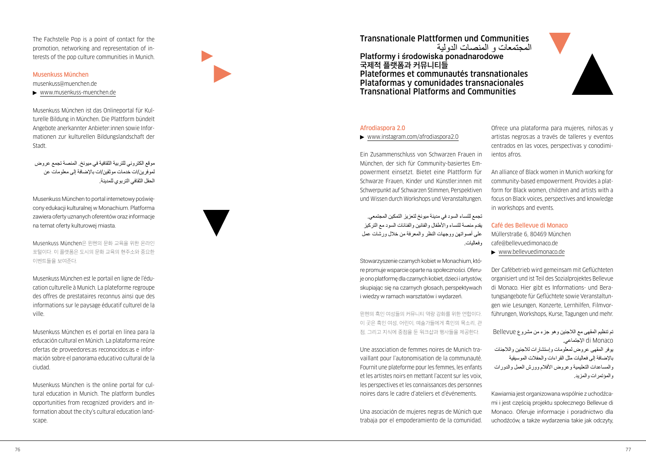The Fachstelle Pop is a point of contact for the promotion, networking and representation of interests of the pop culture communities in Munich.

## Musenkuss München

## [musenkuss@muenchen.de](mailto:musenkuss@muenchen.de)

[www.musenkuss-muenchen.de](http://www.musenkuss-muenchen.de)

Musenkuss München ist das Onlineportal für Kulturelle Bildung in München. Die Plattform bündelt Angebote anerkannter Anbieter:innen sowie Informationen zur kulturellen Bildungslandschaft der Stadt.

موقع الكتروني للتربية الثقافية في ميونخ. المنصة تجمع عروض لموفرين/ات خدمات موثقين/ات باإلضافة إلى معلومات عن الحقل الثقافي التربوي للمدينة.

Musenkuss München to portal internetowy poświęcony edukacji kulturalnej w Monachium. Platforma zawiera oferty uznanych oferentów oraz informacje na temat oferty kulturowej miasta.

Musenkuss München은 뮌헨의 문화 교육을 위한 온라인 포털이다. 이 플랫폼은 도시의 문화 교육의 현주소와 중요한 이벤트들을 보여준다.

Musenkuss München est le portail en ligne de l'éducation culturelle à Munich. La plateforme regroupe des offres de prestataires reconnus ainsi que des informations sur le paysage éducatif culturel de la ville.

Musenkuss München es el portal en línea para la educación cultural en Múnich. La plataforma reúne ofertas de proveedores:as reconocidos:as e información sobre el panorama educativo cultural de la ciudad.

Musenkuss München is the online portal for cultural education in Munich. The platform bundles opportunities from recognized providers and information about the city's cultural education landscape.



Transnationale Plattformen und Communities المجتمعات و المنصات الدولية Platformy i środowiska ponadnarodowe **국제적 플랫폼과 커뮤니티들** Plateformes et communautés transnationales Plataformas y comunidades transnacionales Transnational Platforms and Communities



## Afrodiaspora 2.0

#### [www.instagram.com/](http://www.instagram.com)afrodiaspora2.0

Ein Zusammenschluss von Schwarzen Frauen in München, der sich für Community-basiertes Empowerment einsetzt. Bietet eine Plattform für Schwarze Frauen, Kinder und Künstler:innen mit Schwerpunkt auf Schwarzen Stimmen, Perspektiven und Wissen durch Workshops und Veranstaltungen.

تجمع للنساء السود في مدينة ميونخ لتعزيز التمكين المجتمعي. يقدم منصة للنساء واألطفال والفانين والفنانات السود مع التركيز على أصواتهن ووجهات النظر والمعرفة من خالل ورشات عمل وفعاليات.

Stowarzyszenie czarnych kobiet w Monachium, które promuje wsparcie oparte na społeczności. Oferuje ono platformę dla czarnych kobiet, dzieci i artystów, skupiając się na czarnych głosach, perspektywach i wiedzy w ramach warsztatów i wydarzeń.

뮌헨의 흑인 여성들의 커뮤니티 역량 강화를 위한 연합이다. 이 곳은 흑인 여성, 어린이, 예술가들에게 흑인의 목소리, 관 점, 그리고 지식에 중점을 둔 워크샵과 행사들을 제공한다.

Une association de femmes noires de Munich travaillant pour l'autonomisation de la communauté. Fournit une plateforme pour les femmes, les enfants et les artistes noirs en mettant l'accent sur les voix, les perspectives et les connaissances des personnes noires dans le cadre d'ateliers et d'événements.

Una asociación de mujeres negras de Múnich que trabaja por el empoderamiento de la comunidad.

Ofrece una plataforma para mujeres, niños:as y artistas negros:as a través de talleres y eventos centrados en las voces, perspectivas y conodimiientos afros.

An alliance of Black women in Munich working for community-based empowerment. Provides a platform for Black women, children and artists with a focus on Black voices, perspectives and knowledge in workshops and events.

#### Café des Bellevue di Monaco

Müllerstraße 6, 80469 München [cafe@bellevuedimonaco.de](mailto:cafe@bellevuedimonaco.de) 

[www.bellevuedimonaco.de](http://www.bellevuedimonaco.de)

Der Cafébetrieb wird gemeinsam mit Geflüchteten organisiert und ist Teil des Sozialprojektes Bellevue di Monaco. Hier gibt es Informations- und Beratungsangebote für Geflüchtete sowie Veranstaltungen wie Lesungen, Konzerte, Lernhilfen, Filmvorführungen, Workshops, Kurse, Tagungen und mehr.

تم تنظيم المقهى مع الالجئين وهو جزء من مشروع Bellevue di Monaco الإجتماعي

يوفر المقهى عروض لمعلومات وإستشارات لالجئين والالجئات باإلضافة إلى فعاليات مثل القراءات والحفالت الموسيقية والمساعدات التعليمية وعروض الأفلام وورش العمل والدورات والمؤتمرات والمزيد.

Kawiarnia jest organizowana wspólnie z uchodźcami i jest częścią projektu społecznego Bellevue di Monaco. Oferuje informacje i poradnictwo dla uchodźców, a także wydarzenia takie jak odczyty,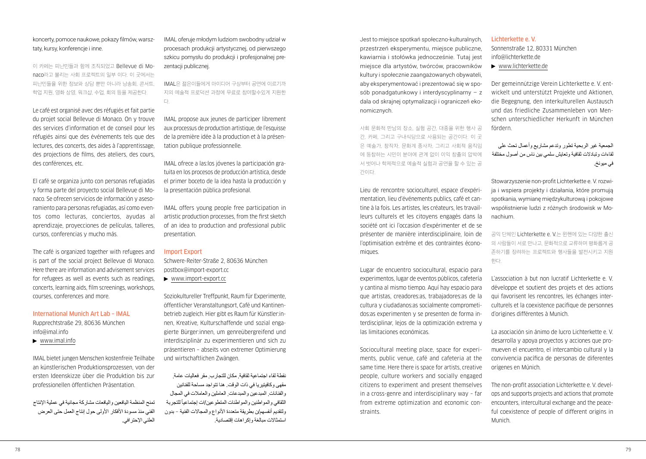koncerty, pomoce naukowe, pokazy filmów, warsztaty, kursy, konferencje i inne.

이 카페는 피난민들과 함께 조직되었고 Bellevue di Monaco라고 불리는 사회 프로젝트의 일부 이다. 이 곳에서는 피난민들을 위한 정보와 상담 뿐만 아니라 낭송회, 콘서트, 학업 지원, 영화 상영, 워크샵, 수업, 회의 등을 제공한다.

Le café est organisé avec des réfugiés et fait partie du projet social Bellevue di Monaco. On y trouve des services d'information et de conseil pour les réfugiés ainsi que des événements tels que des lectures, des concerts, des aides à l'apprentissage, des projections de films, des ateliers, des cours, des conférences, etc.

El café se organiza junto con personas refugiadas y forma parte del proyecto social Bellevue di Monaco. Se ofrecen servicios de información y asesoramiento para personas refugiadas, así como eventos como lecturas, conciertos, ayudas al aprendizaje, proyecciones de películas, talleres, cursos, conferencias y mucho más.

The café is organized together with refugees and is part of the social project Bellevue di Monaco. Here there are information and advisement services for refugees as well as events such as readings, concerts, learning aids, film screenings, workshops, courses, conferences and more.

## International Munich Art Lab – IMAL Rupprechtstraße 29, 80636 München [info@imal.info](mailto:info@imal.info)

[www.imal.info](http://www.imal.info)

IMAL bietet jungen Menschen kostenfreie Teilhabe an künstlerischen Produktionsprozessen, von der ersten Ideenskizze über die Produktion bis zur professionellen öffentlichen Präsentation.

تمنح المنظمة اليافعين واليافعات مشاركة مجانية في عملية اإلنتاج الفني منذ مسودة الأفكار الأولى حول إنتاج العمل حتى العرض العلني اإلحترافي.

IMAL oferuje młodym ludziom swobodny udział w procesach produkcji artystycznej, od pierwszego szkicu pomysłu do produkcji i profesionalnej prezentacji publicznej.

IMAL은 젊은이들에게 아이디어 구상부터 공연에 이르기까 지의 예술적 프로덕션 과정에 무료로 참여할수있게 지원한 다.

IMAL propose aux jeunes de participer librement aux processus de production artistique, de l'esquisse de la première idée à la production et à la présentation publique professionnelle.

IMAL ofrece a las:los jóvenes la participación gratuita en los procesos de producción artística, desde el primer boceto de la idea hasta la producción y la presentación pública profesional.

IMAL offers young people free participation in artistic production processes, from the first sketch of an idea to production and professional public presentation.

#### Import Export

Schwere-Reiter-Straße 2, 80636 München [postbox@import-export.cc](mailto:postbox@import-export.cc)

[www.import-export.cc](http://www.import-export.cc)

Soziokultureller Treffpunkt, Raum für Experimente, öffentlicher Veranstaltungsort, Café und Kantinenbetrieb zugleich. Hier gibt es Raum für Künstler:innen, Kreative, Kulturschaffende und sozial engagierte Bürger:innen, um genreübergreifend und interdisziplinär zu experimentieren und sich zu präsentieren – abseits von extremer Optimierung und wirtschaftlichen Zwängen.

نقطة لقاء اجتماعية ثقافية, مكان للتجارب, مقر فعاليات عامة, مقهى وكافيتيريا في ذات الوقت. هنا تتواجد مساحة للفنانين والفنانات, المبدعين والمبدعات, العاملين والعامالت في المجال الثقافي والمواطنين والمواطنات المتطوعين/ات إجتماعيأ للتجربة ولتقديم أنفسهم/ن بطريقة متعددة األنواع والمجاالت الفنية – بدون استمثالات مبالغة وإكراهات اقتصادية

Jest to miejsce spotkań społeczno-kulturalnych, przestrzeń eksperymentu, miejsce publiczne, kawiarnia i stołówka jednocześnie. Tutaj jest miejsce dla artystów, twórców, pracowników kultury i społecznie zaangażowanych obywateli, aby eksperymentować i prezentować się w sposób ponadgatunkowy i interdyscyplinarny – z dala od skrajnej optymalizacji i ograniczeń ekonomicznych.

사회 문화적 만남의 장소, 실험 공간, 대중을 위한 행사 공 간, 카페, 그리고 구내식당으로 사용되는 공간이다. 이 곳 은 예술가, 창작자, 문화계 종사자, 그리고 사회적 움직임 에 동참하는 시민이 분야에 관계 없이 이익 창출의 압박에 서 벗어나 학제적으로 예술적 실험과 공연을 할 수 있는 공 간이다.

Lieu de rencontre socioculturel, espace d'expérimentation, lieu d'événements publics, café et cantine à la fois. Les artistes, les créateurs, les travailleurs culturels et les citoyens engagés dans la société ont ici l'occasion d'expérimenter et de se présenter de manière interdisciplinaire, loin de l'optimisation extrême et des contraintes économiques.

Lugar de encuentro sociocultural, espacio para experimentos, lugar de eventos públicos, cafetería y cantina al mismo tiempo. Aquí hay espacio para que artistas, creadores:as, trabajadores:as de la cultura y ciudadanos:as socialmente comprometidos:as experimenten y se presenten de forma interdisciplinar, lejos de la optimización extrema y las limitaciones económicas.

Sociocultural meeting place, space for experiments, public venue, café and cafeteria at the same time. Here there is space for artists, creative people, culture workers and socially engaged citizens to experiment and present themselves in a cross-genre and interdisciplinary way – far from extreme optimization and economic constraints.

## Lichterkette e. V.

Sonnenstraße 12, 80331 München [info@lichterkette.de](mailto:info@lichterkette.de)

[www.lichterkette.de](http://www.lichterkette.de)

Der gemeinnützige Verein Lichterkette e. V. entwickelt und unterstützt Projekte und Aktionen, die Begegnung, den interkulturellen Austausch und das friedliche Zusammenleben von Menschen unterschiedlicher Herkunft in München fördern.

الجمعية غير الربحية تطور وتدعم مشاريع وأعمال تحث على لقاءات وتبادالت ثقافية وتعايش سلمي بين ناس من أصول مختلفة في ميونخ.

Stowarzyszenie non-profit Lichterkette e. V. rozwija i wspiera projekty i działania, które promują spotkania, wymianę międzykulturową i pokojowe współistnienie ludzi z różnych środowisk w Monachium.

공익 단체인 Lichterkette e. V.는 뮌헨에 있는 다양한 출신 의 사람들이 서로 만나고, 문화적으로 교류하며 평화롭게 공 존하기를 장려하는 프로젝트와 행사들을 발전시키고 지원 한다.

L'association à but non lucratif Lichterkette e. V. développe et soutient des projets et des actions qui favorisent les rencontres, les échanges interculturels et la coexistence pacifique de personnes d'origines différentes à Munich.

La asociación sin ánimo de lucro Lichterkette e. V. desarrolla y apoya proyectos y acciones que promueven el encuentro, el intercambio cultural y la convivencia pacífica de personas de diferentes orígenes en Múnich.

The non-profit association Lichterkette e. V. develops and supports projects and actions that promote encounters, intercultural exchange and the peaceful coexistence of people of different origins in Munich.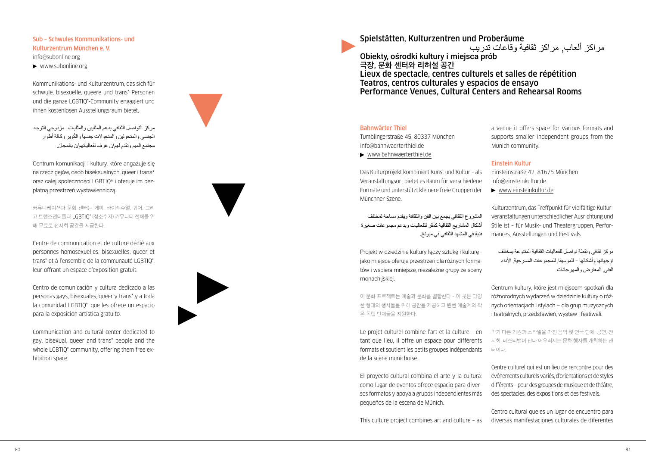## Sub – Schwules Kommunikations- und Kulturzentrum München e. V.

[info@subonline.org](mailto:info@subonline.org)

[www.subonline.org](http://www.subonline.org)

Kommunikations- und Kulturzentrum, das sich für schwule, bisexuelle, queere und trans\* Personen und die ganze LGBTIQ\*-Community engagiert und ihnen kostenlosen Ausstellungsraum bietet.

مركز التواصل الثقافي يدعم المثليين والمثليات , مزدوجي التوجه الجنسي والمتحولين والمتحولات جنسياً والكوير وكافة أطوار مجتمع الميم وتقدم لهم/ن غرف لفعالياتهم/ن بالمجان.

Centrum komunikacji i kultury, które angażuje się na rzecz gejów, osób biseksualnych, queer i trans\* oraz całej społeczności LGBTIQ\* i oferuje im bezpłatną przestrzeń wystawienniczą.

커뮤니케이션과 문화 센터는 게이, 바이섹슈얼, 퀴어, 그리 고 트랜스젠더들과 LGBTIQ\* (성소수자) 커뮤니티 전체를 위 해 무료로 전시회 공간을 제공한다.

Centre de communication et de culture dédié aux personnes homosexuelles, bisexuelles, queer et trans\* et à l'ensemble de la communauté LGBTIQ\*, leur offrant un espace d'exposition gratuit.

Centro de comunicación y cultura dedicado a las personas gays, bisexuales, queer y trans\* y a toda la comunidad LGBTIQ\*, que les ofrece un espacio para la exposición artística gratuito.

Communication and cultural center dedicated to gay, bisexual, queer and trans\* people and the whole LGBTIQ\* community, offering them free exhibition space.



Spielstätten, Kulturzentren und Proberäume

مراكز ألعاب, مراكز ثقافية وقاعات تدريب

Obiekty, ośrodki kultury i miejsca prób **극장, 문화 센터와 리허설 공간** Lieux de spectacle, centres culturels et salles de répétition Teatros, centros culturales y espacios de ensayo Performance Venues, Cultural Centers and Rehearsal Rooms

## Bahnwärter Thiel

Tumblingerstraße 45, 80337 München [info@bahnwaerterthiel.de](mailto:info@bahnwaerterthiel.de)

[www.bahnwaerterthiel.de](http://www.bahnwaerterthiel.de)

Das Kulturprojekt kombiniert Kunst und Kultur – als Veranstaltungsort bietet es Raum für verschiedene Formate und unterstützt kleinere freie Gruppen der Münchner Szene.

المشروع الثقافي يجمع بين الفن والثقافة ويقدم مساحة لمختلف أشكال المشاريع الثقافية كمقر للفعاليات ويدعم مجموعات صغيرة فنية في المشهد الثقافي في ميونخ.

Projekt w dziedzinie kultury łączy sztukę i kulturę jako miejsce oferuje przestrzeń dla różnych formatów i wspiera mniejsze, niezależne grupy ze sceny monachijskiej.

이 문화 프로젝트는 예술과 문화를 결합한다 – 이 곳은 다양 한 형태의 행사들을 위해 공간을 제공하고 뮌헨 예술계의 작 은 독립 단체들을 지원한다.

Le projet culturel combine l'art et la culture – en tant que lieu, il offre un espace pour différents formats et soutient les petits groupes indépendants de la scène munichoise.

El proyecto cultural combina el arte y la cultura: como lugar de eventos ofrece espacio para diversos formatos y apoya a grupos independientes más pequeños de la escena de Múnich.

This culture project combines art and culture – as

a venue it offers space for various formats and supports smaller independent groups from the Munich community.

## Einstein Kultur

Einsteinstraße 42, 81675 München [info@einsteinkultur.de](mailto:info@einsteinkultur.de)

[www.einsteinkultur.de](http://www.einsteinkultur.de)

Kulturzentrum, das Treffpunkt für vielfältige Kulturveranstaltungen unterschiedlicher Ausrichtung und Stile ist – für Musik- und Theatergruppen, Performances, Ausstellungen und Festivals.

مركز ثقافي ونقطة تواصل للفعاليات الثقافية المتنوعة بمختلف توجهاتها وأشكالها – للموسيقا, للمجموعات المسرحية, األداء الفني, المعارض والمهرجانات

Centrum kultury, które jest miejscem spotkań dla różnorodnych wydarzeń w dziedzinie kultury o różnych orientacjach i stylach – dla grup muzycznych i teatralnych, przedstawień, wystaw i festiwali.

각기 다른 기원과 스타일을 가진 음악 및 연극 단체, 공연, 전 시회, 페스티벌이 만나 어우러지는 문화 행사를 개최하는 센 터이다.

Centre culturel qui est un lieu de rencontre pour des événements culturels variés, d'orientations et de styles différents – pour des groupes de musique et de théâtre, des spectacles, des expositions et des festivals.

Centro cultural que es un lugar de encuentro para diversas manifestaciones culturales de diferentes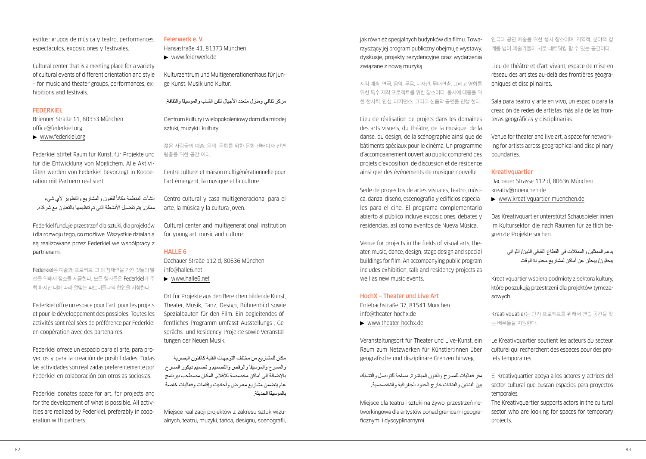estilos: grupos de música y teatro, performances, espectáculos, exposiciones y festivales.

Cultural center that is a meeting place for a variety of cultural events of different orientation and style – for music and theater groups, performances, exhibitions and festivals.

## **FEDERKIEL**

Brienner Straße 11, 80333 München [office@federkiel.org](mailto:office@federkiel.org) 

[www.federkiel.org](http://www.federkiel.org)

Federkiel stiftet Raum für Kunst, für Projekte und für die Entwicklung von Möglichem. Alle Aktivitäten werden von Federkiel bevorzugt in Kooperation mit Partnern realisiert.

أنشأت المنظمة مكانأ للفنون والمشاريع والتطوير لأي شيء ممكن. يتم تفضيل الأنشطة التي تم تنظيمها بالتعاون مع شر كاء

Federkiel funduje przestrzeń dla sztuki, dla projektów i dla rozwoju tego, co możliwe. Wszystkie działania są realizowane przez Federkiel we współpracy z partnerami.

Federkiel은 예술과, 프로젝트, 그 외 잠재력을 가진 것들의 발 전을 위해서 장소를 제공한다. 모든 행사들은 Federkiel가 주 최 하지만 때에 따라 알맞는 파트너들과의 협업을 지향한다.

Federkiel offre un espace pour l'art, pour les projets et pour le développement des possibles. Toutes les activités sont réalisées de préférence par Federkiel en coopération avec des partenaires.

Federkiel ofrece un espacio para el arte, para proyectos y para la creación de posibilidades. Todas las actividades son realizadas preferentemente por Federkiel en colaboración con otros:as socios:as.

Federkiel donates space for art, for projects and for the development of what is possible. All activities are realized by Federkiel, preferably in cooperation with partners.

#### Feierwerk e. V.

Hansastraße 41, 81373 München

[www.feierwerk.de](http://www.feierwerk.de)

Kulturzentrum und Multigenerationenhaus für junge Kunst, Musik und Kultur.

مركز ثقافي ومنزل متعدد األجيال للفن الشاب والموسيقا والثقافة.

Centrum kultury i wielopokoleniowy dom dla młodej sztuki, muzyki i kultury.

젊은 사람들의 예술, 음악, 문화를 위한 문화 센터이자 전연 령층을 위한 공간 이다.

Centre culturel et maison multigénérationnelle pour l'art émergent, la musique et la culture.

Centro cultural y casa multigeneracional para el arte, la música y la cultura joven.

Cultural center and multigenerational institution for young art, music and culture.

## HALLE 6

Dachauer Straße 112 d, 80636 München [info@halle6.net](mailto:info@halle6.net)

[www.halle6.net](http://www.halle6.net)

Ort für Projekte aus den Bereichen bildende Kunst, Theater, Musik, Tanz, Design, Bühnenbild sowie Spezialbauten für den Film. Ein begleitendes öffentliches Programm umfasst Ausstellungs-, Gesprächs- und Residency-Projekte sowie Veranstaltungen der Neuen Musik.

مكان للمشاريع من مختلف التوجهات الفنية كالفنون البصرية والمسرح والموسيقا والرقص والتصميم و تصميم ديكور المسرح باإلضافة إلى أماكن مخصصة لألفالم. المكان مصطحب ببرنامج عام يتضمن مشاريع معارض وأحاديث وإقامات وفعاليات خاصة بالموسيقا الحديثة.

Miejsce realizacji projektów z zakresu sztuk wizualnych, teatru, muzyki, tańca, designu, scenografii, jak również specjalnych budynków dla filmu. Towarzyszący jej program publiczny obejmuje wystawy, dyskusje, projekty rezydencyjne oraz wydarzenia związane z nową muzyką.

시각 예술, 연극, 음악, 무용, 디자인, 무대연출, 그리고 영화를 위한 특수 제작 프로젝트를 위한 장소이다. 동시에 대중을 위 한 전시회, 연설, 레지던스, 그리고 신음악 공연을 진행 한다.

Lieu de réalisation de projets dans les domaines des arts visuels, du théâtre, de la musique, de la danse, du design, de la scénographie ainsi que de bâtiments spéciaux pour le cinéma. Un programme d'accompagnement ouvert au public comprend des projets d'exposition, de discussion et de résidence ainsi que des événements de musique nouvelle.

Sede de proyectos de artes visuales, teatro, música, danza, diseño, escenografía y edificios especiales para el cine. El programa complementario abierto al público incluye exposiciones, debates y residencias, así como eventos de Nueva Música.

Venue for projects in the fields of visual arts, theater, music, dance, design, stage design and special buildings for film. An accompanying public program includes exhibition, talk and residency projects as well as new music events.

## HochX – Theater und Live Art

Entebachstraße 37, 81541 München [info@theater-hochx.de](mailto:info@theater-hochx.de)

[www.theater-hochx.de](http://www.theater-hochx.de)

Veranstaltungsort für Theater und Live-Kunst, ein Raum zum Netzwerken für Künstler:innen über geografische und disziplinäre Grenzen hinweg.

مقر فعاليات للمسرح والفنون المباشرة. مساحة للتواصل والتشابك بين الفنانين والفنانات خارج الحدود الجغرافية والتخصصية.

Miejsce dla teatru i sztuki na żywo, przestrzeń networkingowa dla artystów ponad granicami geograficznymi i dyscyplinarnymi.

연극과 공연 예술을 위한 행사 장소이며, 지역적, 분야적 경 계를 넘어 예술가들이 서로 네트워킹 할 수 있는 공간이다.

Lieu de théâtre et d'art vivant, espace de mise en réseau des artistes au-delà des frontières géographiques et disciplinaires.

Sala para teatro y arte en vivo, un espacio para la creación de redes de artistas más allá de las fronteras geográficas y disciplinarias.

Venue for theater and live art, a space for networking for artists across geographical and disciplinary boundaries.

#### **Kreativguartier**

Dachauer Strasse 112 d, 80636 München [kreativ@muenchen.de](mailto:kreativ@muenchen.de)

[www.kreativquartier-muenchen.de](http://www.kreativquartier-muenchen.de)

Das Kreativquartier unterstützt Schauspieler:innen im Kultursektor, die nach Räumen für zeitlich begrenzte Projekte suchen.

> يدعم الممثلين والممثالت في القطاع الثقافي الذين/ اللواتي يبحثون/ يبحثن عن أماكن لمشاريع محدودة الوقت

Kreativquartier wspiera podmioty z sektora kultury, które poszukują przestrzeni dla projektów tymczasowych.

Kreativquatier는 단기 프로젝트를 위해서 연습 공간을 찾 는 배우들을 지원한다.

Le Kreativquartier soutient les acteurs du secteur culturel qui recherchent des espaces pour des projets temporaires.

El Kreativquartier apoya a los actores y actrices del sector cultural que buscan espacios para proyectos temporales.

The Kreativquartier supports actors in the cultural sector who are looking for spaces for temporary projects.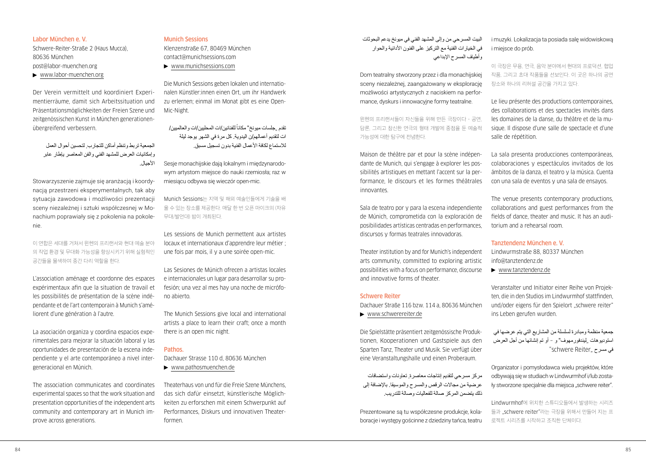## Labor München e. V.

Schwere-Reiter-Straße 2 (Haus Mucca), 80636 München [post@labor-muenchen.org](mailto:post@labor-muenchen.org) [www.labor-muenchen.org](http://www.labor-muenchen.org)

Der Verein vermittelt und koordiniert Experimentierräume, damit sich Arbeitssituation und Präsentationsmöglichkeiten der Freien Szene und zeitgenössischen Kunst in München generationenübergreifend verbessern.

الجمعية تربط وتنظم أماكن للتجارب, لتحسين أحوال العمل وإمكانيات العرض للمشهد الفني والفن المعاصر يإطار عابر الأجبال.

Stowarzyszenie zajmuje się aranżacją i koordynacją przestrzeni eksperymentalnych, tak aby sytuacja zawodowa i możliwości prezentacji sceny niezależnej i sztuki współczesnej w Monachium poprawiały się z pokolenia na pokolenie.

이 연합은 세대를 거쳐서 뮌헨의 프리랜서와 현대 예술 분야 의 작업 환경 및 무대화 가능성을 향상시키기 위해 실험적인 공간들을 물색하여 중간 다리 역할을 한다.

L'association aménage et coordonne des espaces expérimentaux afin que la situation de travail et les possibilités de présentation de la scène indépendante et de l'art contemporain à Munich s'améliorent d'une génération à l'autre.

La asociación organiza y coordina espacios experimentales para mejorar la situación laboral y las oportunidades de presentación de la escena independiente y el arte contemporáneo a nivel intergeneracional en Múnich.

The association communicates and coordinates experimental spaces so that the work situation and presentation opportunities of the independent arts community and contemporary art in Munich improve across generations.

#### Munich Sessions

Klenzenstraße 67, 80469 München [contact@munichsessions.com](mailto:contact@munichsessions.com) [www.munichsessions.com](http://www.munichsessions.com)

Die Munich Sessions geben lokalen und internationalen Künstler:innen einen Ort, um ihr Handwerk zu erlernen; einmal im Monat gibt es eine Open-Mic-Night.

تقدم "جلسات ميونخ" مكاناً للفنانين/ات المحليين/ات و العالميين/ ات لتقديم أعمالهم/ن اليدوية. كل مرة في الشهر يوجد ليلة للاستماع لكافة الأعمال الفنية بدون تسجيل مسبق.

Sesje monachijskie dają lokalnym i międzynarodowym artystom miejsce do nauki rzemiosła; raz w miesiącu odbywa się wieczór open-mic.

Munich Sessions는 지역 및 해외 예술인들에게 기술을 배 울 수 있는 장소를 제공한다. 매달 한 번 오픈 마이크의 (자유 무대/발언대) 밤이 개최된다.

Les sessions de Munich permettent aux artistes locaux et internationaux d'apprendre leur métier ; une fois par mois, il y a une soirée open-mic.

Las Sesiones de Múnich ofrecen a artistas locales e internacionales un lugar para desarrollar su profesión; una vez al mes hay una noche de micrófono abierto.

The Munich Sessions give local and international artists a place to learn their craft; once a month there is an open mic night.

#### **Pathos**

Dachauer Strasse 110 d, 80636 München [www.pathosmuenchen.de](http://www.pathosmuenchen.de)

Theaterhaus von und für die Freie Szene Münchens, das sich dafür einsetzt, künstlerische Möglichkeiten zu erforschen mit einem Schwerpunkt auf Performances, Diskurs und innovativen Theaterformen.

البيت المسرحي من وإلى المشهد الفني في ميونخ يدعم البحوثات في الخيار ات الفنية مع التر كيز على الفنون الأدائية والحوار وأطياف المسرح اإلبداعي

Dom teatralny stworzony przez i dla monachijskiej sceny niezależnej, zaangażowany w eksplorację możliwości artystycznych z naciskiem na performance, dyskurs i innowacyjne formy teatralne.

뮌헨의 프리랜서들이 자신들을 위해 만든 극장이다 – 공연, 담론, 그리고 참신한 연극의 형태 개발에 중점을 둔 예술적 가능성에 대한 탐구에 전념한다.

Maison de théâtre par et pour la scène indépendante de Munich, qui s'engage à explorer les possibilités artistiques en mettant l'accent sur la performance, le discours et les formes théâtrales innovantes.

Sala de teatro por y para la escena independiente de Múnich, comprometida con la exploración de posibilidades artísticas centradas en performances, discursos y formas teatrales innovadoras.

Theater institution by and for Munich's independent arts community, committed to exploring artistic possibilities with a focus on performance, discourse and innovative forms of theater.

#### Schwere Reiter

Dachauer Straße 116 bzw. 114 a, 80636 München [www.schwerereiter.de](http://www.schwerereiter.de)

Die Spielstätte präsentiert zeitgenössische Produktionen, Kooperationen und Gastspiele aus den Sparten Tanz, Theater und Musik. Sie verfügt über eine Veranstaltungshalle und einen Proberaum.

مركز مسرحي لتقديم إنتاجات معاصرة, تعاونات واستضافات عرضية من مجاالت الرقص والمسرح والموسيقا. باإلضافة إلى ذلك يتضمن المركز صالة للفعاليات وصالة للتدريب.

Prezentowane są tu współczesne produkcje, kolaboracje i występy gościnne z dziedziny tańca, teatru i muzyki. Lokalizacja ta posiada salę widowiskową i miejsce do prób.

이 극장은 무용, 연극, 음악 분야에서 현대의 프로덕션, 협업 작품, 그리고 초대 작품들을 선보인다. 이 곳은 하나의 공연 장소와 하나의 리허설 공간을 가지고 있다.

Le lieu présente des productions contemporaines, des collaborations et des spectacles invités dans les domaines de la danse, du théâtre et de la musique. Il dispose d'une salle de spectacle et d'une salle de répétition.

La sala presenta producciones contemporáneas, colaboraciones y espectáculos invitados de los ámbitos de la danza, el teatro y la música. Cuenta con una sala de eventos y una sala de ensayos.

The venue presents contemporary productions, collaborations and guest performances from the fields of dance, theater and music. It has an auditorium and a rehearsal room.

#### Tanztendenz München e. V.

Lindwurmstraße 88, 80337 München [info@tanztendenz.de](mailto:info@tanztendenz.de)

[www.tanztendenz.de](http://www.tanztendenz.de)

Veranstalter und Initiator einer Reihe von Projekten, die in den Studios im Lindwurmhof stattfinden, und/oder eigens für den Spielort "schwere reiter" ins Leben gerufen wurden.

جمعية منظمة ومبادرة لسلسلة من المشاريع التي يتم عرضها في استوديوهات "ليندفورمهوف" و - أو تم إنشائها من أجل العرض في مسرح "schwere Reiter"

Organizator i pomysłodawca wielu projektów, które odbywają się w studiach w Lindwurmhof i/lub zostały stworzone specjalnie dla miejsca "schwere reiter".

Lindwurmhof에 위치한 스튜디오들에서 발생하는 시리즈 들과 "schwere reiter"라는 극장을 위해서 만들어 지는 프 로젝트 시리즈를 시작하고 조직한 단체이다.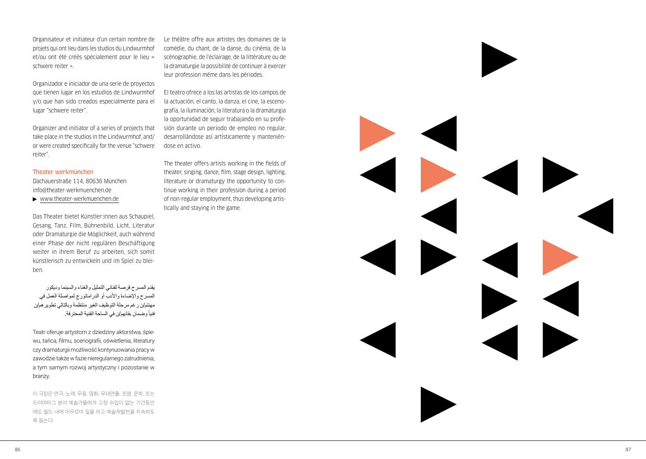Organisateur et initiateur d'un certain nombre de projets qui ont lieu dans les studios du Lindwurmhof et/ou ont été créés spécialement pour le lieu « schwere reiter ».

Organizador e iniciador de una serie de proyectos que tienen lugar en los estudios de Lindwurmhof y/o que han sido creados especialmente para el lugar "schwere reiter".

Organizer and initiator of a series of projects that take place in the studios in the Lindwurmhof, and/ or were created specifically for the venue "schwere reiter".

#### Theater werkmünchen

Dachauerstraße 114, 80636 München [info@theater-werkmuenchen.de](mailto:info@theater-werkmuenchen.de)

[www.theater-werkmuenchen.de](http://www.theater-werkmuenchen.de)

Das Theater bietet Künstler:innen aus Schaupiel, Gesang, Tanz, Film, Bühnenbild, Licht, Literatur oder Dramaturgie die Möglichkeit, auch während einer Phase der nicht regulären Beschäftigung weiter in ihrem Beruf zu arbeiten, sich somit künstlerisch zu entwickeln und im Spiel zu blei ben.

يقدم المسرح فرصة لفناني التمثيل والغناء والسينما وديكور المسرح واإلضاءة واألدب أو الدراماتورج لمواصلة العمل في مهنتم/ن رغم مرحلة التوظيف الغير منتظمة وبالتالي تطويرهم/ن وضمان بقائهم/ن في الساحة الفنية المحترفة. فنيا ً

Teatr oferuje artystom z dziedziny aktorstwa, śpie wu, tańca, filmu, scenografii, oświetlenia, literatury czy dramaturgii możliwość kontynuowania pracy w zawodzie także w fazie nieregularnego zatrudnienia, a tym samym rozwoj artystyczny i pozostanie w branży.

이 극장은 연극, 노래, 무용, 영화, 무대연출, 조명, 문학, 또는 드라마터그 분야 예술가들에게 고정 수입이 없는 기간동안 에도 필드 내에 머무르며 일을 하고 예술적발전을 지속하도 록 돕는다.

Le théâtre offre aux artistes des domaines de la comédie, du chant, de la danse, du cinéma, de la scénographie, de l'éclairage, de la littérature ou de la dramaturgie la possibilité de continuer à exercer leur profession même dans les périodes.

El teatro ofrece a los:las artistas de los campos de la actuación, el canto, la danza, el cine, la esceno grafía, la iluminación, la literatura o la dramaturgia la oportunidad de seguir trabajando en su profe sión durante un periodo de empleo no regular, desarrollándose así artísticamente y mantenién dose en activo.

The theater offers artists working in the fields of theater, singing, dance, film, stage design, lighting, literature or dramaturgy the opportunity to con tinue working in their profession during a period of non-regular employment, thus developing artis tically and staying in the game.

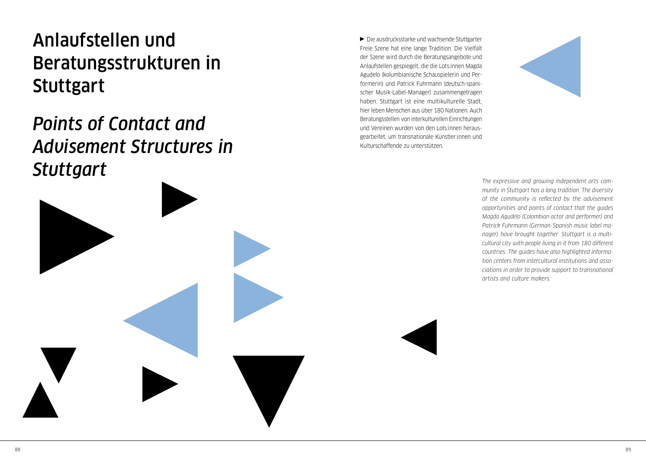## <span id="page-45-0"></span>Anlaufstellen und Beratungsstrukturen in **Stuttgart**

## *Points of Contact and Advisement Structures in Stuttgart*

Die ausdrucksstarke und wachsende Stuttgarter Freie Szene hat eine lange Tradition. Die Vielfalt der Szene wird durch die Beratungsangebote und Anlaufstellen gespiegelt, die die Lots:innen Magda Agudelo (kolumbianische Schauspielerin und Performerin) und Patrick Fuhrmann (deutsch-spanischer Musik-Label-Manager) zusammengetragen haben. Stuttgart ist eine multikulturelle Stadt, hier leben Menschen aus über 180 Nationen. Auch Beratungsstellen von interkulturellen Einrichtungen und Vereinen wurden von den Lots:innen herausgearbeitet, um transnationale Künstler:innen und Kulturschaffende zu unterstützen.



*The expressive and growing independent arts community in Stuttgart has a long tradition. The diversity of the community is reflected by the advisement opportunities and points of contact that the guides Magda Agudelo (Colombian actor and performer) and Patrick Fuhrmann (German-Spanish music label manager) have brought together. Stuttgart is a multicultural city with people living in it from 180 different countries. The guides have also highlighted information centers from intercultural institutions and associations in order to provide support to transnational artists and culture makers.*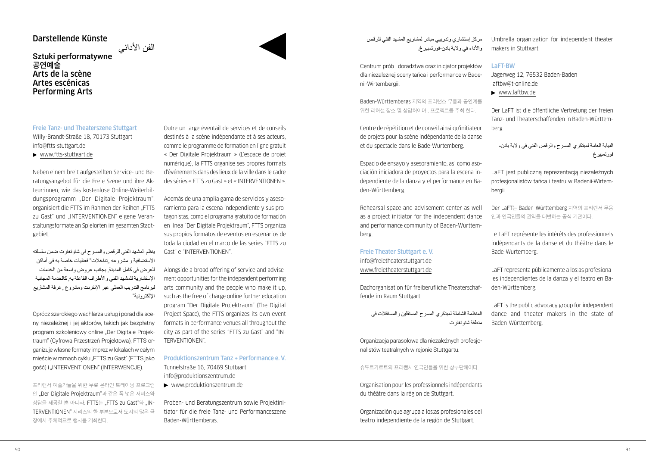## Darstellende Künste

## الفن الأدائي<br>Sztuki performatywne **공연예술** Arts de la scène Artes escénicas Performing Arts

Freie Tanz- und Theaterszene Stuttgart Willy-Brandt-Straße 18, 70173 Stuttgart [info@ftts-stuttgart.de](mailto:info@ftts-stuttgart.de) 

[www.ftts-stuttgart.de](http://www.ftts-stuttgart.de)

Neben einem breit aufgestellten Service- und Beratungsangebot für die Freie Szene und ihre Akteur:innen, wie das kostenlose Online-Weiterbildungsprogramm "Der Digitale Projektraum", organisiert die FTTS im Rahmen der Reihen "FTTS zu Gast" und "INTERVENTIONEN" eigene Veranstaltungsformate an Spielorten im gesamten Stadtgebiet.

ينظم المشهد الفني للرقص والمسرح في شتوتغارت ضمن سلسلته االستضافية و مشروعه "تداخالت" فعاليات خاصة به في أماكن للعرض في كامل المدينة, بجانب عروض واسعة من الخدمات اإلستشارية للمشهد الفني واألطراف الفاعلة به, كالخدمة المجانية لبرنامج التدريب العملي عبر اإلنترنت ومشروع "غرفة المشاريع الإلكتر ونية"

Oprócz szerokiego wachlarza usług i porad dla sceny niezależnej i jej aktorów, takich jak bezpłatny program szkoleniowy online "Der Digitale Projektraum" (Cyfrowa Przestrzeń Projektowa), FTTS organizuje własne formaty imprez w lokalach w całym mieście w ramach cyklu "FTTS zu Gast" (FTTS jako gość) i "INTERVENTIONEN" (INTERWENCJE).

프리랜서 예술가들을 위한 무료 온라인 트레이닝 프로그램 인 "Der Digitale Projektraum"과 같은 폭 넓은 서비스와 상담을 제공할 뿐 아니라, FTTS는 "FTTS zu Gast"와 "IN-TERVENTIONEN" 시리즈의 한 부분으로서 도시의 많은 극 장에서 주체적으로 행사를 개최한다.

Outre un large éventail de services et de conseils destinés à la scène indépendante et à ses acteurs, comme le programme de formation en ligne gratuit « Der Digitale Projektraum » (L'espace de projet numérique), la FTTS organise ses propres formats d'événements dans des lieux de la ville dans le cadre des séries « FTTS zu Gast » et « INTERVENTIONEN ».

Además de una amplia gama de servicios y asesoramiento para la escena independiente y sus protagonistas, como el programa gratuito de formación en línea "Der Digitale Projektraum", FTTS organiza sus propios formatos de eventos en escenarios de toda la ciudad en el marco de las series "FTTS zu Gast" e "INTERVENTIONEN".

Alongside a broad offering of service and advisement opportunities for the independent performing arts community and the people who make it up, such as the free of charge online further education program "Der Digitale Projektraum" (The Digital Project Space), the FTTS organizes its own event formats in performance venues all throughout the city as part of the series "FTTS zu Gast" and "IN-TERVENTIONEN".

Produktionszentrum Tanz + Performance e. V. Tunnelstraße 16, 70469 Stuttgart [info@produktionszentrum.de](mailto:info@produktionszentrum.de) 

[www.produktionszentrum.de](http://www.produktionszentrum.de)

Proben- und Beratungszentrum sowie Projektinitiator für die freie Tanz- und Performanceszene Baden-Württembergs.

مركز إستشاري وتدريبي مبادر لمشاريع المشهد الفني للرقص و الأداء في و لاية بادن-فور تمبير غ.

Centrum prób i doradztwa oraz inicjator projektów dla niezależnej sceny tańca i performance w Badenii-Wirtembergii.

Baden-Württembergs 지역의 프리랜스 무용과 공연계를 위한 리허설 장소 및 상담처이며 , 프로젝트를 주최 한다.

Centre de répétition et de conseil ainsi qu'initiateur de projets pour la scène indépendante de la danse et du spectacle dans le Bade-Wurtemberg.

Espacio de ensayo y asesoramiento, así como asociación iniciadora de proyectos para la escena independiente de la danza y el performance en Baden-Württemberg.

Rehearsal space and advisement center as well as a project initiator for the independent dance and performance community of Baden-Württemberg.

Freie Theater Stuttgart e. V. [info@freietheaterstuttgart.de](mailto:info@freietheaterstuttgart.de)  [www.freietheaterstuttgart.de](http://www.freietheaterstuttgart.de)

Dachorganisation für freiberufliche Theaterschaffende im Raum Stuttgart.

المنظمة الشاملة لمبتكري المسرح المستقلين والمستقالت في منطقة شتوتغارت

Organizacja parasolowa dla niezależnych profesjonalistów teatralnych w rejonie Stuttgartu.

## 슈투트가르트의 프리랜서 연극인들을 위한 상부단체이다.

Organisation pour les professionnels indépendants du théâtre dans la région de Stuttgart.

Organización que agrupa a los:as profesionales del teatro independiente de la región de Stuttgart.

Umbrella organization for independent theater makers in Stuttgart.

#### LaFT-BW

Jägerweg 12, 76532 Baden-Baden [laftbw@t-online.de](mailto:laftbw@t-online.de)

[www.laftbw.de](http://www.laftbw.de)

Der LaFT ist die öffentliche Vertretung der freien Tanz- und Theaterschaffenden in Baden-Württemberg.

النيابة العامة لمبتكري المسرح والرقص الفني في والية بادن- فورتمبيرغ

LaFT jest publiczną reprezentacją niezależnych profesjonalistów tańca i teatru w Badenii-Wirtembergii.

Der LaFT는 Baden-Württemberg 지역의 프리랜서 무용 인과 연극인들의 권익을 대변하는 공식 기관이다.

Le LaFT représente les intérêts des professionnels indépendants de la danse et du théâtre dans le Bade-Wurtemberg.

LaFT representa públicamente a los:as profesionales independientes de la danza y el teatro en Baden-Württemberg.

LaFT is the public advocacy group for independent dance and theater makers in the state of Baden-Württemberg.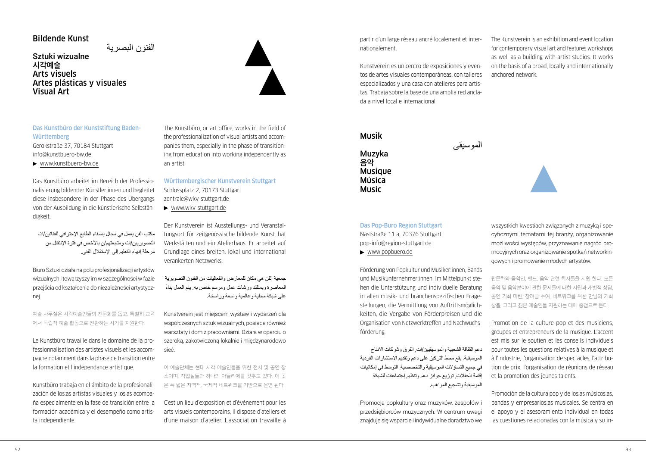## Bildende Kunst

الفنون البصرية Sztuki wizualne **시각예술** Arts visuels Artes plásticas y visuales Visual Art



## Das Kunstbüro der Kunststiftung Baden-**Württemberg**

Gerokstraße 37, 70184 Stuttgart [info@kunstbuero-bw.de](mailto:info@kunstbuero-bw.de)

[www.kunstbuero-bw.de](http://www.kunstbuero-bw.de)

Das Kunstbüro arbeitet im Bereich der Professionalisierung bildender Künstler:innen und begleitet diese insbesondere in der Phase des Übergangs von der Ausbildung in die künstlerische Selbständigkeit.

مكتب الفن يعمل في مجال إضفاء الطابع اإلحترافي للفنانين/ات التصويريين/ات ومتابعتهم/ن باألخص في فترة اإلنتقال من مرحلة إنهاء التعليم إلى اإلستقالل الفني.

Biuro Sztuki działa na polu profesjonalizacji artystów wizualnych i towarzyszy im w szczególności w fazie przejścia od kształcenia do niezależności artystycznej.

예술 사무실은 시각예술인들의 전문화를 돕고, 특별히 교육 에서 독립적 예술 활동으로 전환하는 시기를 지원한다.

Le Kunstbüro travaille dans le domaine de la professionnalisation des artistes visuels et les accompagne notamment dans la phase de transition entre la formation et l'indépendance artistique.

Kunstbüro trabaja en el ámbito de la profesionalización de los:as artistas visuales y los:as acompaña especialmente en la fase de transición entre la formación académica y el desempeño como artista independiente.

The Kunstbüro, or art office, works in the field of the professionalization of visual artists and accompanies them, especially in the phase of transitioning from education into working independently as an artist.

Württembergischer Kunstverein Stuttgart Schlossplatz 2, 70173 Stuttgart [zentrale@wkv-stuttgart.de](mailto:zentrale@wkv-stuttgart.de)

[www.wkv-stuttgart.de](http://www.wkv-stuttgart.de)

Der Kunstverein ist Ausstellungs- und Veranstaltungsort für zeitgenössische bildende Kunst, hat Werkstätten und ein Atelierhaus. Er arbeitet auf Grundlage eines breiten, lokal und international verankerten Netzwerks.

جمعية الفن هي مكان للمعارض والفعاليات من الفنون التصويرية ً المعاصرة ويمتلك ورشات عمل ومرسم خاص به. يتم العمل بناء على شبكة محلية وعالمية واسعة وراسخة.

Kunstverein jest miejscem wystaw i wydarzeń dla współczesnych sztuk wizualnych, posiada również warsztaty i dom z pracowniami. Działa w oparciu o szeroką, zakotwiczoną lokalnie i międzynarodowo sieć.

이 예술단체는 현대 시각 예술인들을 위한 전시 및 공연 장 소이며, 작업실들과 하나의 아뜰리에를 갖추고 있다. 이 곳 은 폭 넓은 지역적, 국제적 네트워크를 기반으로 운영 된다.

C'est un lieu d'exposition et d'événement pour les arts visuels contemporains, il dispose d'ateliers et d'une maison d'atelier. L'association travaille à

partir d'un large réseau ancré localement et internationalement.

Kunstverein es un centro de exposiciones y eventos de artes visuales contemporáneas, con talleres especializados y una casa con atelieres para artistas. Trabaja sobre la base de una amplia red anclada a nivel local e internacional.

## Musik

Muzyka **음악** Musique Música Music

الموسيقى

The Kunstverein is an exhibition and event location for contemporary visual art and features workshops as well as a building with artist studios. It works on the basis of a broad, locally and internationally anchored network.



[pop-info@region-stuttgart.de](mailto:pop-info@region-stuttgart.de)

[www.popbuero.de](http://www.popbuero.de)

Förderung von Popkultur und Musiker:innen, Bands und Musikunternehmer:innen. Im Mittelpunkt stehen die Unterstützung und individuelle Beratung in allen musik- und branchenspezifischen Fragestellungen, die Vermittlung von Auftrittsmöglichkeiten, die Vergabe von Förderpreisen und die Organisation von Netzwerktreffen und Nachwuchsförderung.

دعم الثقافة الشعبية والموسيقيين/ات, الفرق وشركات االنتاج الموسيقية. يقع محط التركيز على دعم وتقديم االستشارات الفردية في جميع التساؤالت الموسيقية والتخصصية, التوسط في إمكانيات إقامة الحفالت, توزيع جوائز دعم وتنظيم إجتماعات للشبكة الموسيقية وتشجيع المواهب.

Promocja popkultury oraz muzyków, zespołów i przedsiębiorców muzycznych. W centrum uwagi znajduje się wsparcie i indywidualne doradztwo we wszystkich kwestiach związanych z muzyką i specyficznymi tematami tej branży, organizowanie możliwości występów, przyznawanie nagród promocyjnych oraz organizowanie spotkań networkingowych i promowanie młodych artystów.

팝문화와 음악인, 밴드, 음악 관련 회사들을 지원 한다. 모든 음악 및 음악분야에 관한 문제들에 대한 지원과 개별적 상담, 공연 기회 마련, 장려금 수여, 네트워크를 위한 만남의 기회 창출, 그리고 젊은 예술인들 지원하는 데에 중점으로 둔다.

Promotion de la culture pop et des musiciens, groupes et entrepreneurs de la musique. L'accent est mis sur le soutien et les conseils individuels pour toutes les questions relatives à la musique et à l'industrie, l'organisation de spectacles, l'attribution de prix, l'organisation de réunions de réseau et la promotion des jeunes talents.

Promoción de la cultura pop y de los:as músicos:as, bandas y empresarios:as musicales. Se centra en el apoyo y el asesoramiento individual en todas las cuestiones relacionadas con la música y su in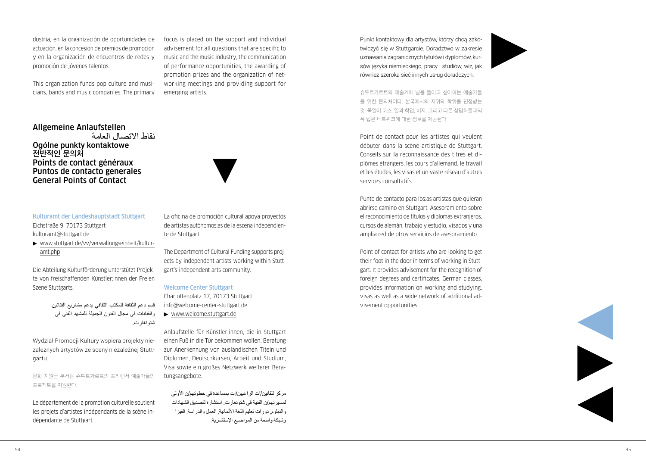dustria, en la organización de oportunidades de actuación, en la concesión de premios de promoción y en la organización de encuentros de redes y promoción de jóvenes talentos.

This organization funds pop culture and musi cians, bands and music companies. The primary

## Allgemeine Anlaufstellen

نقاط االتصال العامة Ogólne punkty kontaktowe **전반적인 문의처** Points de contact généraux Puntos de contacto generales General Points of Contact

## Kulturamt der Landeshauptstadt Stuttgart Eichstraße 9, 70173 Stuttgart [kulturamt@stuttgart.de](mailto:kulturamt@stuttgart.de)

 [www.stuttgart.de/vv/verwaltungseinheit/kultur](http://www.stuttgart.de/vv/verwaltungseinheit/kulturamt.php) [amt.php](http://www.stuttgart.de/vv/verwaltungseinheit/kulturamt.php)

Die Abteilung Kulturförderung unterstützt Projek te von freischaffenden Künstler:innen der Freien Szene Stuttgarts.

> قسم دعم الثقافة للمكتب الثقافي يدعم مشاريع الفنانين والفنانات في مجال الفنون الجميلة للمشهد الفني في شتوتغارت.

Wydział Promocji Kultury wspiera projekty nie zależnych artystów ze sceny niezależnej Stuttgartu.

문화 지원금 부서는 슈투트가르트의 프리랜서 예술가들의 프로젝트를 지원한다.

Le département de la promotion culturelle soutient les projets d'artistes indépendants de la scène in dépendante de Stuttgart.

focus is placed on the support and individual advisement for all questions that are specific to music and the music industry, the communication of performance opportunities, the awarding of promotion prizes and the organization of net working meetings and providing support for emerging artists.



La oficina de promoción cultural apoya proyectos de artistas autónomos:as de la escena independien te de Stuttgart.

The Department of Cultural Funding supports proj ects by independent artists working within Stutt gart's independent arts community.

#### Welcome Center Stuttgart

Charlottenplatz 17, 70173 Stuttgart [info@welcome-center-stuttgart.de](mailto:info@welcome-center-stuttgart.de)

[www.welcome.stuttgart.de](https://welcome.stuttgart.de/)

Anlaufstelle für Künstler:innen, die in Stuttgart einen Fuß in die Tür bekommen wollen. Beratung zur Anerkennung von ausländischen Titeln und Diplomen, Deutschkursen, Arbeit und Studium, Visa sowie ein großes Netzwerk weiterer Bera tungsangebote.

مركز للفانين/ات الراغبين/ات بمساعدة في خطوتهم/ن األولى لمسيرتهم/ن الفنية في شتوتغارت. استشارة لتصديق الشهادات والدبلوم, دورات تعليم اللغة الألمانية, العمل والدراسة, الفيزا وشبكة واسعة من المواضيع اإلستشارية.

Punkt kontaktowy dla artystów, którzy chcą zako twiczyć się w Stuttgarcie. Doradztwo w zakresie uznawania zagranicznych tytułów i dyplomów, kur sów języka niemieckiego, pracy i studiów, wiz, jak również szeroka sieć innych usług doradczych.



슈투트가르트의 예술계에 발을 들이고 싶어하는 예술가들 을 위한 문의처이다. 본국에서의 지위와 학위를 인정받는 것, 독일어 코스, 일과 학업, 비자, 그리고 다른 상담처들과의 폭 넓은 네트워크에 대한 정보를 제공한다.

Point de contact pour les artistes qui veulent débuter dans la scène artistique de Stuttgart. Conseils sur la reconnaissance des titres et di plômes étrangers, les cours d'allemand, le travail et les études, les visas et un vaste réseau d'autres services consultatifs.

Punto de contacto para los:as artistas que quieran abrirse camino en Stuttgart. Asesoramiento sobre el reconocimiento de títulos y diplomas extranjeros, cursos de alemán, trabajo y estudio, visados y una amplia red de otros servicios de asesoramiento.

Point of contact for artists who are looking to get their foot in the door in terms of working in Stutt gart. It provides advisement for the recognition of foreign degrees and certificates, German classes, provides information on working and studying, visas as well as a wide network of additional ad visement opportunities.

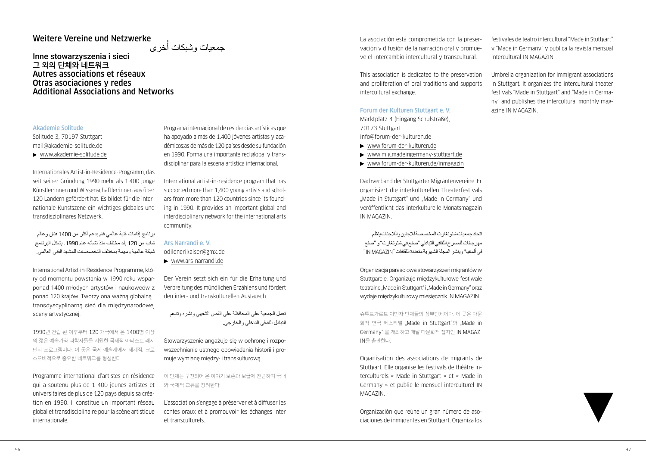## Weitere Vereine und Netzwerke

جمعيات وشبكات أُخر*ى* 

Inne stowarzyszenia i sieci **그 외의 단체와 네트워크** Autres associations et réseaux Otras asociaciones y redes Additional Associations and Networks

#### Akademie Solitude

Solitude 3, 70197 Stuttgart [mail@akademie-solitude.de](mailto:mail@akademie-solitude.de)

[www.akademie-solitude.de](http://www.akademie-solitude.de)

Internationales Artist-in-Residence-Programm, das seit seiner Gründung 1990 mehr als 1.400 junge Künstler:innen und Wissenschaftler:innen aus über 120 Ländern gefördert hat. Es bildet für die internationale Kunstszene ein wichtiges globales und transdisziplinäres Netzwerk.

برنامج إقامات فنية عالمي قام بدعم أكثر من 1400 فنان وعالم شاب من 120 بلد مختلف منذ نشأته عام .1990 يشكل البرنامج شبكة عالمية ومهمة بمختلف التخصصات للمشهد الفني العالمي.

International Artist-in-Residence Programme, który od momentu powstania w 1990 roku wsparł ponad 1400 młodych artystów i naukowców z ponad 120 krajów. Tworzy ona ważną globalną i transdyscyplinarną sieć dla międzynarodowej sceny artystycznej.

1990년 건립 된 이후부터 120 개국에서 온 1400명 이상 의 젊은 예술가와 과학자들을 지원한 국제적 아티스트 레지 던시 프로그램이다. 이 곳은 국제 예술계에서 세계적, 크로 스오버적으로 중요한 네트워크를 형성한다.

Programme international d'artistes en résidence qui a soutenu plus de 1 400 jeunes artistes et universitaires de plus de 120 pays depuis sa création en 1990. Il constitue un important réseau global et transdisciplinaire pour la scène artistique internationale.

Programa internacional de residencias artísticas que ha apoyado a más de 1.400 jóvenes artistas y académicos:as de más de 120 países desde su fundación en 1990. Forma una importante red global y transdisciplinar para la escena artística internacional.

International artist-in-residence program that has supported more than 1,400 young artists and scholars from more than 120 countries since its founding in 1990. It provides an important global and interdisciplinary network for the international arts community.

#### Ars Narrandi e. V.

[odilenerikaiser@gmx.de](mailto:odilenerikaiser@gmx.de) 

[www.ars-narrandi.de](http://www.ars-narrandi.de)

Der Verein setzt sich ein für die Erhaltung und Verbreitung des mündlichen Erzählens und fördert den inter- und transkulturellen Austausch.

تعمل الجمعية على المحافظة على القص الشفهي ونشره وتدعم التبادل الثقافي الداخلي والخارجي.

Stowarzyszenie angażuje się w ochronę i rozpowszechnianie ustnego opowiadania historii i promuje wymianę między- i transkulturową.

이 단체는 구전되어 온 이야기 보존과 보급에 전념하며 국내 와 국제적 교류를 장려한다.

L'association s'engage à préserver et à diffuser les contes oraux et à promouvoir les échanges inter et transculturels.

La asociación está comprometida con la preservación y difusión de la narración oral y promueve el intercambio intercultural y transcultural.

This association is dedicated to the preservation and proliferation of oral traditions and supports intercultural exchange.

## Forum der Kulturen Stuttgart e. V.

Marktplatz 4 (Eingang Schulstraße), 70173 Stuttgart [info@forum-der-kulturen.de](mailto:info@forum-der-kulturen.de)

- [www.forum-der-kulturen.de](http://www.forum-der-kulturen.de)
- [www.mig.madeingermany-stuttgart.de](http://www.mig.madeingermany-stuttgart.de)
- [www.forum-der-kulturen.de/inmagazin](https://www.forum-der-kulturen.de/inmagazin/)

Dachverband der Stuttgarter Migrantenvereine. Er organisiert die interkulturellen Theaterfestivals "Made in Stuttgart" und "Made in Germany" und veröffentlicht das interkulturelle Monatsmagazin IN MAGAZIN.

اتحاد جمعيات شتوتغارت المخصصة لالجئين والالجئات ينظم مهرجانات للمسرح الثقافي التبادلي "صنع في شتوتغارت" و "صنع في ألمانيا" وينشر المجلة الشهرية متعددة الثقافات "MAGAZIN IN"

Organizacja parasolowa stowarzyszeń migrantów w Stuttgarcie. Organizuje międzykulturowe festiwale teatralne "Made in Stuttgart" i "Made in Germany" oraz wydaje międzykulturowy miesięcznik IN MAGAZIN.

슈투트가르트 이민자 단체들의 상부단체이다. 이 곳은 다문 화적 연극 페스티벌 ..Made in Stuttgart"와 ..Made in Germany" 를 개최하고 매달 다문화적 잡지인 IN MAGAZ-IN을 출판한다.

Organisation des associations de migrants de Stuttgart. Elle organise les festivals de théâtre interculturels « Made in Stuttgart » et « Made in Germany » et publie le mensuel interculturel IN MAGAZIN.

Organización que reúne un gran número de asociaciones de inmigrantes en Stuttgart. Organiza los festivales de teatro intercultural "Made in Stuttgart" y "Made in Germany" y publica la revista mensual intercultural IN MAGAZIN.

Umbrella organization for immigrant associations in Stuttgart. It organizes the intercultural theater festivals "Made in Stuttgart" and "Made in Germany" and publishes the intercultural monthly magazine IN MAGAZIN.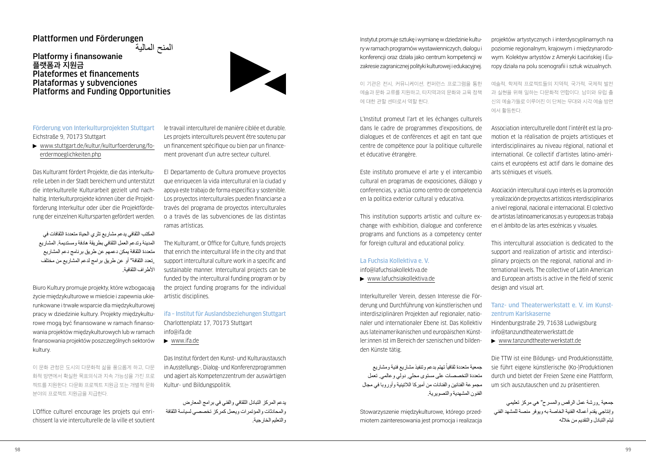## Plattformen und Förderungen

**Platformy i finansowanie 플랫폼과 지원금** Plateformes et financements Plataformas y subvenciones Platforms and Funding Opportunities



## Förderung von Interkulturprojekten Stuttgart Eichstraße 9, 70173 Stuttgart

 [www.stuttgart.de/kultur/kulturfoerderung/fo](http://www.stuttgart.de/kultur/kulturfoerderung/foerdermoeglichkeiten.php)erdermoeglichkeiten php

Das Kulturamt fördert Projekte, die das interkulturelle Leben in der Stadt bereichern und unterstützt die interkulturelle Kulturarbeit gezielt und nachhaltig. Interkulturprojekte können über die Projektförderung Interkultur oder über die Projektförderung der einzelnen Kultursparten gefördert werden.

المكتب الثقافي يدعم مشاريع تثري الحياة متعددة الثقافات في المدينة وتدعم العمل الثقافي بطريقة هادفة ومستديمة. المشاريع متعددة الثقافة يمكن دعمهم عن طريق برنامج دعم المشاريع "تعدد الثقافة" أو عن طريق برامج لدعم المشاريع من مختلف األطراف الثقافية.

Biuro Kultury promuje projekty, które wzbogacają życie międzykulturowe w mieście i zapewnia ukierunkowane i trwałe wsparcie dla międzykulturowej pracy w dziedzinie kultury. Projekty międzykulturowe mogą być finansowane w ramach finansowania projektów międzykulturowych lub w ramach finansowania projektów poszczególnych sektorów kultury.

이 문화 관청은 도시의 다문화적 삶을 풍요롭게 하고, 다문 화적 방면에서 확실한 목표의식과 지속 가능성을 가진 프로 젝트를 지원한다. 다문화 프로젝트 지원금 또는 개별적 문화 분야의 프로젝트 지원금을 지급한다.

L'Office culturel encourage les projets qui enrichissent la vie interculturelle de la ville et soutient

le travail interculturel de manière ciblée et durable. Les projets interculturels peuvent être soutenu par un financement spécifique ou bien par un financement provenant d'un autre secteur culturel.

El Departamento de Cultura promueve proyectos que enriquecen la vida intercultural en la ciudad y apoya este trabajo de forma específica y sostenible. Los proyectos interculturales pueden financiarse a través del programa de proyectos interculturales o a través de las subvenciones de las distintas ramas artísticas.

The Kulturamt, or Office for Culture, funds projects that enrich the intercultural life in the city and that support intercultural culture work in a specific and sustainable manner. Intercultural projects can be funded by the intercultural funding program or by the project funding programs for the individual artistic disciplines.

ifa – Institut für Auslandsbeziehungen Stuttgart Charlottenplatz 17, 70173 Stuttgart [info@ifa.de](mailto:info@ifa.de)

[www.ifa.de](http://www.ifa.de)

Das Institut fördert den Kunst- und Kulturaustausch in Ausstellungs-, Dialog- und Konferenzprogrammen und agiert als Kompetenzzentrum der auswärtigen Kultur- und Bildungspolitik.

يدعم المركز التبادل الثقافي والفني في برامج المعارض والمحادثات والمؤتمرات ويعمل كمركز تخصصي لسياسة الثقافة والتعليم الخارجية. Instytut promuje sztukę i wymianę w dziedzinie kultury w ramach programów wystawienniczych, dialogu i konferencji oraz działa jako centrum kompetencji w zakresie zagranicznej polityki kulturowej i edukacyjnej.

이 기관은 전시, 커뮤니케이션, 컨퍼런스 프로그램을 통한 예술과 문화 교류를 지원하고, 타지역과의 문화와 교육 정책 에 대한 관할 센터로서 역할 한다.

L'Institut promeut l'art et les échanges culturels dans le cadre de programmes d'expositions, de dialogues et de conférences et agit en tant que centre de compétence pour la politique culturelle et éducative étrangère.

Este instituto promueve el arte y el intercambio cultural en programas de exposiciones, diálogo y conferencias, y actúa como centro de competencia en la política exterior cultural y educativa.

This institution supports artistic and culture exchange with exhibition, dialogue and conference programs and functions as a competency center for foreign cultural and educational policy.

## La Fuchsia Kollektiva e. V.

[info@lafuchsiakollektiva.de](mailto:info@lafuchsiakollektiva.de)

[www.lafuchsiakollektiva.de](http://www.lafuchsiakollektiva.de)

Interkultureller Verein, dessen Interesse die Förderung und Durchführung von künstlerischen und interdisziplinären Projekten auf regionaler, nationaler und internationaler Ebene ist. Das Kollektiv aus lateinamerikanischen und europäischen Künstler:innen ist im Bereich der szenischen und bildenden Künste tätig.

جمعية متعددة ثقافيأ تهتم بدعم وتنفيذ مشاريع فنية ومشاريع متعددة التخصصات على مستوى محلي, دولي وعالمي. تعمل مجموعة الفنانين والفنانات من أميركا الالتينية وأوروبا في مجال الفنون المشهدية والتصويرية.

Stowarzyszenie międzykulturowe, którego przedmiotem zainteresowania jest promocja i realizacja projektów artystycznych i interdyscyplinarnych na poziomie regionalnym, krajowym i międzynarodowym. Kolektyw artystów z Ameryki Łacińskiej i Europy działa na polu scenografii i sztuk wizualnych.

예술적, 학제적 프로젝트들의 지역적, 국가적, 국제적 발전 과 실현을 위해 일하는 다문화적 연합이다. 남미와 유럽 출 신의 예술가들로 이루어진 이 단체는 무대와 시각 예술 방면 에서 활동한다.

Association interculturelle dont l'intérêt est la promotion et la réalisation de projets artistiques et interdisciplinaires au niveau régional, national et international. Ce collectif d'artistes latino-américains et européens est actif dans le domaine des arts scéniques et visuels.

Asociación intercultural cuyo interés es la promoción y realización de proyectos artísticos interdisciplinarios a nivel regional, nacional e internacional. El colectivo de artistas latinoamericanos:as y europeos:as trabaja en el ámbito de las artes escénicas y visuales.

This intercultural association is dedicated to the support and realization of artistic and interdisciplinary projects on the regional, national and international levels. The collective of Latin American and European artists is active in the field of scenic design and visual art.

## Tanz- und Theaterwerkstatt e. V. im Kunstzentrum Karlskaserne

Hindenburgstraße 29, 71638 Ludwigsburg [info@tanzundtheaterwerkstatt.de](mailto:info@tanzundtheaterwerkstatt.de)

[www.tanzundtheaterwerkstatt.de](http://www.tanzundtheaterwerkstatt.de)

Die TTW ist eine Bildungs- und Produktionsstätte, sie führt eigene künstlerische (Ko-)Produktionen durch und bietet der Freien Szene eine Plattform, um sich auszutauschen und zu präsentieren.

جمعية رورشة عمل الرقص والمسرح" هي مركز تعليمي وإنتاجي يقدم أعماله الفنية الخاصة به ويوفر منصة للمشهد الفني ليتم التبادل والتقديم من خالله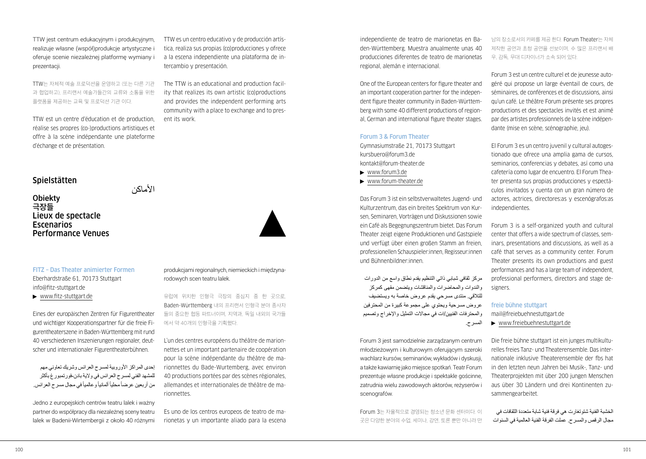TTW jest centrum edukacyjnym i produkcyjnym, realizuje własne (współ)produkcje artystyczne i oferuje scenie niezależnej platformę wymiany i prezentacji.

TTW는 자체적 예술 프로덕션을 운영하고 (또는 다른 기관 과 협업하고), 프리랜서 예술가들간의 교류와 소통을 위한 플랫폼을 제공하는 교육 및 프로덕션 기관 이다.

TTW est un centre d'éducation et de production, réalise ses propres (co-)productions artistiques et offre à la scène indépendante une plateforme d'échange et de présentation.

## **Spielstätten**

**Obiekty** 

**극장들** Lieux de spectacle Escenarios Performance Venues

األماكن

ent its work.



[www.fitz-stuttgart.de](http://www.fitz-stuttgart.de)

Eines der europäischen Zentren für Figurentheater und wichtiger Kooperationspartner für die freie Figurentheaterszene in Baden-Württemberg mit rund 40 verschiedenen Inszenierungen regionaler, deutscher und internationaler Figurentheaterbühnen.

إحدى المراكز الأوروبية لمسرح العرائس وشريك تعاوني مهم للمشهد الفني لمسرح العرائس في والية بادن-فورتمبورغ بأكثر من أربعين عرضاً محلياً ألمانياً وعالمياً في مجال مسرح العرائس.

Jedno z europejskich centrów teatru lalek i ważny partner do współpracy dla niezależnej sceny teatru lalek w Badenii-Wirtembergii z około 40 różnymi produkcjami regionalnych, niemieckich i międzynarodowych scen teatru lalek.

TTW es un centro educativo y de producción artística, realiza sus propias (co)producciones y ofrece a la escena independiente una plataforma de in-

The TTW is an educational and production facility that realizes its own artistic (co)productions and provides the independent performing arts community with a place to exchange and to pres-

tercambio y presentación.

유럽에 위치한 인형극 극장의 중심지 중 한 곳으로, Baden-Württemberg 내의 프리랜서 인형극 분야 종사자 들의 중요한 협동 파트너이며, 지역과, 독일 내외의 국가들 에서 약 40개의 인형극을 기획했다.

L'un des centres européens du théâtre de marionnettes et un important partenaire de coopération pour la scène indépendante du théâtre de marionnettes du Bade-Wurtemberg, avec environ 40 productions portées par des scènes régionales, allemandes et internationales de théâtre de marionnettes.

Es uno de los centros europeos de teatro de marionetas y un importante aliado para la escena independiente de teatro de marionetas en Baden-Württemberg. Muestra anualmente unas 40 producciones diferentes de teatro de marionetas regional, alemán e internacional.

One of the European centers for figure theater and an important cooperation partner for the independent figure theater community in Baden-Württemberg with some 40 different productions of regional, German and international figure theater stages.

## Forum 3 & Forum Theater

Gymnasiumstraße 21, 70173 Stuttgart [kursbuero@forum3.de](mailto:kursbuero@forum3.de)  [kontakt@forum-theater.de](mailto:kontakt@forum-theater.de) 

- ▶ [www.forum3.de](http://www.forum3.de)
- [www.forum-theater.de](http://www.forum-theater.de)

Das Forum 3 ist ein selbstverwaltetes Jugend- und Kulturzentrum, das ein breites Spektrum von Kursen, Seminaren, Vorträgen und Diskussionen sowie ein Café als Begegnungszentrum bietet. Das Forum Theater zeigt eigene Produktionen und Gastspiele und verfügt über einen großen Stamm an freien, professionellen Schauspieler:innen, Regisseur:innen und Bühnenbildner:innen.

مركز ثقافي شبابي ذاتي التنظيم يقدم نطاق واسع من الدورات والندوات والمحاضرات والمناقشات ويتضمن مقهى كمركز للتالقي. منتدى مسرحي يقدم عروض خاصة به ويستضيف عروض مسرحية ويحتوي على مجموعة كبيرة من المحترفين والمحترفات الفنيين/ات في مجاالت التمثيل واإلخراج وتصميم المسرح.

Forum 3 jest samodzielnie zarządzanym centrum młodzieżowym i kulturowym oferującym szeroki wachlarz kursów, seminariów, wykładów i dyskusji, a także kawiarnię jako miejsce spotkań. Teatr Forum prezentuje własne produkcje i spektakle gościnne, zatrudnia wielu zawodowych aktorów, reżyserów i scenografów.

Forum 3는 자율적으로 경영되는 청소년 문화 센터이다. 이 곳은 다양한 분야의 수업, 세미나, 강연, 토론 뿐만 아니라 만

남의 장소로서의 카페를 제공 한다. Forum Theater는 자체 제작한 공연과 초청 공연을 선보이며, 수 많은 프리랜서 배 우, 감독, 무대 디자이너가 소속 되어 있다.

Forum 3 est un centre culturel et de jeunesse autogéré qui propose un large éventail de cours, de séminaires, de conférences et de discussions, ainsi qu'un café. Le théâtre Forum présente ses propres productions et des spectacles invités et est animé par des artistes professionnels de la scène indépendante (mise en scène, scénographie, jeu).

El Forum 3 es un centro juvenil y cultural autogestionado que ofrece una amplia gama de cursos, seminarios, conferencias y debates, así como una cafetería como lugar de encuentro. El Forum Theater presenta sus propias producciones y espectáculos invitados y cuenta con un gran número de actores, actrices, directores:as y escenógrafos:as **independientes** 

Forum 3 is a self-organized youth and cultural center that offers a wide spectrum of classes, seminars, presentations and discussions, as well as a café that serves as a community center. Forum Theater presents its own productions and guest performances and has a large team of independent, professional performers, directors and stage designers.

#### freie bühne stuttgart

[mail@freiebuehnestuttgart.de](mailto:mail@freiebuehnestuttgart.de)  [www.freiebuehnestuttgart.de](http://www.freiebuehnestuttgart.de)

Die freie bühne stuttgart ist ein junges multikulturelles freies Tanz- und Theaterensemble. Das internationale inklusive Theaterensemble der fbs hat in den letzten neun Jahren bei Musik-, Tanz- und Theaterprojekten mit über 200 jungen Menschen aus über 30 Ländern und drei Kontinenten zusammengearbeitet.

الخشبة الفنية شتوتغارت هي فرقة فنية شابة متعددة الثقافات في مجال الرقص والمسرح. عملت الفرقة الفنية العالمية في السنوات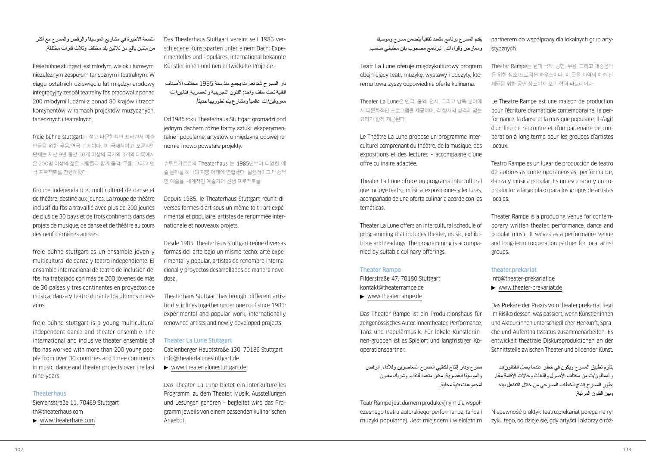التسعة الأخير ة في مشار بـع الموسيقا و الرقص والمسرح مع أكثر من مئتين يافع من ثالثين بلد مختلف وثالث قارات مختلفة.

Freie bühne stuttgart jest młodym, wielokulturowym, niezależnym zespołem tanecznym i teatralnym. W ciągu ostatnich dziewięciu lat międzynarodowy integracyjny zespół teatralny fbs pracował z ponad 200 młodymi ludźmi z ponad 30 krajów i trzech kontynentów w ramach projektów muzycznych, tanecznych i teatralnych.

freie bühne stuttgart는 젊고 다문화적인 프리랜서 예술 인들을 위한 무용/연극 단체이다. 이 국제적이고 포괄적인 단체는 지난 9년 동안 30개 이상의 국가와 3개의 대륙에서 온 200명 이상의 젊은 사람들과 함께 음악, 무용, 그리고 연 극 프로젝트를 진행해왔다.

Groupe indépendant et multiculturel de danse et de théâtre, destiné aux jeunes. La troupe de théâtre inclusif du fbs a travaillé avec plus de 200 jeunes de plus de 30 pays et de trois continents dans des projets de musique, de danse et de théâtre au cours des neuf dernières années.

freie bühne stuttgart es un ensamble joven y multicultural de danza y teatro independiente. El ensamble internacional de teatro de inclusión del fbs, ha trabajado con más de 200 jóvenes de más de 30 países y tres continentes en proyectos de música, danza y teatro durante los últimos nueve años.

freie bühne stuttgart is a young multicultural independent dance and theater ensemble. The international and inclusive theater ensemble of fbs has worked with more than 200 young people from over 30 countries and three continents in music, dance and theater projects over the last nine years.

## **Theaterhaus**

Siemensstraße 11, 70469 Stuttgart [th@theaterhaus.com](mailto:th@theaterhaus.com)

[www.theaterhaus.com](http://www.theaterhaus.com)

Das Theaterhaus Stuttgart vereint seit 1985 verschiedene Kunstsparten unter einem Dach: Experimentelles und Populäres, international bekannte Künstler:innen und neu entwickelte Projekte.

دار المسرح شتوتغارت يجمع منذ سنة 1985 مختلف األصناف الفنية تحت سقف واحد: الفنون التجريبية والعصرية, فنانين/ات معروفين/ات عالمياً ومشارع يتم تطوريها حديثاً.

Od 1985 roku Theaterhaus Stuttgart gromadzi pod jednym dachem różne formy sztuki: eksperymentalne i popularne, artystów o międzynarodowej renomie i nowo powstałe projekty.

슈투트가르트의 Theaterhaus 는 1985년부터 다양한 예 술 분야를 하나의 지붕 아래에 연합했다: 실험적이고 대중적 인 예술을, 세계적인 예술가와 신생 프로젝트를.

Depuis 1985, le Theaterhaus Stuttgart réunit diverses formes d'art sous un même toit : art expérimental et populaire, artistes de renommée internationale et nouveaux projets.

Desde 1985, Theaterhaus Stuttgart reúne diversas formas del arte bajo un mismo techo: arte experimental y popular, artistas de renombre internacional y proyectos desarrollados de manera novedosa.

Theaterhaus Stuttgart has brought different artistic disciplines together under one roof since 1985: experimental and popular work, internationally renowned artists and newly developed projects.

#### Theater La Lune Stuttgart

Gablenberger Hauptstraße 130, 70186 Stuttgart [info@theaterlalunestuttgart.de](mailto:info@theaterlalunestuttgart.de)

[www.theaterlalunestuttgart.de](http://www.theaterlalunestuttgart.de)

Das Theater La Lune bietet ein interkulturelles Programm, zu dem Theater, Musik, Ausstellungen und Lesungen gehören – begleitet wird das Programm jeweils von einem passenden kulinarischen Angebot.

بقدم المسرح برنامج متعدد ثقافياً يتضمن مسرح وموسيقا ومعارض وقراءات. البرنامج مصحوب بفن مطبخي مناسب.

Teatr La Lune oferuje międzykulturowy program obejmujący teatr, muzykę, wystawy i odczyty, któremu towarzyszy odpowiednia oferta kulinarna.

Theater La Lune은 연극, 음악, 전시, 그리고 낭독 분야에 서 다문화적인 프로그램을 제공하며, 각 행사의 성격에 맞는 요리가 함께 제공된다.

Le Théâtre La Lune propose un programme interculturel comprenant du théâtre, de la musique, des expositions et des lectures – accompagné d'une offre culinaire adaptée.

Theater La Lune ofrece un programa intercultural que incluye teatro, música, exposiciones y lecturas, acompañado de una oferta culinaria acorde con las temáticas.

Theater La Lune offers an intercultural schedule of programming that includes theater, music, exhibitions and readings. The programming is accompanied by suitable culinary offerings.

## Theater Rampe

Filderstraße 47, 70180 Stuttgart [kontakt@theaterrampe.de](mailto:kontakt@theaterrampe.de)  [www.theaterrampe.de](http://www.theaterrampe.de)

Das Theater Rampe ist ein Produktionshaus für zeitgenössisches Autor:innentheater, Performance, Tanz und Populärmusik. Für lokale Künstler:innen-gruppen ist es Spielort und langfristiger Kooperationspartner.

مسرح ودار إنتاج لكاتبي المسرح المعاصرين ولألداء, الرقص والموسيقا العصرية. مكان متعمد للتقديم وشريك معاون لمجموعات فنية محلية.

Teatr Rampe jest domem produkcyjnym dla współczesnego teatru autorskiego, performance, tańca i muzyki popularnej. Jest miejscem i wieloletnim partnerem do współpracy dla lokalnych grup artystycznych.

Theater Rampe는 현대 극작, 공연, 무용, 그리고 대중음악 을 위한 장소/프로덕션 하우스이다. 이 곳은 지역의 예술 단 체들을 위한 공연 장소이자 오랜 협력 파트너이다.

Le Theatre Rampe est une maison de production pour l'écriture dramatique contemporaine, la performance, la danse et la musique populaire. Il s'agit d'un lieu de rencontre et d'un partenaire de coopération à long terme pour les groupes d'artistes locaux.

Teatro Rampe es un lugar de producción de teatro de autores:as contemporáneos:as, performance, danza y música popular. Es un escenario y un coproductor a largo plazo para los grupos de artistas locales.

Theater Rampe is a producing venue for contemporary written theater, performance, dance and popular music. It serves as a performance venue and long-term cooperation partner for local artist groups.

## theater.prekariat

[info@theater-prekariat.de](mailto:info@theater-prekariat.de)  [www.theater-prekariat.de](http://www.theater-prekariat.de)

Das Prekäre der Praxis vom theater.prekariat liegt im Risiko dessen, was passiert, wenn Künstler:innen und Akteur:innen unterschiedlicher Herkunft, Sprache und Aufenthaltsstatus zusammenarbeiten. Es entwickelt theatrale Diskursproduktionen an der Schnittstelle zwischen Theater und bildender Kunst.

يتأزم تطبيق المسرح ويكون في خطر عندما يعمل الفنانون/ت ً والممثلون/ت من مختلف األصول واللغات وحاالت اإلقامة معا. يطور المسرح إنتاج الخطاب المسرحي من خالل التفاعل بينه وبين الفنون المرئية.

Niepewność praktyk teatru.prekariat polega na ryzyku tego, co dzieje się, gdy artyści i aktorzy o róż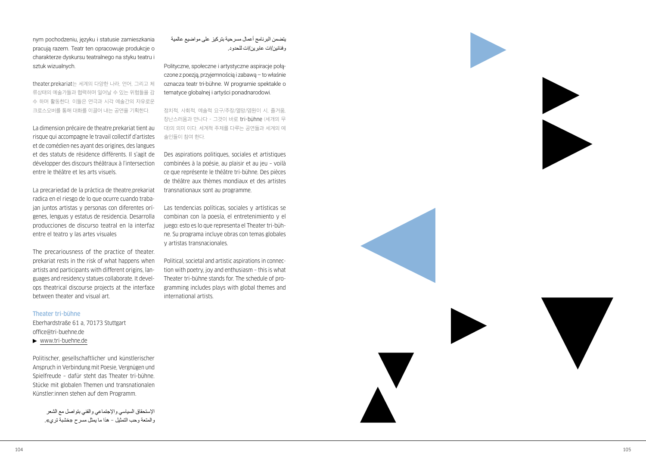nym pochodzeniu, języku i statusie zamieszkania pracują razem. Teatr ten opracowuje produkcje o charakterze dyskursu teatralnego na styku teatru i sztuk wizualnych.

theater.prekariat 는 세계의 다양한 나라, 언어, 그리고 체 류상태의 예술가들과 협력하며 일어날 수 있는 위험들을 감 수 하며 활동한다. 이들은 연극과 시각 예술간의 자유로운 크로스오버를 통해 대화를 이끌어 내는 공연을 기획한다.

La dimension précaire de theatre.prekariat tient au risque qui accompagne le travail collectif d'artistes et de comédien·nes ayant des origines, des langues et des statuts de résidence différents. Il s'agit de développer des discours théâtraux à l'intersection entre le théâtre et les arts visuels.

La precariedad de la práctica de theatre.prekariat radica en el riesgo de lo que ocurre cuando traba jan juntos artistas y personas con diferentes orí genes, lenguas y estatus de residencia. Desarrolla producciones de discurso teatral en la interfaz entre el teatro y las artes visuales

The precariousness of the practice of theater. prekariat rests in the risk of what happens when artists and participants with different origins, lan guages and residency statues collaborate. It devel ops theatrical discourse projects at the interface between theater and visual art.

## Theater tri-bühne

Eberhardstraße 61 a, 70173 Stuttgart [office@tri-buehne.de](mailto:office@tri-buehne.de)

[www.tri-buehne.de](http://www.tri-buehne.de)

Politischer, gesellschaftlicher und künstlerischer Anspruch in Verbindung mit Poesie, Vergnügen und Spielfreude – dafür steht das Theater tri-bühne. Stücke mit globalen Themen und transnationalen Künstler:innen stehen auf dem Programm.

اإلستحقاق السياسي واإلجتماعي والفني بتواصل مع الشعر والمتعة وحب التمثيل - هذا ما يمثل مسرح «خشبة تري».

يتضمن البرنامج أعمال مسرحية بتركيز على مواضيع عالمية وفنانين/ات عابرين/ات للحدود.

Polityczne, społeczne i artystyczne aspiracje połą czone z poezją, przyjemnością i zabawą – to właśnie oznacza teatr tri-bühne. W programie spektakle o tematyce globalnej i artyści ponadnarodowi.

정치적, 사회적, 예술적 요구/주장/열망/염원이 시, 즐거움, 장난스러움과 만나다 – 그것이 바로 tri-bühne (세개의 무 대)의 의미 이다. 세계적 주제를 다루는 공연들과 세계의 예 술인들이 참여 한다.

Des aspirations politiques, sociales et artistiques combinées à la poésie, au plaisir et au jeu – voilà ce que représente le théâtre tri-bühne. Des pièces de théâtre aux thèmes mondiaux et des artistes transnationaux sont au programme.

Las tendencias políticas, sociales y artísticas se combinan con la poesía, el entretenimiento y el juego: esto es lo que representa el Theater tri-büh ne. Su programa incluye obras con temas globales y artistas transnacionales.

Political, societal and artistic aspirations in connec tion with poetry, joy and enthusiasm – this is what Theater tri-bühne stands for. The schedule of pro gramming includes plays with global themes and international artists.

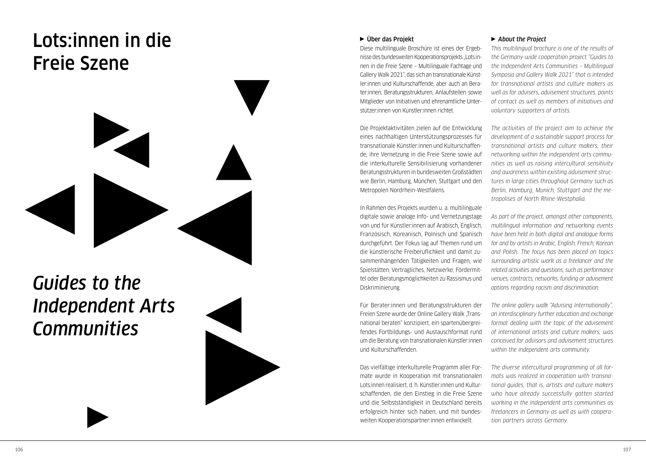## <span id="page-54-0"></span>Lots:innen in die Freie Szene



## *Guides to the Independent Arts Communities*



## Über das Projekt

Diese multilinguale Broschüre ist eines der Ergebnisse des bundesweiten Kooperationsprojekts "Lots:innen in die Freie Szene – Multilinguale Fachtage und Gallery Walk 2021", das sich an transnationale Künstler:innen und Kulturschaffende, aber auch an Berater:innen, Beratungsstrukturen, Anlaufstellen sowie Mitglieder von Initiativen und ehrenamtliche Unterstützer:innen von Künstler:innen richtet.

Die Projektaktivitäten zielen auf die Entwicklung eines nachhaltigen Unterstützungsprozesses für transnationale Künstler:innen und Kulturschaffende, ihre Vernetzung in die Freie Szene sowie auf die interkulturelle Sensibilisierung vorhandener Beratungsstrukturen in bundesweiten Großstädten wie Berlin, Hamburg, München, Stuttgart und den Metropolen Nordrhein-Westfalens.

In Rahmen des Projekts wurden u. a. multilinguale digitale sowie analoge Info- und Vernetzungstage von und für Künstler:innen auf Arabisch, Englisch, Französisch, Koreanisch, Polnisch und Spanisch durchgeführt. Der Fokus lag auf Themen rund um die künstlerische Freiberuflichkeit und damit zusammenhängenden Tätigkeiten und Fragen, wie Spielstätten, Vertragliches, Netzwerke, Fördermittel oder Beratungsmöglichkeiten zu Rassismus und Diskriminierung.

Für Berater:innen und Beratungsstrukturen der Freien Szene wurde der Online Gallery Walk "Transnational beraten" konzipiert, ein spartenübergreifendes Fortbildungs- und Austauschformat rund um die Beratung von transnationalen Künstler:innen und Kulturschaffenden.

Das vielfältige interkulturelle Programm aller Formate wurde in Kooperation mit transnationalen Lots:innen realisiert, d. h. Künstler:innen und Kulturschaffenden, die den Einstieg in die Freie Szene und die Selbstständigkeit in Deutschland bereits erfolgreich hinter sich haben, und mit bundesweiten Kooperationspartner:innen entwickelt.

#### *About the Project*

*This multilingual brochure is one of the results of the Germany-wide cooperation project "Guides to the Independent Arts Communities – Multilingual Symposia and Gallery Walk 2021" that is intended for transnational artists and culture makers as well as for advisers, advisement structures, points of contact as well as members of initiatives and voluntary supporters of artists.*

*The activities of the project aim to achieve the development of a sustainable support process for transnational artists and culture makers, their networking within the independent arts communities as well as raising intercultural sensitivity and awareness within existing advisement structures in large cities throughout Germany such as Berlin, Hamburg, Munich, Stuttgart and the metropolises of North Rhine-Westphalia.*

*As part of the project, amongst other components, multilingual information and networking events have been held in both digital and analogue forms for and by artists in Arabic, English, French, Korean and Polish. The focus has been placed on topics surrounding artistic work as a freelancer and the related activities and questions, such as performance venues, contracts, networks, funding or advisement options regarding racism and discrimination.*

*The online gallery walk "Advising Internationally", an interdisciplinary further education and exchange format dealing with the topic of the advisement of international artists and culture makers, was conceived for advisors and advisement structures within the independent arts community.*

*The diverse intercultural programming of all formats was realized in cooperation with transnational guides, that is, artists and culture makers who have already successfully gotten started working in the independent arts communities as freelancers in Germany as well as with cooperation partners across Germany.*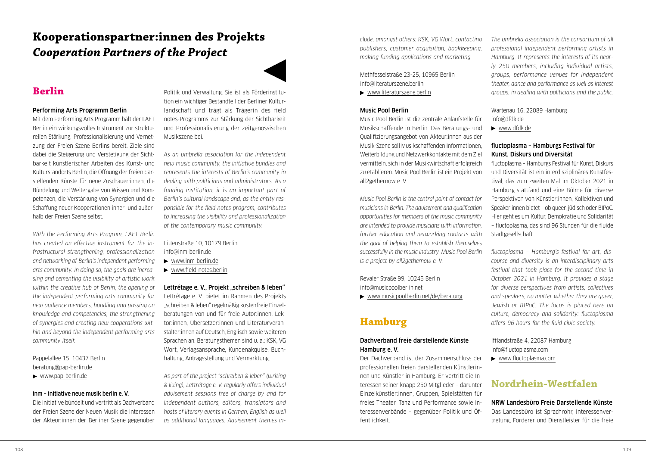## <span id="page-55-0"></span>**Kooperationspartner:innen des Projekts**  *Cooperation Partners of the Project*

## **Berlin**

## Performing Arts Programm Berlin

Mit dem Performing Arts Programm hält der LAFT Berlin ein wirkungsvolles Instrument zur strukturellen Stärkung, Professionalisierung und Vernetzung der Freien Szene Berlins bereit. Ziele sind dabei die Steigerung und Verstetigung der Sichtbarkeit künstlerischer Arbeiten des Kunst- und Kulturstandorts Berlin, die Öffnung der freien darstellenden Künste für neue Zuschauer:innen, die Bündelung und Weitergabe von Wissen und Kompetenzen, die Verstärkung von Synergien und die Schaffung neuer Kooperationen inner- und außerhalb der Freien Szene selbst.

*With the Performing Arts Program, LAFT Berlin has created an effective instrument for the infrastructural strengthening, professionalization and networking of Berlin's independent performing arts community. In doing so, the goals are increasing and cementing the visibility of artistic work within the creative hub of Berlin, the opening of the independent performing arts community for new audience members, bundling and passing on knowledge and competencies, the strengthening of synergies and creating new cooperations within and beyond the independent performing arts community itself.*

Pappelallee 15, 10437 Berlin [beratung@pap-berlin.de](mailto:beratung@pap-berlin.de)

## [www.pap-berlin.de](https://www.pap-berlin.de/de)

## inm – initiative neue musik berlin e. V.

Die Initiative bündelt und vertritt als Dachverband der Freien Szene der Neuen Musik die Interessen der Akteur:innen der Berliner Szene gegenüber

Politik und Verwaltung. Sie ist als Förderinstitution ein wichtiger Bestandteil der Berliner Kulturlandschaft und trägt als Trägerin des field notes-Programms zur Stärkung der Sichtbarkeit und Professionalisierung der zeitgenössischen Musikszene bei.

*As an umbrella association for the independent new music community, the initiative bundles and represents the interests of Berlin's community in dealing with politicians and administrators. As a funding institution, it is an important part of Berlin's cultural landscape and, as the entity responsible for the field notes program, contributes to increasing the visibility and professionalization of the contemporary music community.*

Littenstraße 10, 10179 Berlin [info@inm-berlin.de](mailto:info@inm-berlin.de)

- [www.inm-berlin.de](http://www.inm-berlin.de)
- [www.field-notes.berlin](http://www.field-notes.berlin)

## Lettrétage e. V., Projekt "schreiben & leben"

Lettrétage e. V. bietet im Rahmen des Projekts "schreiben & leben" regelmäßig kostenfreie Einzelberatungen von und für freie Autor:innen, Lektor:innen, Übersetzer:innen und Literaturveranstalter:innen auf Deutsch, Englisch sowie weiteren Sprachen an. Beratungsthemen sind u. a.: KSK, VG Wort, Verlagsansprache, Kundenakquise, Buchhaltung, Antragsstellung und Vermarktung.

*As part of the project "schreiben & leben" (writing & living), Lettrétage e. V. regularly offers individual advisement sessions free of charge by and for independent authors, editors, translators and hosts of literary events in German, English as well as additional languages. Advisement themes in-* *clude, amongst others: KSK, VG Wort, contacting publishers, customer acquisition, bookkeeping, making funding applications and marketing.*

Methfesselstraße 23-25, 10965 Berlin [info@literaturszene.berlin](mailto:info@literaturszene.berlin)

[www.literaturszene.berlin](http://www.literaturszene.berlin)

## Music Pool Berlin

Music Pool Berlin ist die zentrale Anlaufstelle für Musikschaffende in Berlin. Das Beratungs- und Qualifizierungsangebot von Akteur:innen aus der Musik-Szene soll Musikschaffenden Informationen, Weiterbildung und Netzwerkkontakte mit dem Ziel vermitteln, sich in der Musikwirtschaft erfolgreich zu etablieren. Music Pool Berlin ist ein Projekt von all2gethernow e. V.

*Music Pool Berlin is the central point of contact for musicians in Berlin. The advisement and qualification opportunities for members of the music community are intended to provide musicians with information, further education and networking contacts with the goal of helping them to establish themselves successfully in the music industry. Music Pool Berlin is a project by all2gethernow e. V.*

Revaler Straße 99, 10245 Berlin [info@musicpoolberlin.net](mailto:info@musicpoolberlin.net)

[www.musicpoolberlin.net/de/beratung](http://www.musicpoolberlin.net/de/beratung)

## **Hamburg**

## Dachverband freie darstellende Künste Hamburg e. V.

Der Dachverband ist der Zusammenschluss der professionellen freien darstellenden Künstlerinnen und Künstler in Hamburg. Er vertritt die Interessen seiner knapp 250 Mitglieder – darunter Einzelkünstler:innen, Gruppen, Spielstätten für freies Theater, Tanz und Performance sowie Interessenverbände – gegenüber Politik und Öffentlichkeit.

*The umbrella association is the consortium of all professional independent performing artists in Hamburg. It represents the interests of its nearly 250 members, including individual artists, groups, performance venues for independent theater, dance and performance as well as interest groups, in dealing with politicians and the public.*

## Wartenau 16, 22089 Hamburg [info@dfdk.de](mailto:info@dfdk.de)

[www.dfdk.de](http://www.dfdk.de)

## fluctoplasma – Hamburgs Festival für Kunst, Diskurs und Diversität

fluctoplasma – Hamburgs Festival für Kunst, Diskurs und Diversität ist ein interdisziplinäres Kunstfestival, das zum zweiten Mal im Oktober 2021 in Hamburg stattfand und eine Bühne für diverse Perspektiven von Künstler:innen, Kollektiven und Speaker: innen bietet – ob queer, jüdisch oder BIPoC. Hier geht es um Kultur, Demokratie und Solidarität – fluctoplasma, das sind 96 Stunden für die fluide Stadtgesellschaft.

*fluctoplasma – Hamburg's festival for art, discourse and diversity is an interdisciplinary arts festival that took place for the second time in October 2021 in Hamburg. It provides a stage for diverse perspectives from artists, collectives and speakers, no matter whether they are queer, Jewish or BIPoC. The focus is placed here on culture, democracy and solidarity: fluctoplasma offers 96 hours for the fluid civic society.*

Ifflandstraße 4, 22087 Hamburg [info@fluctoplasma.com](mailto:info@fluctoplasma.com) 

[www.fluctoplasma.com](http://www.fluctoplasma.com)

## **Nordrhein-Westfalen**

NRW Landesbüro Freie Darstellende Künste Das Landesbüro ist Sprachrohr, Interessenvertretung, Förderer und Dienstleister für die freie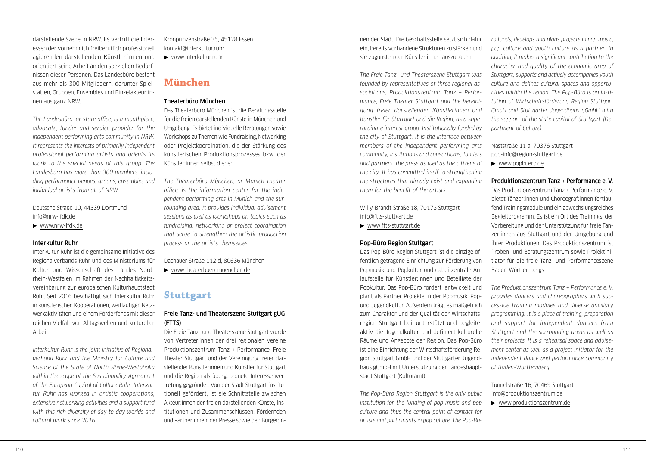darstellende Szene in NRW. Es vertritt die Interessen der vornehmlich freiberuflich professionell agierenden darstellenden Künstler:innen und orientiert seine Arbeit an den speziellen Bedürfnissen dieser Personen. Das Landesbüro besteht aus mehr als 300 Mitgliedern, darunter Spielstätten, Gruppen, Ensembles und Einzelakteur:innen aus ganz NRW.

*The Landesbüro, or state office, is a mouthpiece, advocate, funder and service provider for the independent performing arts community in NRW. It represents the interests of primarily independent professional performing artists and orients its work to the special needs of this group. The Landesbüro has more than 300 members, including performance venues, groups, ensembles and individual artists from all of NRW.*

Deutsche Straße 10, 44339 Dortmund [info@nrw-lfdk.de](mailto:info@nrw-lfdk.de)

[www.nrw-lfdk.de](http://www.nrw-lfdk.de)

#### Interkultur Ruhr

Interkultur Ruhr ist die gemeinsame Initiative des Regionalverbands Ruhr und des Ministeriums für Kultur und Wissenschaft des Landes Nordrhein-Westfalen im Rahmen der Nachhaltigkeitsvereinbarung zur europäischen Kulturhauptstadt Ruhr. Seit 2016 beschäftigt sich Interkultur Ruhr in künstlerischen Kooperationen, weitläufigen Netzwerkaktivitäten und einem Förderfonds mit dieser reichen Vielfalt von Alltagswelten und kultureller Arbeit.

*Interkultur Ruhr is the joint initiative of Regionalverband Ruhr and the Ministry for Culture and Science of the State of North Rhine-Westphalia within the scope of the Sustainability Agreement of the European Capital of Culture Ruhr. Interkultur Ruhr has worked in artistic cooperations, extensive networking activities and a support fund with this rich diversity of day-to-day worlds and cultural work since 2016.* 

Kronprinzenstraße 35, 45128 Essen [kontakt@interkultur.ruhr](mailto:kontakt@interkultur.ruhr)

[www.interkultur.ruhr](http://www.interkultur.ruhr)

## **München**

## Theaterbüro München

Das Theaterbüro München ist die Beratungsstelle für die freien darstellenden Künste in München und Umgebung. Es bietet individuelle Beratungen sowie Workshops zu Themen wie Fundraising, Networking oder Projektkoordination, die der Stärkung des künstlerischen Produktionsprozesses bzw. der Künstler:innen selbst dienen.

*The Theaterbüro München, or Munich theater office, is the information center for the independent performing arts in Munich and the surrounding area. It provides individual advisement sessions as well as workshops on topics such as fundraising, networking or project coordination that serve to strengthen the artistic production process or the artists themselves.*

Dachauer Straße 112 d, 80636 München

[www.theaterbueromuenchen.de](http://www.theaterbueromuenchen.de)

## **Stuttgart**

## Freie Tanz- und Theaterszene Stuttgart gUG (FTTS)

Die Freie Tanz- und Theaterszene Stuttgart wurde von Vertreter:innen der drei regionalen Vereine Produktionszentrum Tanz + Performance, Freie Theater Stuttgart und der Vereinigung freier darstellender Künstlerinnen und Künstler für Stuttgart und die Region als übergeordnete Interessenvertretung gegründet. Von der Stadt Stuttgart institutionell gefördert, ist sie Schnittstelle zwischen Akteur:innen der freien darstellenden Künste, Institutionen und Zusammenschlüssen, Fördernden und Partner:innen, der Presse sowie den Bürger:innen der Stadt. Die Geschäftsstelle setzt sich dafür ein, bereits vorhandene Strukturen zu stärken und sie zugunsten der Künstler:innen auszubauen.

*The Freie Tanz- und Theaterszene Stuttgart was founded by representatives of three regional associations, Produktionszentrum Tanz + Performance, Freie Theater Stuttgart and the Vereinigung freier darstellender Künstlerinnen und Künstler für Stuttgart und die Region, as a superordinate interest group. Institutionally funded by the city of Stuttgart, it is the interface between members of the independent performing arts community, institutions and consortiums, funders and partners, the press as well as the citizens of the city. It has committed itself to strengthening the structures that already exist and expanding them for the benefit of the artists.*

Willy-Brandt-Straße 18, 70173 Stuttgart [info@ftts-stuttgart.de](mailto:info@ftts-stuttgart.de)

[www.ftts-stuttgart.de](http://www.ftts-stuttgart.de)

## Pop-Büro Region Stuttgart

Das Pop-Büro Region Stuttgart ist die einzige öffentlich getragene Einrichtung zur Förderung von Popmusik und Popkultur und dabei zentrale Anlaufstelle für Künstler:innen und Beteiligte der Popkultur. Das Pop-Büro fördert, entwickelt und plant als Partner Projekte in der Popmusik, Popund Jugendkultur. Außerdem trägt es maßgeblich zum Charakter und der Qualität der Wirtschaftsregion Stuttgart bei, unterstützt und begleitet aktiv die Jugendkultur und definiert kulturelle Räume und Angebote der Region. Das Pop-Büro ist eine Einrichtung der Wirtschaftsförderung Region Stuttgart GmbH und der Stuttgarter Jugendhaus gGmbH mit Unterstützung der Landeshauptstadt Stuttgart (Kulturamt).

*The Pop-Büro Region Stuttgart is the only public institution for the funding of pop music and pop culture and thus the central point of contact for artists and participants in pop culture. The Pop-Bü-* *ro funds, develops and plans projects in pop music, pop culture and youth culture as a partner. In addition, it makes a significant contribution to the character and quality of the economic area of Stuttgart, supports and actively accompanies youth culture and defines cultural spaces and opportunities within the region. The Pop-Büro is an institution of Wirtschaftsförderung Region Stuttgart GmbH and Stuttgarter Jugendhaus gGmbH with the support of the state capital of Stuttgart (Department of Culture).*

Naststraße 11 a, 70376 Stuttgart [pop-info@region-stuttgart.de](mailto:pop-info@region-stuttgart.de) 

[www.popbuero.de](http://www.popbuero.de)

## Produktionszentrum Tanz + Performance e. V.

Das Produktionszentrum Tanz + Performance e. V. bietet Tänzer:innen und Choreograf:innen fortlaufend Trainingsmodule und ein abwechslungsreiches Begleitprogramm. Es ist ein Ort des Trainings, der Vorbereitung und der Unterstützung für freie Tänzer:innen aus Stuttgart und der Umgebung und ihrer Produktionen. Das Produktionszentrum ist Proben- und Beratungszentrum sowie Projektinitiator für die freie Tanz- und Performanceszene Baden-Württembergs.

*The Produktionszentrum Tanz + Performance e. V. provides dancers and choreographers with successive training modules and diverse ancillary programming. It is a place of training, preparation and support for independent dancers from Stuttgart and the surrounding areas as well as their projects. It is a rehearsal space and advisement center as well as a project initiator for the independent dance and performance community of Baden-Württemberg.*

Tunnelstraße 16, 70469 Stuttgart [info@produktionszentrum.de](mailto:info@produktionszentrum.de) [www.produktionszentrum.de](http://www.produktionszentrum.de)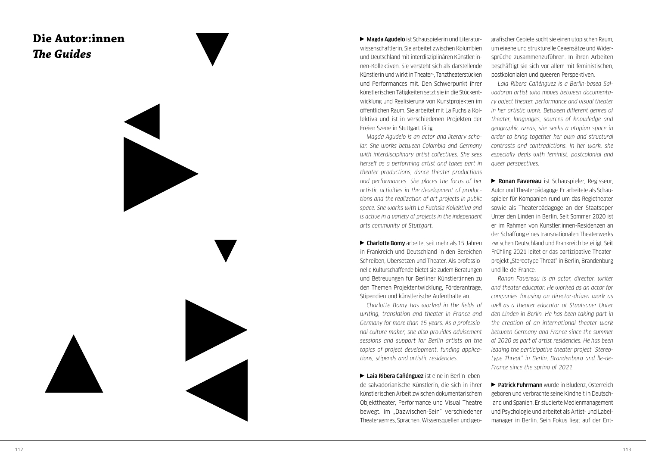## <span id="page-57-0"></span>**Die Autor:innen** *The Guides*

Magda Agudelo ist Schauspielerin und Literatur wissenschaftlerin. Sie arbeitet zwischen Kolumbien und Deutschland mit interdisziplinären Künstler:in nen-Kollektiven. Sie versteht sich als darstellende Künstlerin und wirkt in Theater-, Tanztheaterstücken und Performances mit. Den Schwerpunkt ihrer künstlerischen Tätigkeiten setzt sie in die Stückent wicklung und Realisierung von Kunstprojekten im öffentlichen Raum. Sie arbeitet mit La Fuchsia Kol lektiva und ist in verschiedenen Projekten der Freien Szene in Stuttgart tätig.

*Magda Agudelo is an actor and literary scho lar. She works between Colombia and Germany with interdisciplinary artist collectives. She sees herself as a performing artist and takes part in theater productions, dance theater productions and performances. She places the focus of her artistic activities in the development of produc tions and the realization of art projects in public space. She works with La Fuchsia Kollektiva and is active in a variety of projects in the independent arts community of Stuttgart.*

Charlotte Bomy arbeitet seit mehr als 15 Jahren in Frankreich und Deutschland in den Bereichen Schreiben, Übersetzen und Theater. Als professio nelle Kulturschaffende bietet sie zudem Beratungen und Betreuungen für Berliner Künstler:innen zu den Themen Projektentwicklung, Förderanträge, Stipendien und künstlerische Aufenthalte an.

*Charlotte Bomy has worked in the fields of writing, translation and theater in France and Germany for more than 15 years. As a professio nal culture maker, she also provides advisement sessions and support for Berlin artists on the topics of project development, funding applica tions, stipends and artistic residencies.* 

Laia Ribera Cañénguez ist eine in Berlin lebende salvadorianische Künstlerin, die sich in ihrer künstlerischen Arbeit zwischen dokumentarischem Objekttheater, Performance und Visual Theatre bewegt. Im "Dazwischen-Sein" verschiedener Theatergenres, Sprachen, Wissensquellen und geo -

grafischer Gebiete sucht sie einen utopischen Raum, um eigene und strukturelle Gegensätze und Wider sprüche zusammenzuführen. In ihren Arbeiten beschäftigt sie sich vor allem mit feministischen, postkolonialen und queeren Perspektiven.

*Laia Ribera Cañénguez is a Berlin-based Sal vadoran artist who moves between documenta ry object theater, performance and visual theater in her artistic work. Between different genres of theater, languages, sources of knowledge and geographic areas, she seeks a utopian space in order to bring together her own and structural contrasts and contradictions. In her work, she especially deals with feminist, postcolonial and queer perspectives.*

**Ronan Favereau** ist Schauspieler, Regisseur, Autor und Theaterpädagoge. Er arbeitete als Schau spieler für Kompanien rund um das Regietheater sowie als Theaterpädagoge an der Staatsoper Unter den Linden in Berlin. Seit Sommer 2020 ist er im Rahmen von Künstler:innen-Residenzen an der Schaffung eines transnationalen Theaterwerks zwischen Deutschland und Frankreich beteiligt. Seit Frühling 2021 leitet er das partizipative Theater projekt "Stereotype Threat" in Berlin, Brandenburg und Île-de-France.

*Ronan Favereau is an actor, director, writer and theater educator. He worked as an actor for companies focusing on director-driven work as well as a theater educator at Staatsoper Unter den Linden in Berlin. He has been taking part in the creation of an international theater work between Germany and France since the summer of 2020 as part of artist residencies. He has been leading the participative theater project "Stereo type Threat" in Berlin, Brandenburg and Île-de-France since the spring of 2021.*

**Patrick Fuhrmann** wurde in Bludenz, Österreich geboren und verbrachte seine Kindheit in Deutsch land und Spanien. Er studierte Medienmanagement und Psychologie und arbeitet als Artist- und Label manager in Berlin. Sein Fokus liegt auf der Ent -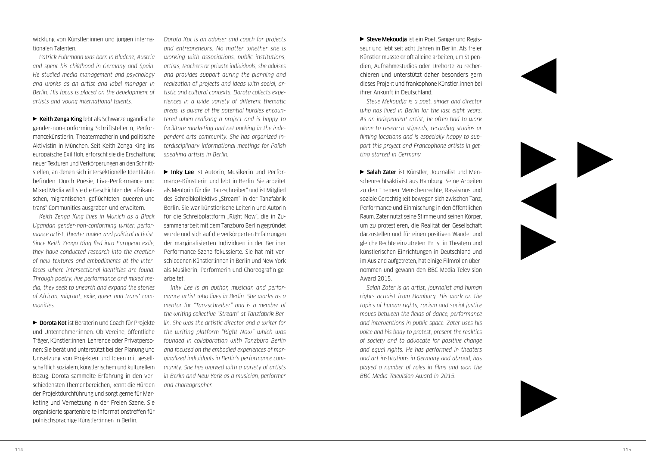wicklung von Künstler:innen und jungen internationalen Talenten.

*Patrick Fuhrmann was born in Bludenz, Austria and spent his childhood in Germany and Spain. He studied media management and psychology and works as an artist and label manager in Berlin. His focus is placed on the development of artists and young international talents.*

 $\blacktriangleright$  Keith Zenga King lebt als Schwarze ugandische gender-non-conforming Schriftstellerin, Performancekünstlerin, Theatermacherin und politische Aktivistin in München. Seit Keith Zenga King ins europäische Exil floh, erforscht sie die Erschaffung neuer Texturen und Verkörperungen an den Schnittstellen, an denen sich intersektionelle Identitäten befinden. Durch Poesie, Live-Performance und Mixed Media will sie die Geschichten der afrikanischen, migrantischen, geflüchteten, queeren und trans\* Communities ausgraben und erweitern.

*Keith Zenga King lives in Munich as a Black Ugandan gender-non-conforming writer, performance artist, theater maker and political activist. Since Keith Zenga King fled into European exile, they have conducted research into the creation of new textures and embodiments at the interfaces where intersectional identities are found. Through poetry, live performance and mixed media, they seek to unearth and expand the stories of African, migrant, exile, queer and trans\* communities.*

▶ Dorota Kot ist Beraterin und Coach für Projekte und Unternehmer:innen. Ob Vereine, öffentliche Träger, Künstler:innen, Lehrende oder Privatpersonen: Sie berät und unterstützt bei der Planung und Umsetzung von Projekten und Ideen mit gesellschaftlich sozialem, künstlerischem und kulturellem Bezug. Dorota sammelte Erfahrung in den verschiedensten Themenbereichen, kennt die Hürden der Projektdurchführung und sorgt gerne für Marketing und Vernetzung in der Freien Szene. Sie organisierte spartenbreite Informationstreffen für polnischsprachige Künstler:innen in Berlin.

*Dorota Kot is an adviser and coach for projects and entrepreneurs. No matter whether she is working with associations, public institutions, artists, teachers or private individuals, she advises and provides support during the planning and realization of projects and ideas with social, artistic and cultural contexts. Dorota collects experiences in a wide variety of different thematic areas, is aware of the potential hurdles encountered when realizing a project and is happy to facilitate marketing and networking in the independent arts community. She has organized interdisciplinary informational meetings for Polish speaking artists in Berlin.*

▶ Inky Lee ist Autorin, Musikerin und Performance-Künstlerin und lebt in Berlin. Sie arbeitet als Mentorin für die "Tanzschreiber" und ist Mitglied des Schreibkollektivs "Stream" in der Tanzfabrik Berlin. Sie war künstlerische Leiterin und Autorin für die Schreibplattform "Right Now", die in Zusammenarbeit mit dem Tanzbüro Berlin gegründet wurde und sich auf die verkörperten Erfahrungen der marginalisierten Individuen in der Berliner Performance-Szene fokussierte. Sie hat mit verschiedenen Künstler:innen in Berlin und New York als Musikerin, Performerin und Choreografin gearbeitet.

*Inky Lee is an author, musician and performance artist who lives in Berlin. She works as a mentor for "Tanzschreiber" and is a member of the writing collective "Stream" at Tanzfabrik Berlin. She was the artistic director and a writer for the writing platform "Right Now" which was founded in collaboration with Tanzbüro Berlin and focused on the embodied experiences of marginalized individuals in Berlin's performance community. She has worked with a variety of artists in Berlin and New York as a musician, performer and choreographer.*

Steve Mekoudja ist ein Poet, Sänger und Regisseur und lebt seit acht Jahren in Berlin. Als freier Künstler musste er oft alleine arbeiten, um Stipendien, Aufnahmestudios oder Drehorte zu recherchieren und unterstützt daher besonders gern dieses Projekt und frankophone Künstler:innen bei ihrer Ankunft in Deutschland.

*Steve Mekoudja is a poet, singer and director who has lived in Berlin for the last eight years. As an independent artist, he often had to work alone to research stipends, recording studios or filming locations and is especially happy to support this project and Francophone artists in getting started in Germany.*

Salah Zater ist Künstler, Journalist und Menschenrechtsaktivist aus Hamburg. Seine Arbeiten zu den Themen Menschenrechte, Rassismus und soziale Gerechtigkeit bewegen sich zwischen Tanz, Performance und Einmischung in den öffentlichen Raum. Zater nutzt seine Stimme und seinen Körper, um zu protestieren, die Realität der Gesellschaft darzustellen und für einen positiven Wandel und gleiche Rechte einzutreten. Er ist in Theatern und künstlerischen Einrichtungen in Deutschland und im Ausland aufgetreten, hat einige Filmrollen übernommen und gewann den BBC Media Television Award 2015.

*Salah Zater is an artist, journalist and human rights activist from Hamburg. His work on the topics of human rights, racism and social justice moves between the fields of dance, performance and interventions in public space. Zater uses his voice and his body to protest, present the realities of society and to advocate for positive change and equal rights. He has performed in theaters and art institutions in Germany and abroad, has played a number of roles in films and won the BBC Media Television Award in 2015.*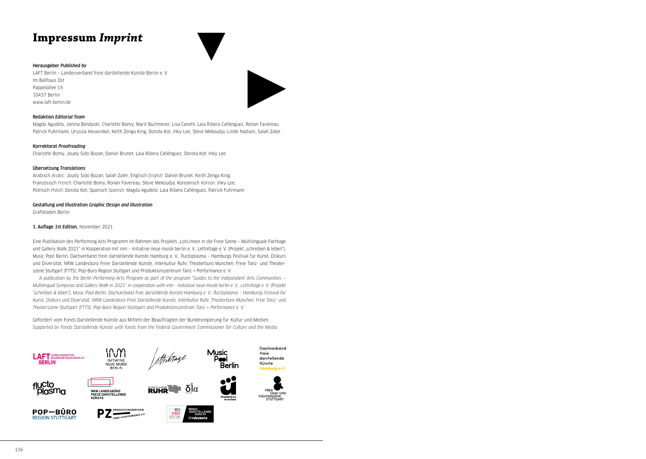## <span id="page-59-0"></span>**Impressum** *Imprint*

#### Herausgeber *Published by*

LAFT Berlin – Landesverband freie darstellende Künste Berlin e. V. Im Ballhaus Ost Pappelallee 15 10437 Berlin [www.laft-berlin.de](http://www.laft-berlin.de)



#### Redaktion *Editorial Team*

Magda Agudelo, Janina Benduski, Charlotte Bomy, Marit Buchmeier, Lisa Canehl, Laia Ribera Cañénguez, Ronan Favereau, Patrick Fuhrmann, Urszula Heuwinkel, Keith Zenga King, Dorota Kot, Inky Lee, Steve Mekoudja, Linde Nadiani, Salah Zater

#### Korrektorat *Proofreading*

Charlotte Bomy, Joudy Sido Bozan, Daniel Brunet, Laia Ribera Cañénguez, Dorota Kot, Inky Lee

#### Übersetzung *Translations*

Arabisch *Arabic*: Joudy Sido Bozan, Salah Zater, Englisch *English*: Daniel Brunet, Keith Zenga King, Französisch *French*: Charlotte Bomy, Ronan Favereau, Steve Mekoudja, Koreanisch *Korean*: Inky Lee, Polnisch *Polish*: Dorota Kot, Spanisch *Spanish*: Magda Agudelo, Laia Ribera Cañénguez, Patrick Fuhrmann

#### Gestaltung und Illustration *Graphic Design and Illustration*

Grafikladen Berlin

#### 1. Auflage *1st Edition,* November 2021

Eine Publikation des Performing Arts Programm im Rahmen des Projekts "Lots:innen in die Freie Szene – Multilinguale Fachtage und Gallery Walk 2021" in Kooperation mit inm - initiative neue musik berlin e. V., Lettrétage e. V. (Projekt "schreiben & leben"), Music Pool Berlin, Dachverband freie darstellende Künste Hamburg e. V., fluctoplasma – Hamburgs Festival für Kunst, Diskurs und Diversität, NRW Landesbüro Freie Darstellende Künste, Interkultur Ruhr, Theaterbüro München, Freie Tanz- und Theaterszene Stuttgart (FTTS), Pop-Büro Region Stuttgart und Produktionszentrum Tanz + Performance e. V.

*A publication by the Berlin Performing Arts Program as part of the program "Guides to the Independent Arts Communities — Multilingual Symposia and Gallery Walk in 2021" in cooperation with inm – initiative neue musik berlin e. V., Lettrétage e. V. (Projekt "schreiben & leben"), Music Pool Berlin, Dachverband freie darstellende Künste Hamburg e. V., fluctoplasma – Hamburgs Festival für Kunst, Diskurs und Diversität, NRW Landesbüro Freie Darstellende Künste, Interkultur Ruhr, Theaterbüro München, Freie Tanz- und Theaterszene Stuttgart (FTTS), Pop-Büro Region Stuttgart and Produktionszentrum Tanz + Performance e. V.*

Gefördert vom Fonds Darstellende Künste aus Mitteln der Beauftragten der Bundesregierung für Kultur und Medien. *Supported by Fonds Darstellende Künste with funds from the Federal Government Commissioner for Culture and the Media.*